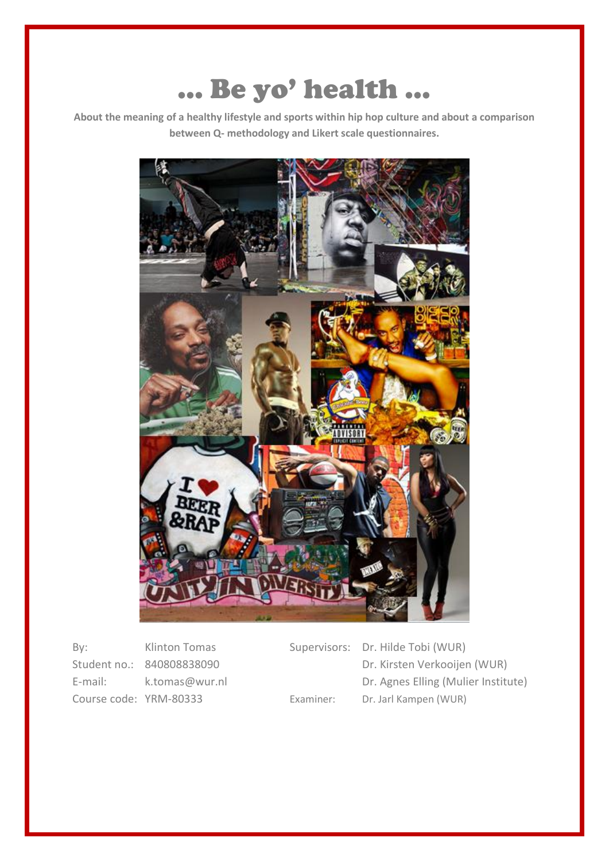# … Be yo' health …

**About the meaning of a healthy lifestyle and sports within hip hop culture and about a comparison between Q- methodology and Likert scale questionnaires.**



By: Klinton Tomas Supervisors: Dr. Hilde Tobi (WUR) Student no.: 840808838090 Dr. Kirsten Verkooijen (WUR) E-mail: k.tomas@wur.nl Dr. Agnes Elling (Mulier Institute) Course code: YRM-80333 Examiner: Dr. Jarl Kampen (WUR)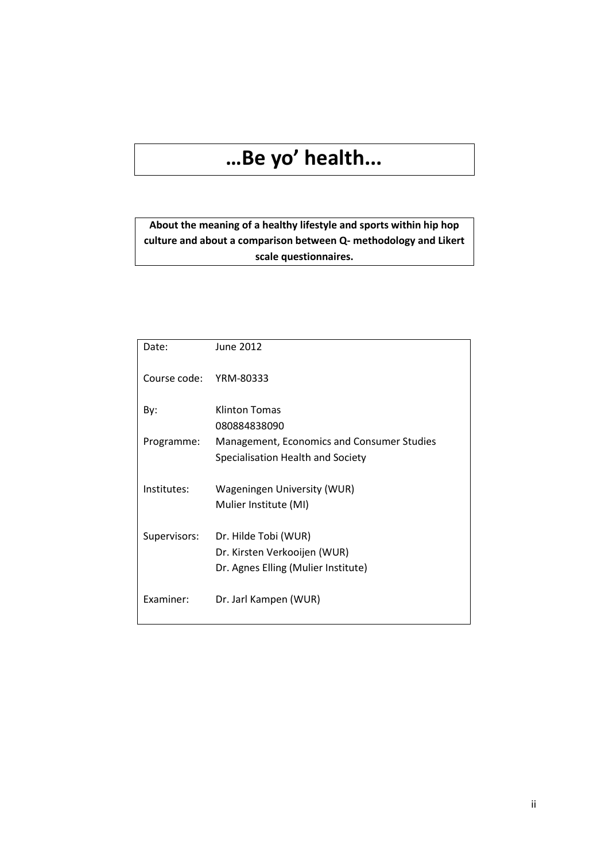# **…Be yo' health...**

**About the meaning of a healthy lifestyle and sports within hip hop culture and about a comparison between Q- methodology and Likert scale questionnaires.**

| Date:        | June 2012                                  |
|--------------|--------------------------------------------|
| Course code: | YRM-80333                                  |
| By:          | <b>Klinton Tomas</b>                       |
|              | 080884838090                               |
| Programme:   | Management, Economics and Consumer Studies |
|              | Specialisation Health and Society          |
| Institutes:  | <b>Wageningen University (WUR)</b>         |
|              | Mulier Institute (MI)                      |
| Supervisors: | Dr. Hilde Tobi (WUR)                       |
|              | Dr. Kirsten Verkooijen (WUR)               |
|              | Dr. Agnes Elling (Mulier Institute)        |
| Examiner:    | Dr. Jarl Kampen (WUR)                      |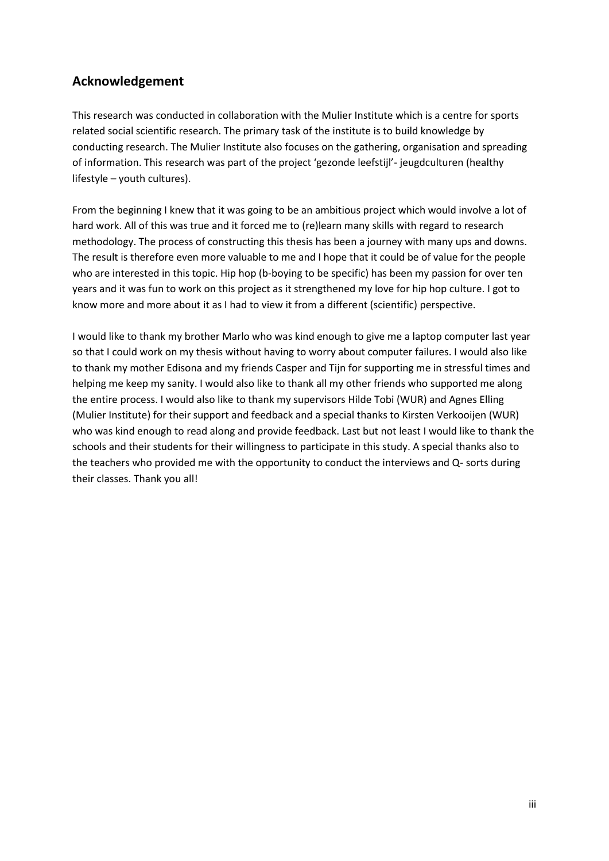# **Acknowledgement**

This research was conducted in collaboration with the Mulier Institute which is a centre for sports related social scientific research. The primary task of the institute is to build knowledge by conducting research. The Mulier Institute also focuses on the gathering, organisation and spreading of information. This research was part of the project 'gezonde leefstijl'- jeugdculturen (healthy lifestyle – youth cultures).

From the beginning I knew that it was going to be an ambitious project which would involve a lot of hard work. All of this was true and it forced me to (re)learn many skills with regard to research methodology. The process of constructing this thesis has been a journey with many ups and downs. The result is therefore even more valuable to me and I hope that it could be of value for the people who are interested in this topic. Hip hop (b-boying to be specific) has been my passion for over ten years and it was fun to work on this project as it strengthened my love for hip hop culture. I got to know more and more about it as I had to view it from a different (scientific) perspective.

I would like to thank my brother Marlo who was kind enough to give me a laptop computer last year so that I could work on my thesis without having to worry about computer failures. I would also like to thank my mother Edisona and my friends Casper and Tijn for supporting me in stressful times and helping me keep my sanity. I would also like to thank all my other friends who supported me along the entire process. I would also like to thank my supervisors Hilde Tobi (WUR) and Agnes Elling (Mulier Institute) for their support and feedback and a special thanks to Kirsten Verkooijen (WUR) who was kind enough to read along and provide feedback. Last but not least I would like to thank the schools and their students for their willingness to participate in this study. A special thanks also to the teachers who provided me with the opportunity to conduct the interviews and Q- sorts during their classes. Thank you all!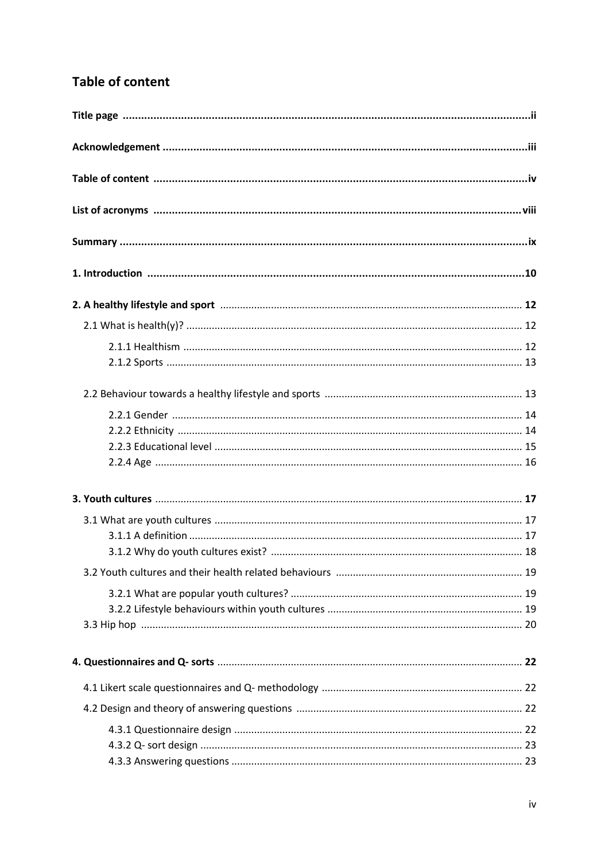# **Table of content**

| 2. A healthy lifestyle and sport manufacture and contain an area of the set of the set of the set of the set o |  |
|----------------------------------------------------------------------------------------------------------------|--|
|                                                                                                                |  |
|                                                                                                                |  |
|                                                                                                                |  |
|                                                                                                                |  |
|                                                                                                                |  |
|                                                                                                                |  |
|                                                                                                                |  |
|                                                                                                                |  |
|                                                                                                                |  |
|                                                                                                                |  |
|                                                                                                                |  |
|                                                                                                                |  |
|                                                                                                                |  |
|                                                                                                                |  |
|                                                                                                                |  |
|                                                                                                                |  |
|                                                                                                                |  |
|                                                                                                                |  |
|                                                                                                                |  |
|                                                                                                                |  |
|                                                                                                                |  |
|                                                                                                                |  |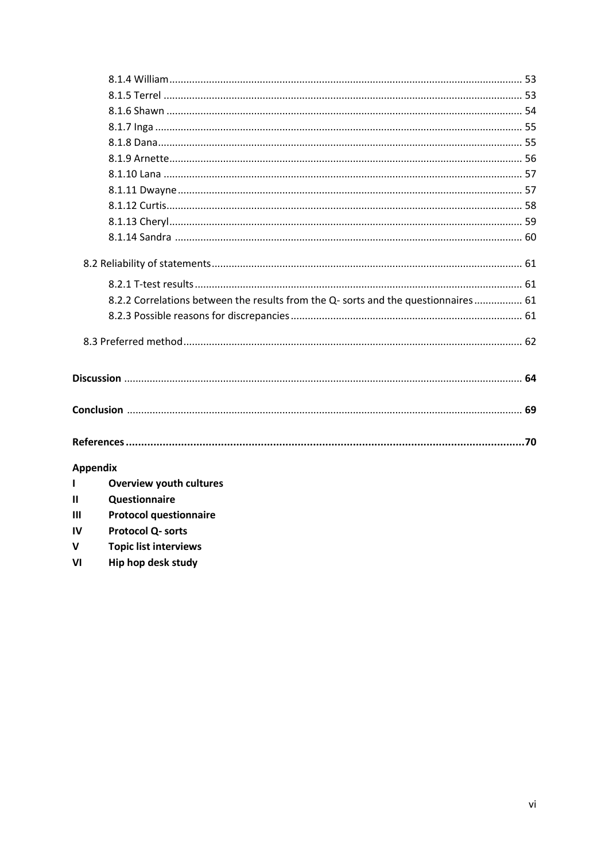|          | 8.2.2 Correlations between the results from the Q- sorts and the questionnaires 61 |  |
|----------|------------------------------------------------------------------------------------|--|
|          |                                                                                    |  |
|          |                                                                                    |  |
|          |                                                                                    |  |
|          |                                                                                    |  |
|          |                                                                                    |  |
| Appendix |                                                                                    |  |
| п        | <b>Overview youth cultures</b>                                                     |  |
| Ш        | Questionnaire                                                                      |  |
| Ш        | <b>Protocol questionnaire</b>                                                      |  |

- $\mathsf{IV}$ **Protocol Q- sorts**
- $\mathbf{V}$ **Topic list interviews**
- $VI$ Hip hop desk study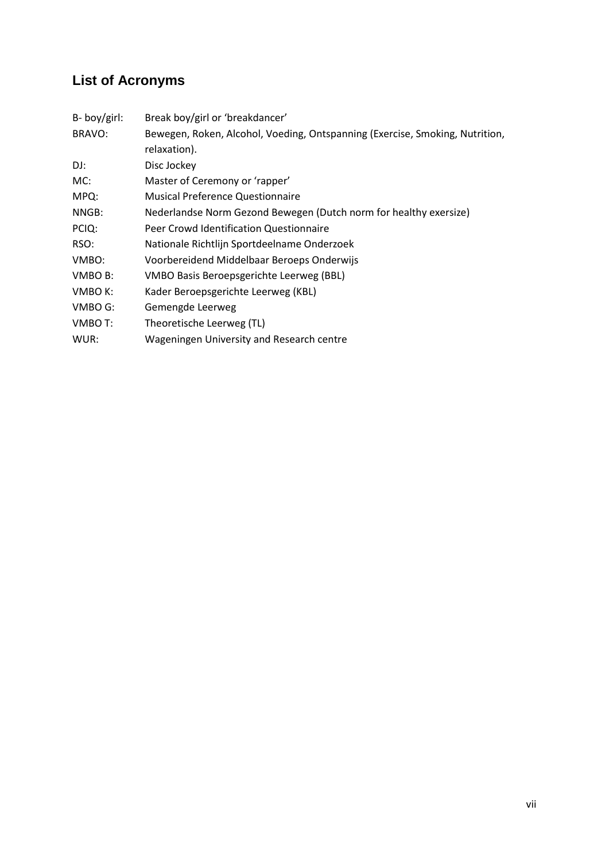# **List of Acronyms**

| $B - boy/girl:$ | Break boy/girl or 'breakdancer'                                              |
|-----------------|------------------------------------------------------------------------------|
| BRAVO:          | Bewegen, Roken, Alcohol, Voeding, Ontspanning (Exercise, Smoking, Nutrition, |
|                 | relaxation).                                                                 |
| DJ:             | Disc Jockey                                                                  |
| MC:             | Master of Ceremony or 'rapper'                                               |
| MPQ:            | <b>Musical Preference Questionnaire</b>                                      |
| NNGB:           | Nederlandse Norm Gezond Bewegen (Dutch norm for healthy exersize)            |
| PCIQ:           | Peer Crowd Identification Questionnaire                                      |
| RSO:            | Nationale Richtlijn Sportdeelname Onderzoek                                  |
| VMBO:           | Voorbereidend Middelbaar Beroeps Onderwijs                                   |
| VMBO B:         | <b>VMBO Basis Beroepsgerichte Leerweg (BBL)</b>                              |
| VMBO K:         | Kader Beroepsgerichte Leerweg (KBL)                                          |
| VMBO G:         | Gemengde Leerweg                                                             |
| VMBO T:         | Theoretische Leerweg (TL)                                                    |
| WUR:            | Wageningen University and Research centre                                    |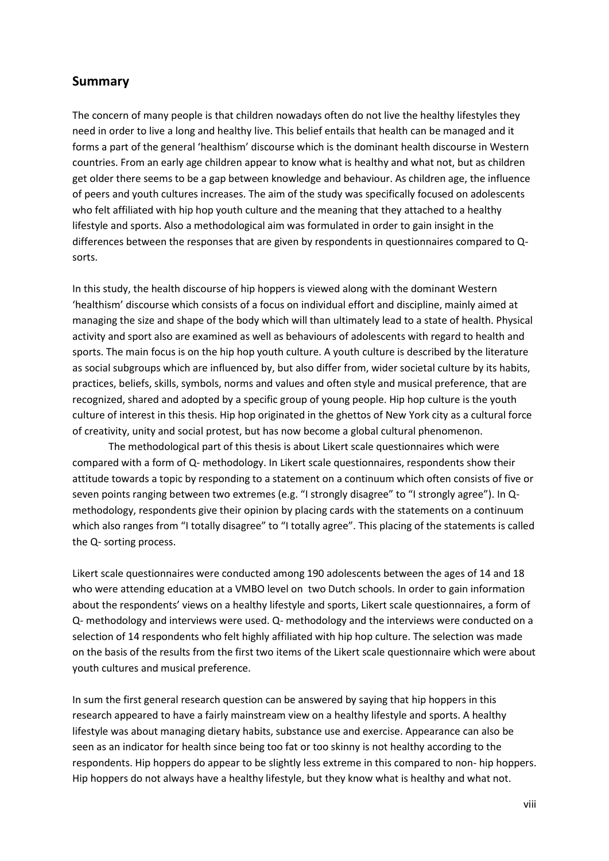#### **Summary**

The concern of many people is that children nowadays often do not live the healthy lifestyles they need in order to live a long and healthy live. This belief entails that health can be managed and it forms a part of the general 'healthism' discourse which is the dominant health discourse in Western countries. From an early age children appear to know what is healthy and what not, but as children get older there seems to be a gap between knowledge and behaviour. As children age, the influence of peers and youth cultures increases. The aim of the study was specifically focused on adolescents who felt affiliated with hip hop youth culture and the meaning that they attached to a healthy lifestyle and sports. Also a methodological aim was formulated in order to gain insight in the differences between the responses that are given by respondents in questionnaires compared to Qsorts.

In this study, the health discourse of hip hoppers is viewed along with the dominant Western 'healthism' discourse which consists of a focus on individual effort and discipline, mainly aimed at managing the size and shape of the body which will than ultimately lead to a state of health. Physical activity and sport also are examined as well as behaviours of adolescents with regard to health and sports. The main focus is on the hip hop youth culture. A youth culture is described by the literature as social subgroups which are influenced by, but also differ from, wider societal culture by its habits, practices, beliefs, skills, symbols, norms and values and often style and musical preference, that are recognized, shared and adopted by a specific group of young people. Hip hop culture is the youth culture of interest in this thesis. Hip hop originated in the ghettos of New York city as a cultural force of creativity, unity and social protest, but has now become a global cultural phenomenon.

The methodological part of this thesis is about Likert scale questionnaires which were compared with a form of Q- methodology. In Likert scale questionnaires, respondents show their attitude towards a topic by responding to a statement on a continuum which often consists of five or seven points ranging between two extremes (e.g. "I strongly disagree" to "I strongly agree"). In Qmethodology, respondents give their opinion by placing cards with the statements on a continuum which also ranges from "I totally disagree" to "I totally agree". This placing of the statements is called the Q- sorting process.

Likert scale questionnaires were conducted among 190 adolescents between the ages of 14 and 18 who were attending education at a VMBO level on two Dutch schools. In order to gain information about the respondents' views on a healthy lifestyle and sports, Likert scale questionnaires, a form of Q- methodology and interviews were used. Q- methodology and the interviews were conducted on a selection of 14 respondents who felt highly affiliated with hip hop culture. The selection was made on the basis of the results from the first two items of the Likert scale questionnaire which were about youth cultures and musical preference.

In sum the first general research question can be answered by saying that hip hoppers in this research appeared to have a fairly mainstream view on a healthy lifestyle and sports. A healthy lifestyle was about managing dietary habits, substance use and exercise. Appearance can also be seen as an indicator for health since being too fat or too skinny is not healthy according to the respondents. Hip hoppers do appear to be slightly less extreme in this compared to non- hip hoppers. Hip hoppers do not always have a healthy lifestyle, but they know what is healthy and what not.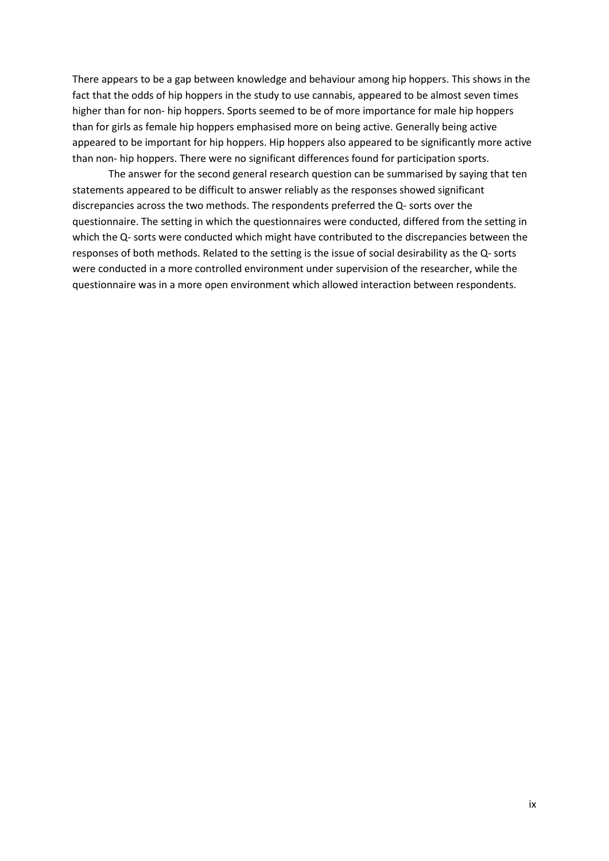There appears to be a gap between knowledge and behaviour among hip hoppers. This shows in the fact that the odds of hip hoppers in the study to use cannabis, appeared to be almost seven times higher than for non- hip hoppers. Sports seemed to be of more importance for male hip hoppers than for girls as female hip hoppers emphasised more on being active. Generally being active appeared to be important for hip hoppers. Hip hoppers also appeared to be significantly more active than non- hip hoppers. There were no significant differences found for participation sports.

The answer for the second general research question can be summarised by saying that ten statements appeared to be difficult to answer reliably as the responses showed significant discrepancies across the two methods. The respondents preferred the Q- sorts over the questionnaire. The setting in which the questionnaires were conducted, differed from the setting in which the Q- sorts were conducted which might have contributed to the discrepancies between the responses of both methods. Related to the setting is the issue of social desirability as the Q- sorts were conducted in a more controlled environment under supervision of the researcher, while the questionnaire was in a more open environment which allowed interaction between respondents.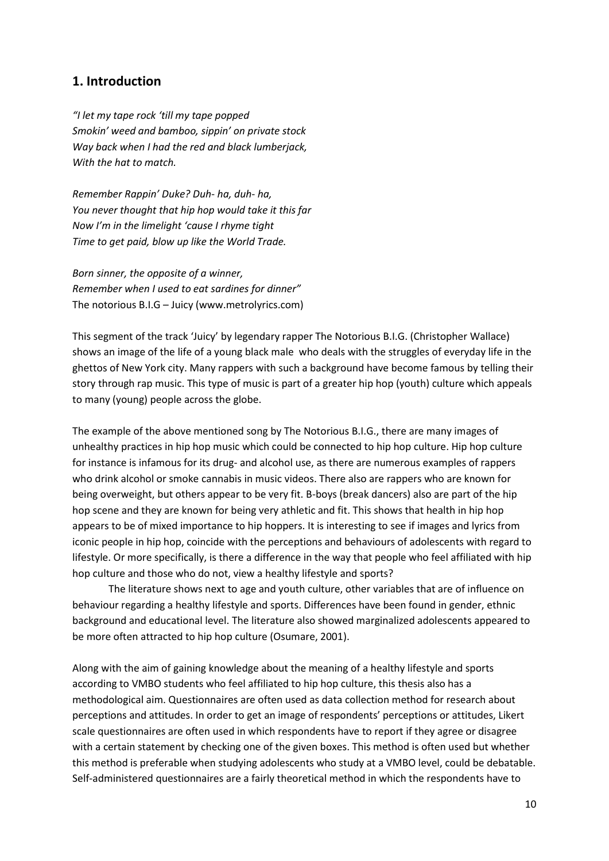## **1. Introduction**

*"I let my tape rock 'till my tape popped Smokin' weed and bamboo, sippin' on private stock Way back when I had the red and black lumberjack, With the hat to match.*

*Remember Rappin' Duke? Duh- ha, duh- ha, You never thought that hip hop would take it this far Now I'm in the limelight 'cause I rhyme tight Time to get paid, blow up like the World Trade.*

*Born sinner, the opposite of a winner, Remember when I used to eat sardines for dinner"* The notorious B.I.G – Juicy (www.metrolyrics.com)

This segment of the track 'Juicy' by legendary rapper The Notorious B.I.G. (Christopher Wallace) shows an image of the life of a young black male who deals with the struggles of everyday life in the ghettos of New York city. Many rappers with such a background have become famous by telling their story through rap music. This type of music is part of a greater hip hop (youth) culture which appeals to many (young) people across the globe.

The example of the above mentioned song by The Notorious B.I.G., there are many images of unhealthy practices in hip hop music which could be connected to hip hop culture. Hip hop culture for instance is infamous for its drug- and alcohol use, as there are numerous examples of rappers who drink alcohol or smoke cannabis in music videos. There also are rappers who are known for being overweight, but others appear to be very fit. B-boys (break dancers) also are part of the hip hop scene and they are known for being very athletic and fit. This shows that health in hip hop appears to be of mixed importance to hip hoppers. It is interesting to see if images and lyrics from iconic people in hip hop, coincide with the perceptions and behaviours of adolescents with regard to lifestyle. Or more specifically, is there a difference in the way that people who feel affiliated with hip hop culture and those who do not, view a healthy lifestyle and sports?

The literature shows next to age and youth culture, other variables that are of influence on behaviour regarding a healthy lifestyle and sports. Differences have been found in gender, ethnic background and educational level. The literature also showed marginalized adolescents appeared to be more often attracted to hip hop culture (Osumare, 2001).

Along with the aim of gaining knowledge about the meaning of a healthy lifestyle and sports according to VMBO students who feel affiliated to hip hop culture, this thesis also has a methodological aim. Questionnaires are often used as data collection method for research about perceptions and attitudes. In order to get an image of respondents' perceptions or attitudes, Likert scale questionnaires are often used in which respondents have to report if they agree or disagree with a certain statement by checking one of the given boxes. This method is often used but whether this method is preferable when studying adolescents who study at a VMBO level, could be debatable. Self-administered questionnaires are a fairly theoretical method in which the respondents have to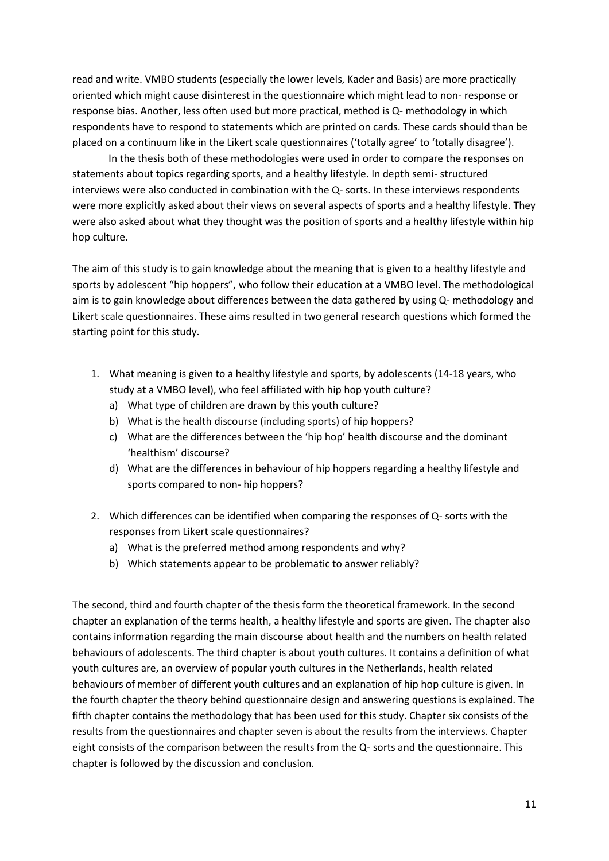read and write. VMBO students (especially the lower levels, Kader and Basis) are more practically oriented which might cause disinterest in the questionnaire which might lead to non- response or response bias. Another, less often used but more practical, method is Q- methodology in which respondents have to respond to statements which are printed on cards. These cards should than be placed on a continuum like in the Likert scale questionnaires ('totally agree' to 'totally disagree').

In the thesis both of these methodologies were used in order to compare the responses on statements about topics regarding sports, and a healthy lifestyle. In depth semi- structured interviews were also conducted in combination with the Q- sorts. In these interviews respondents were more explicitly asked about their views on several aspects of sports and a healthy lifestyle. They were also asked about what they thought was the position of sports and a healthy lifestyle within hip hop culture.

The aim of this study is to gain knowledge about the meaning that is given to a healthy lifestyle and sports by adolescent "hip hoppers", who follow their education at a VMBO level. The methodological aim is to gain knowledge about differences between the data gathered by using Q- methodology and Likert scale questionnaires. These aims resulted in two general research questions which formed the starting point for this study.

- 1. What meaning is given to a healthy lifestyle and sports, by adolescents (14-18 years, who study at a VMBO level), who feel affiliated with hip hop youth culture?
	- a) What type of children are drawn by this youth culture?
	- b) What is the health discourse (including sports) of hip hoppers?
	- c) What are the differences between the 'hip hop' health discourse and the dominant 'healthism' discourse?
	- d) What are the differences in behaviour of hip hoppers regarding a healthy lifestyle and sports compared to non- hip hoppers?
- 2. Which differences can be identified when comparing the responses of Q- sorts with the responses from Likert scale questionnaires?
	- a) What is the preferred method among respondents and why?
	- b) Which statements appear to be problematic to answer reliably?

The second, third and fourth chapter of the thesis form the theoretical framework. In the second chapter an explanation of the terms health, a healthy lifestyle and sports are given. The chapter also contains information regarding the main discourse about health and the numbers on health related behaviours of adolescents. The third chapter is about youth cultures. It contains a definition of what youth cultures are, an overview of popular youth cultures in the Netherlands, health related behaviours of member of different youth cultures and an explanation of hip hop culture is given. In the fourth chapter the theory behind questionnaire design and answering questions is explained. The fifth chapter contains the methodology that has been used for this study. Chapter six consists of the results from the questionnaires and chapter seven is about the results from the interviews. Chapter eight consists of the comparison between the results from the Q- sorts and the questionnaire. This chapter is followed by the discussion and conclusion.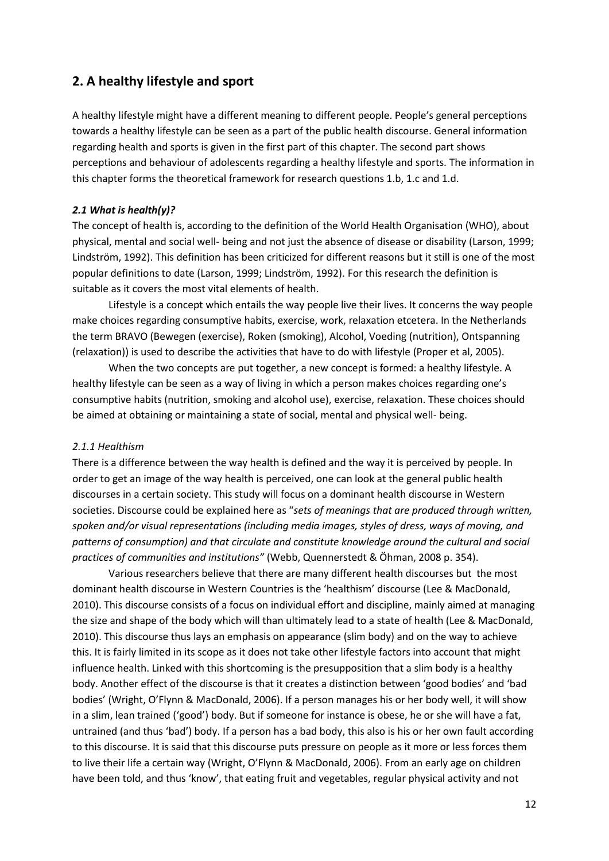# **2. A healthy lifestyle and sport**

A healthy lifestyle might have a different meaning to different people. People's general perceptions towards a healthy lifestyle can be seen as a part of the public health discourse. General information regarding health and sports is given in the first part of this chapter. The second part shows perceptions and behaviour of adolescents regarding a healthy lifestyle and sports. The information in this chapter forms the theoretical framework for research questions 1.b, 1.c and 1.d.

#### *2.1 What is health(y)?*

The concept of health is, according to the definition of the World Health Organisation (WHO), about physical, mental and social well- being and not just the absence of disease or disability (Larson, 1999; Lindström, 1992). This definition has been criticized for different reasons but it still is one of the most popular definitions to date (Larson, 1999; Lindström, 1992). For this research the definition is suitable as it covers the most vital elements of health.

Lifestyle is a concept which entails the way people live their lives. It concerns the way people make choices regarding consumptive habits, exercise, work, relaxation etcetera. In the Netherlands the term BRAVO (Bewegen (exercise), Roken (smoking), Alcohol, Voeding (nutrition), Ontspanning (relaxation)) is used to describe the activities that have to do with lifestyle (Proper et al, 2005).

When the two concepts are put together, a new concept is formed: a healthy lifestyle. A healthy lifestyle can be seen as a way of living in which a person makes choices regarding one's consumptive habits (nutrition, smoking and alcohol use), exercise, relaxation. These choices should be aimed at obtaining or maintaining a state of social, mental and physical well- being.

#### *2.1.1 Healthism*

There is a difference between the way health is defined and the way it is perceived by people. In order to get an image of the way health is perceived, one can look at the general public health discourses in a certain society. This study will focus on a dominant health discourse in Western societies. Discourse could be explained here as "*sets of meanings that are produced through written, spoken and/or visual representations (including media images, styles of dress, ways of moving, and patterns of consumption) and that circulate and constitute knowledge around the cultural and social practices of communities and institutions"* (Webb, Quennerstedt & Öhman, 2008 p. 354).

Various researchers believe that there are many different health discourses but the most dominant health discourse in Western Countries is the 'healthism' discourse (Lee & MacDonald, 2010). This discourse consists of a focus on individual effort and discipline, mainly aimed at managing the size and shape of the body which will than ultimately lead to a state of health (Lee & MacDonald, 2010). This discourse thus lays an emphasis on appearance (slim body) and on the way to achieve this. It is fairly limited in its scope as it does not take other lifestyle factors into account that might influence health. Linked with this shortcoming is the presupposition that a slim body is a healthy body. Another effect of the discourse is that it creates a distinction between 'good bodies' and 'bad bodies' (Wright, O'Flynn & MacDonald, 2006). If a person manages his or her body well, it will show in a slim, lean trained ('good') body. But if someone for instance is obese, he or she will have a fat, untrained (and thus 'bad') body. If a person has a bad body, this also is his or her own fault according to this discourse. It is said that this discourse puts pressure on people as it more or less forces them to live their life a certain way (Wright, O'Flynn & MacDonald, 2006). From an early age on children have been told, and thus 'know', that eating fruit and vegetables, regular physical activity and not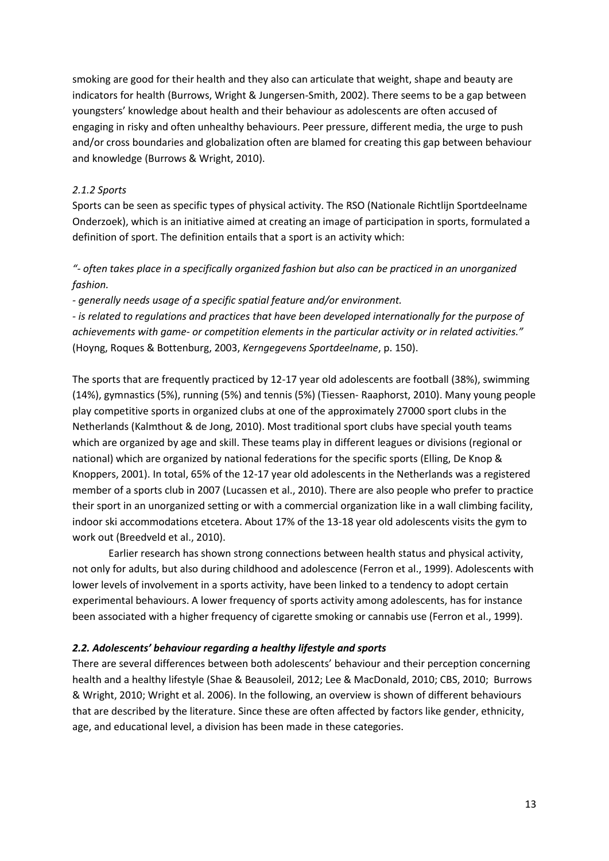smoking are good for their health and they also can articulate that weight, shape and beauty are indicators for health (Burrows, Wright & Jungersen-Smith, 2002). There seems to be a gap between youngsters' knowledge about health and their behaviour as adolescents are often accused of engaging in risky and often unhealthy behaviours. Peer pressure, different media, the urge to push and/or cross boundaries and globalization often are blamed for creating this gap between behaviour and knowledge (Burrows & Wright, 2010).

#### *2.1.2 Sports*

Sports can be seen as specific types of physical activity. The RSO (Nationale Richtlijn Sportdeelname Onderzoek), which is an initiative aimed at creating an image of participation in sports, formulated a definition of sport. The definition entails that a sport is an activity which:

### *"- often takes place in a specifically organized fashion but also can be practiced in an unorganized fashion.*

*- generally needs usage of a specific spatial feature and/or environment.*

*- is related to regulations and practices that have been developed internationally for the purpose of achievements with game- or competition elements in the particular activity or in related activities."* (Hoyng, Roques & Bottenburg, 2003, *Kerngegevens Sportdeelname*, p. 150).

The sports that are frequently practiced by 12-17 year old adolescents are football (38%), swimming (14%), gymnastics (5%), running (5%) and tennis (5%) (Tiessen- Raaphorst, 2010). Many young people play competitive sports in organized clubs at one of the approximately 27000 sport clubs in the Netherlands (Kalmthout & de Jong, 2010). Most traditional sport clubs have special youth teams which are organized by age and skill. These teams play in different leagues or divisions (regional or national) which are organized by national federations for the specific sports (Elling, De Knop & Knoppers, 2001). In total, 65% of the 12-17 year old adolescents in the Netherlands was a registered member of a sports club in 2007 (Lucassen et al., 2010). There are also people who prefer to practice their sport in an unorganized setting or with a commercial organization like in a wall climbing facility, indoor ski accommodations etcetera. About 17% of the 13-18 year old adolescents visits the gym to work out (Breedveld et al., 2010).

Earlier research has shown strong connections between health status and physical activity, not only for adults, but also during childhood and adolescence (Ferron et al., 1999). Adolescents with lower levels of involvement in a sports activity, have been linked to a tendency to adopt certain experimental behaviours. A lower frequency of sports activity among adolescents, has for instance been associated with a higher frequency of cigarette smoking or cannabis use (Ferron et al., 1999).

#### *2.2. Adolescents' behaviour regarding a healthy lifestyle and sports*

There are several differences between both adolescents' behaviour and their perception concerning health and a healthy lifestyle (Shae & Beausoleil, 2012; Lee & MacDonald, 2010; CBS, 2010; Burrows & Wright, 2010; Wright et al. 2006). In the following, an overview is shown of different behaviours that are described by the literature. Since these are often affected by factors like gender, ethnicity, age, and educational level, a division has been made in these categories.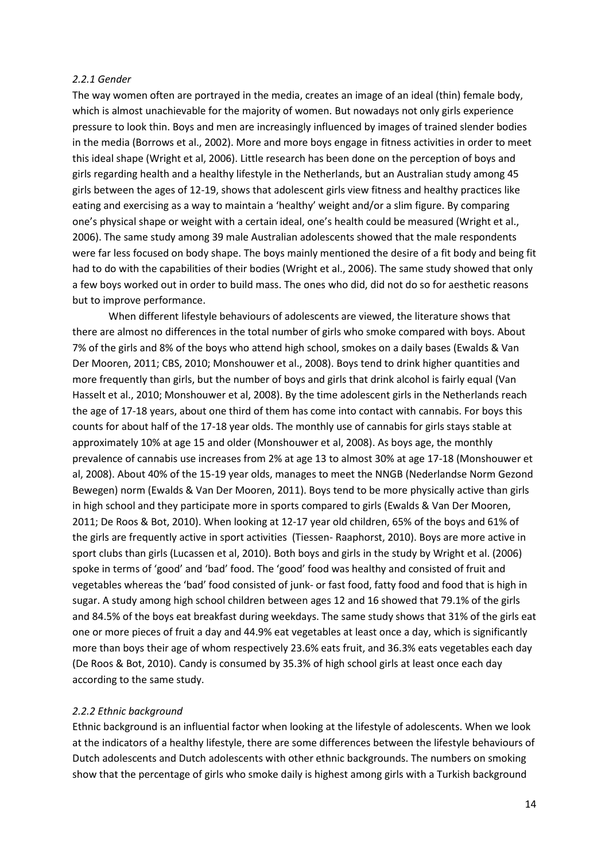#### *2.2.1 Gender*

The way women often are portrayed in the media, creates an image of an ideal (thin) female body, which is almost unachievable for the majority of women. But nowadays not only girls experience pressure to look thin. Boys and men are increasingly influenced by images of trained slender bodies in the media (Borrows et al., 2002). More and more boys engage in fitness activities in order to meet this ideal shape (Wright et al, 2006). Little research has been done on the perception of boys and girls regarding health and a healthy lifestyle in the Netherlands, but an Australian study among 45 girls between the ages of 12-19, shows that adolescent girls view fitness and healthy practices like eating and exercising as a way to maintain a 'healthy' weight and/or a slim figure. By comparing one's physical shape or weight with a certain ideal, one's health could be measured (Wright et al., 2006). The same study among 39 male Australian adolescents showed that the male respondents were far less focused on body shape. The boys mainly mentioned the desire of a fit body and being fit had to do with the capabilities of their bodies (Wright et al., 2006). The same study showed that only a few boys worked out in order to build mass. The ones who did, did not do so for aesthetic reasons but to improve performance.

When different lifestyle behaviours of adolescents are viewed, the literature shows that there are almost no differences in the total number of girls who smoke compared with boys. About 7% of the girls and 8% of the boys who attend high school, smokes on a daily bases (Ewalds & Van Der Mooren, 2011; CBS, 2010; Monshouwer et al., 2008). Boys tend to drink higher quantities and more frequently than girls, but the number of boys and girls that drink alcohol is fairly equal (Van Hasselt et al., 2010; Monshouwer et al, 2008). By the time adolescent girls in the Netherlands reach the age of 17-18 years, about one third of them has come into contact with cannabis. For boys this counts for about half of the 17-18 year olds. The monthly use of cannabis for girls stays stable at approximately 10% at age 15 and older (Monshouwer et al, 2008). As boys age, the monthly prevalence of cannabis use increases from 2% at age 13 to almost 30% at age 17-18 (Monshouwer et al, 2008). About 40% of the 15-19 year olds, manages to meet the NNGB (Nederlandse Norm Gezond Bewegen) norm (Ewalds & Van Der Mooren, 2011). Boys tend to be more physically active than girls in high school and they participate more in sports compared to girls (Ewalds & Van Der Mooren, 2011; De Roos & Bot, 2010). When looking at 12-17 year old children, 65% of the boys and 61% of the girls are frequently active in sport activities (Tiessen- Raaphorst, 2010). Boys are more active in sport clubs than girls (Lucassen et al, 2010). Both boys and girls in the study by Wright et al. (2006) spoke in terms of 'good' and 'bad' food. The 'good' food was healthy and consisted of fruit and vegetables whereas the 'bad' food consisted of junk- or fast food, fatty food and food that is high in sugar. A study among high school children between ages 12 and 16 showed that 79.1% of the girls and 84.5% of the boys eat breakfast during weekdays. The same study shows that 31% of the girls eat one or more pieces of fruit a day and 44.9% eat vegetables at least once a day, which is significantly more than boys their age of whom respectively 23.6% eats fruit, and 36.3% eats vegetables each day (De Roos & Bot, 2010). Candy is consumed by 35.3% of high school girls at least once each day according to the same study.

#### *2.2.2 Ethnic background*

Ethnic background is an influential factor when looking at the lifestyle of adolescents. When we look at the indicators of a healthy lifestyle, there are some differences between the lifestyle behaviours of Dutch adolescents and Dutch adolescents with other ethnic backgrounds. The numbers on smoking show that the percentage of girls who smoke daily is highest among girls with a Turkish background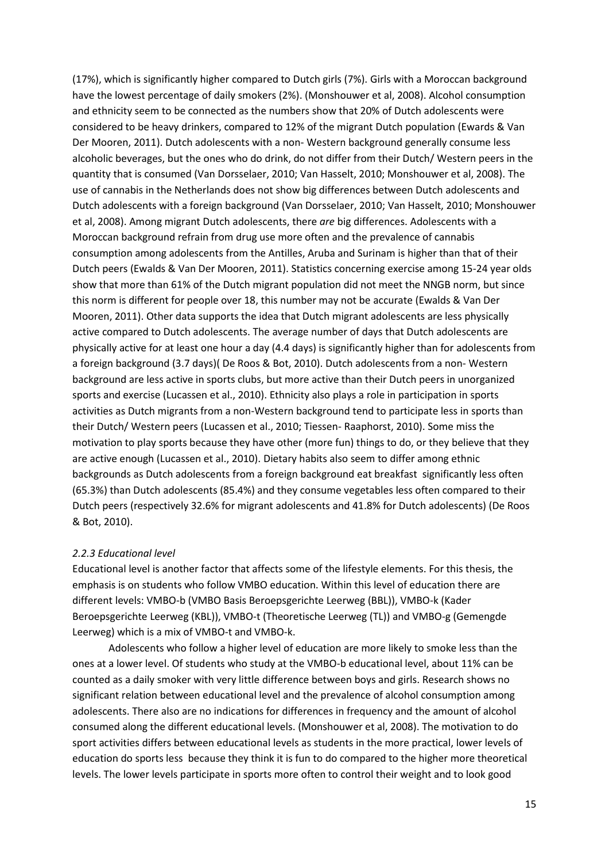(17%), which is significantly higher compared to Dutch girls (7%). Girls with a Moroccan background have the lowest percentage of daily smokers (2%). (Monshouwer et al, 2008). Alcohol consumption and ethnicity seem to be connected as the numbers show that 20% of Dutch adolescents were considered to be heavy drinkers, compared to 12% of the migrant Dutch population (Ewards & Van Der Mooren, 2011). Dutch adolescents with a non- Western background generally consume less alcoholic beverages, but the ones who do drink, do not differ from their Dutch/ Western peers in the quantity that is consumed (Van Dorsselaer, 2010; Van Hasselt, 2010; Monshouwer et al, 2008). The use of cannabis in the Netherlands does not show big differences between Dutch adolescents and Dutch adolescents with a foreign background (Van Dorsselaer, 2010; Van Hasselt, 2010; Monshouwer et al, 2008). Among migrant Dutch adolescents, there *are* big differences. Adolescents with a Moroccan background refrain from drug use more often and the prevalence of cannabis consumption among adolescents from the Antilles, Aruba and Surinam is higher than that of their Dutch peers (Ewalds & Van Der Mooren, 2011). Statistics concerning exercise among 15-24 year olds show that more than 61% of the Dutch migrant population did not meet the NNGB norm, but since this norm is different for people over 18, this number may not be accurate (Ewalds & Van Der Mooren, 2011). Other data supports the idea that Dutch migrant adolescents are less physically active compared to Dutch adolescents. The average number of days that Dutch adolescents are physically active for at least one hour a day (4.4 days) is significantly higher than for adolescents from a foreign background (3.7 days)( De Roos & Bot, 2010). Dutch adolescents from a non- Western background are less active in sports clubs, but more active than their Dutch peers in unorganized sports and exercise (Lucassen et al., 2010). Ethnicity also plays a role in participation in sports activities as Dutch migrants from a non-Western background tend to participate less in sports than their Dutch/ Western peers (Lucassen et al., 2010; Tiessen- Raaphorst, 2010). Some miss the motivation to play sports because they have other (more fun) things to do, or they believe that they are active enough (Lucassen et al., 2010). Dietary habits also seem to differ among ethnic backgrounds as Dutch adolescents from a foreign background eat breakfast significantly less often (65.3%) than Dutch adolescents (85.4%) and they consume vegetables less often compared to their Dutch peers (respectively 32.6% for migrant adolescents and 41.8% for Dutch adolescents) (De Roos & Bot, 2010).

#### *2.2.3 Educational level*

Educational level is another factor that affects some of the lifestyle elements. For this thesis, the emphasis is on students who follow VMBO education. Within this level of education there are different levels: VMBO-b (VMBO Basis Beroepsgerichte Leerweg (BBL)), VMBO-k (Kader Beroepsgerichte Leerweg (KBL)), VMBO-t (Theoretische Leerweg (TL)) and VMBO-g (Gemengde Leerweg) which is a mix of VMBO-t and VMBO-k.

Adolescents who follow a higher level of education are more likely to smoke less than the ones at a lower level. Of students who study at the VMBO-b educational level, about 11% can be counted as a daily smoker with very little difference between boys and girls. Research shows no significant relation between educational level and the prevalence of alcohol consumption among adolescents. There also are no indications for differences in frequency and the amount of alcohol consumed along the different educational levels. (Monshouwer et al, 2008). The motivation to do sport activities differs between educational levels as students in the more practical, lower levels of education do sports less because they think it is fun to do compared to the higher more theoretical levels. The lower levels participate in sports more often to control their weight and to look good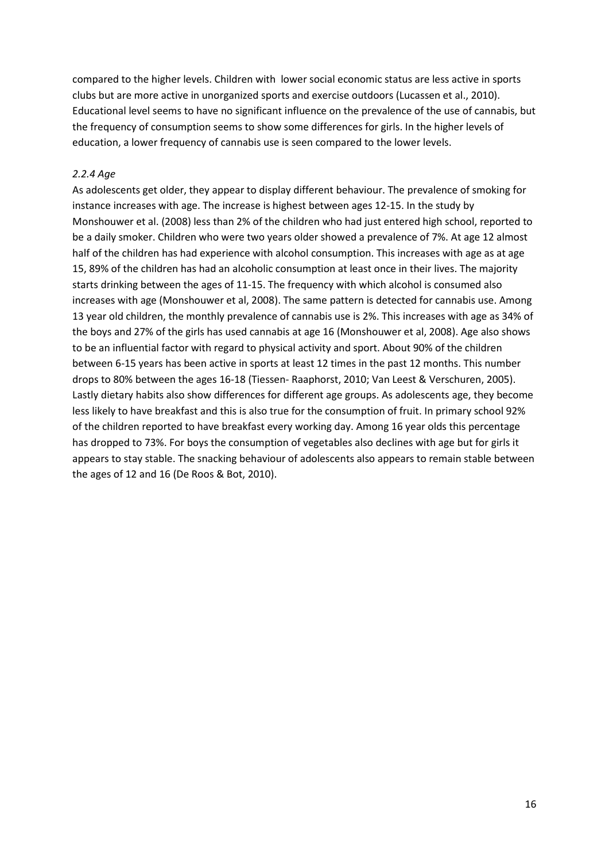compared to the higher levels. Children with lower social economic status are less active in sports clubs but are more active in unorganized sports and exercise outdoors (Lucassen et al., 2010). Educational level seems to have no significant influence on the prevalence of the use of cannabis, but the frequency of consumption seems to show some differences for girls. In the higher levels of education, a lower frequency of cannabis use is seen compared to the lower levels.

#### *2.2.4 Age*

As adolescents get older, they appear to display different behaviour. The prevalence of smoking for instance increases with age. The increase is highest between ages 12-15. In the study by Monshouwer et al. (2008) less than 2% of the children who had just entered high school, reported to be a daily smoker. Children who were two years older showed a prevalence of 7%. At age 12 almost half of the children has had experience with alcohol consumption. This increases with age as at age 15, 89% of the children has had an alcoholic consumption at least once in their lives. The majority starts drinking between the ages of 11-15. The frequency with which alcohol is consumed also increases with age (Monshouwer et al, 2008). The same pattern is detected for cannabis use. Among 13 year old children, the monthly prevalence of cannabis use is 2%. This increases with age as 34% of the boys and 27% of the girls has used cannabis at age 16 (Monshouwer et al, 2008). Age also shows to be an influential factor with regard to physical activity and sport. About 90% of the children between 6-15 years has been active in sports at least 12 times in the past 12 months. This number drops to 80% between the ages 16-18 (Tiessen- Raaphorst, 2010; Van Leest & Verschuren, 2005). Lastly dietary habits also show differences for different age groups. As adolescents age, they become less likely to have breakfast and this is also true for the consumption of fruit. In primary school 92% of the children reported to have breakfast every working day. Among 16 year olds this percentage has dropped to 73%. For boys the consumption of vegetables also declines with age but for girls it appears to stay stable. The snacking behaviour of adolescents also appears to remain stable between the ages of 12 and 16 (De Roos & Bot, 2010).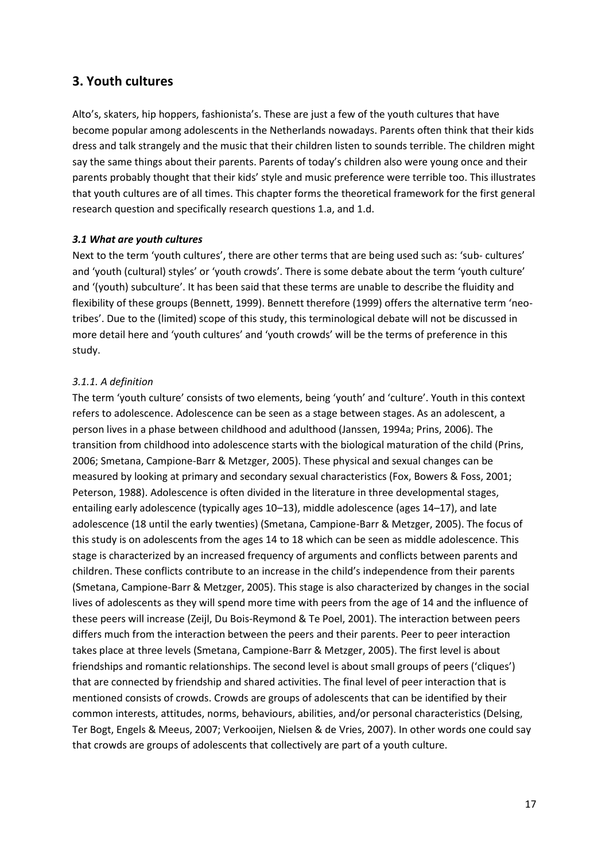# **3. Youth cultures**

Alto's, skaters, hip hoppers, fashionista's. These are just a few of the youth cultures that have become popular among adolescents in the Netherlands nowadays. Parents often think that their kids dress and talk strangely and the music that their children listen to sounds terrible. The children might say the same things about their parents. Parents of today's children also were young once and their parents probably thought that their kids' style and music preference were terrible too. This illustrates that youth cultures are of all times. This chapter forms the theoretical framework for the first general research question and specifically research questions 1.a, and 1.d.

#### *3.1 What are youth cultures*

Next to the term 'youth cultures', there are other terms that are being used such as: 'sub- cultures' and 'youth (cultural) styles' or 'youth crowds'. There is some debate about the term 'youth culture' and '(youth) subculture'. It has been said that these terms are unable to describe the fluidity and flexibility of these groups (Bennett, 1999). Bennett therefore (1999) offers the alternative term 'neotribes'. Due to the (limited) scope of this study, this terminological debate will not be discussed in more detail here and 'youth cultures' and 'youth crowds' will be the terms of preference in this study.

#### *3.1.1. A definition*

The term 'youth culture' consists of two elements, being 'youth' and 'culture'. Youth in this context refers to adolescence. Adolescence can be seen as a stage between stages. As an adolescent, a person lives in a phase between childhood and adulthood (Janssen, 1994a; Prins, 2006). The transition from childhood into adolescence starts with the biological maturation of the child (Prins, 2006; Smetana, Campione-Barr & Metzger, 2005). These physical and sexual changes can be measured by looking at primary and secondary sexual characteristics (Fox, Bowers & Foss, 2001; Peterson, 1988). Adolescence is often divided in the literature in three developmental stages, entailing early adolescence (typically ages 10–13), middle adolescence (ages 14–17), and late adolescence (18 until the early twenties) (Smetana, Campione-Barr & Metzger, 2005). The focus of this study is on adolescents from the ages 14 to 18 which can be seen as middle adolescence. This stage is characterized by an increased frequency of arguments and conflicts between parents and children. These conflicts contribute to an increase in the child's independence from their parents (Smetana, Campione-Barr & Metzger, 2005). This stage is also characterized by changes in the social lives of adolescents as they will spend more time with peers from the age of 14 and the influence of these peers will increase (Zeijl, Du Bois-Reymond & Te Poel, 2001). The interaction between peers differs much from the interaction between the peers and their parents. Peer to peer interaction takes place at three levels (Smetana, Campione-Barr & Metzger, 2005). The first level is about friendships and romantic relationships. The second level is about small groups of peers ('cliques') that are connected by friendship and shared activities. The final level of peer interaction that is mentioned consists of crowds. Crowds are groups of adolescents that can be identified by their common interests, attitudes, norms, behaviours, abilities, and/or personal characteristics (Delsing, Ter Bogt, Engels & Meeus, 2007; Verkooijen, Nielsen & de Vries, 2007). In other words one could say that crowds are groups of adolescents that collectively are part of a youth culture.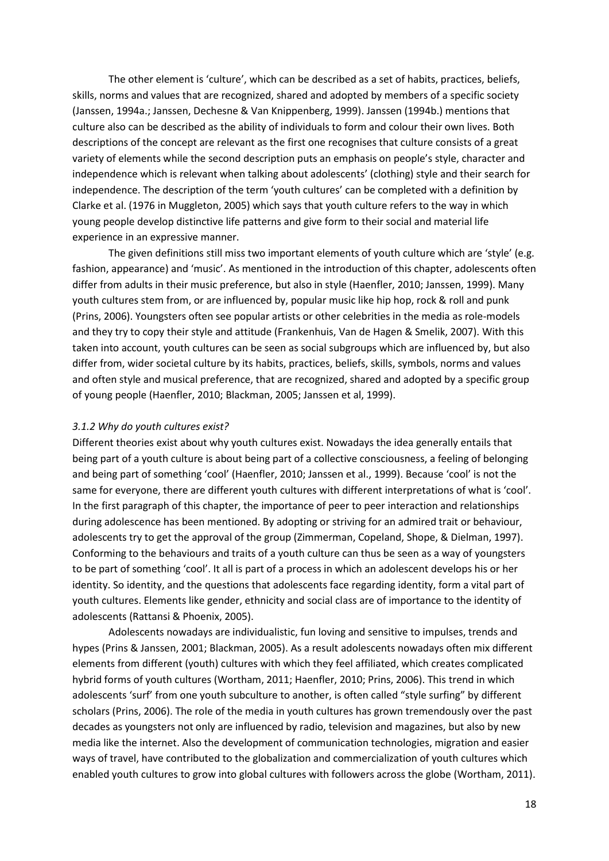The other element is 'culture', which can be described as a set of habits, practices, beliefs, skills, norms and values that are recognized, shared and adopted by members of a specific society (Janssen, 1994a.; Janssen, Dechesne & Van Knippenberg, 1999). Janssen (1994b.) mentions that culture also can be described as the ability of individuals to form and colour their own lives. Both descriptions of the concept are relevant as the first one recognises that culture consists of a great variety of elements while the second description puts an emphasis on people's style, character and independence which is relevant when talking about adolescents' (clothing) style and their search for independence. The description of the term 'youth cultures' can be completed with a definition by Clarke et al. (1976 in Muggleton, 2005) which says that youth culture refers to the way in which young people develop distinctive life patterns and give form to their social and material life experience in an expressive manner.

The given definitions still miss two important elements of youth culture which are 'style' (e.g. fashion, appearance) and 'music'. As mentioned in the introduction of this chapter, adolescents often differ from adults in their music preference, but also in style (Haenfler, 2010; Janssen, 1999). Many youth cultures stem from, or are influenced by, popular music like hip hop, rock & roll and punk (Prins, 2006). Youngsters often see popular artists or other celebrities in the media as role-models and they try to copy their style and attitude (Frankenhuis, Van de Hagen & Smelik, 2007). With this taken into account, youth cultures can be seen as social subgroups which are influenced by, but also differ from, wider societal culture by its habits, practices, beliefs, skills, symbols, norms and values and often style and musical preference, that are recognized, shared and adopted by a specific group of young people (Haenfler, 2010; Blackman, 2005; Janssen et al, 1999).

#### *3.1.2 Why do youth cultures exist?*

Different theories exist about why youth cultures exist. Nowadays the idea generally entails that being part of a youth culture is about being part of a collective consciousness, a feeling of belonging and being part of something 'cool' (Haenfler, 2010; Janssen et al., 1999). Because 'cool' is not the same for everyone, there are different youth cultures with different interpretations of what is 'cool'. In the first paragraph of this chapter, the importance of peer to peer interaction and relationships during adolescence has been mentioned. By adopting or striving for an admired trait or behaviour, adolescents try to get the approval of the group (Zimmerman, Copeland, Shope, & Dielman, 1997). Conforming to the behaviours and traits of a youth culture can thus be seen as a way of youngsters to be part of something 'cool'. It all is part of a process in which an adolescent develops his or her identity. So identity, and the questions that adolescents face regarding identity, form a vital part of youth cultures. Elements like gender, ethnicity and social class are of importance to the identity of adolescents (Rattansi & Phoenix, 2005).

Adolescents nowadays are individualistic, fun loving and sensitive to impulses, trends and hypes (Prins & Janssen, 2001; Blackman, 2005). As a result adolescents nowadays often mix different elements from different (youth) cultures with which they feel affiliated, which creates complicated hybrid forms of youth cultures (Wortham, 2011; Haenfler, 2010; Prins, 2006). This trend in which adolescents 'surf' from one youth subculture to another, is often called "style surfing" by different scholars (Prins, 2006). The role of the media in youth cultures has grown tremendously over the past decades as youngsters not only are influenced by radio, television and magazines, but also by new media like the internet. Also the development of communication technologies, migration and easier ways of travel, have contributed to the globalization and commercialization of youth cultures which enabled youth cultures to grow into global cultures with followers across the globe (Wortham, 2011).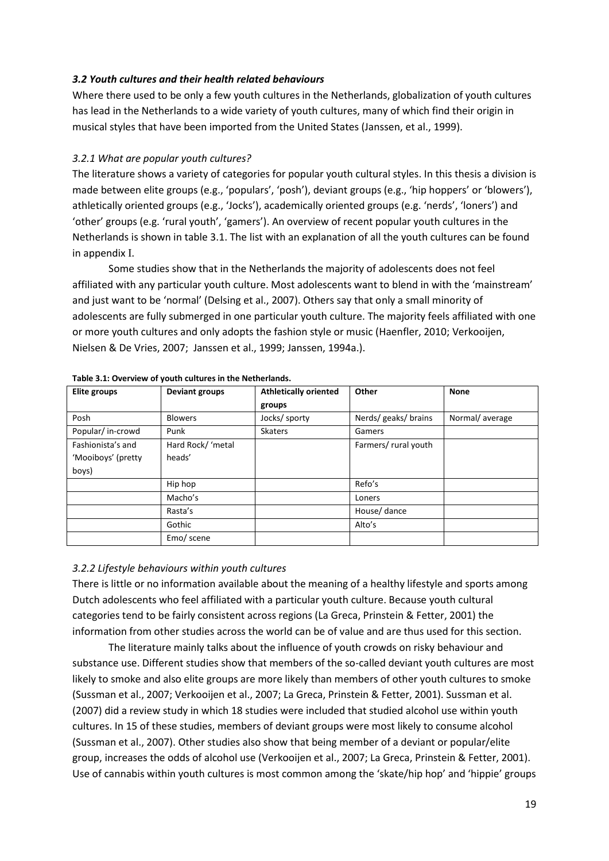#### *3.2 Youth cultures and their health related behaviours*

Where there used to be only a few youth cultures in the Netherlands, globalization of youth cultures has lead in the Netherlands to a wide variety of youth cultures, many of which find their origin in musical styles that have been imported from the United States (Janssen, et al., 1999).

#### *3.2.1 What are popular youth cultures?*

The literature shows a variety of categories for popular youth cultural styles. In this thesis a division is made between elite groups (e.g., 'populars', 'posh'), deviant groups (e.g., 'hip hoppers' or 'blowers'), athletically oriented groups (e.g., 'Jocks'), academically oriented groups (e.g. 'nerds', 'loners') and 'other' groups (e.g. 'rural youth', 'gamers'). An overview of recent popular youth cultures in the Netherlands is shown in table 3.1. The list with an explanation of all the youth cultures can be found in appendix I.

Some studies show that in the Netherlands the majority of adolescents does not feel affiliated with any particular youth culture. Most adolescents want to blend in with the 'mainstream' and just want to be 'normal' (Delsing et al., 2007). Others say that only a small minority of adolescents are fully submerged in one particular youth culture. The majority feels affiliated with one or more youth cultures and only adopts the fashion style or music (Haenfler, 2010; Verkooijen, Nielsen & De Vries, 2007; Janssen et al., 1999; Janssen, 1994a.).

| <b>Elite groups</b> | <b>Deviant groups</b> | <b>Athletically oriented</b> | Other                | <b>None</b>    |
|---------------------|-----------------------|------------------------------|----------------------|----------------|
|                     |                       | groups                       |                      |                |
| Posh                | <b>Blowers</b>        | Jocks/ sporty                | Nerds/ geaks/ brains | Normal/average |
| Popular/ in-crowd   | Punk                  | <b>Skaters</b>               | Gamers               |                |
| Fashionista's and   | Hard Rock/ 'metal     |                              | Farmers/ rural youth |                |
| 'Mooiboys' (pretty  | heads'                |                              |                      |                |
| boys)               |                       |                              |                      |                |
|                     | Hip hop               |                              | Refo's               |                |
|                     | Macho's               |                              | Loners               |                |
|                     | Rasta's               |                              | House/ dance         |                |
|                     | Gothic                |                              | Alto's               |                |
|                     | Emo/ scene            |                              |                      |                |

**Table 3.1: Overview of youth cultures in the Netherlands.**

#### *3.2.2 Lifestyle behaviours within youth cultures*

There is little or no information available about the meaning of a healthy lifestyle and sports among Dutch adolescents who feel affiliated with a particular youth culture. Because youth cultural categories tend to be fairly consistent across regions (La Greca, Prinstein & Fetter, 2001) the information from other studies across the world can be of value and are thus used for this section.

The literature mainly talks about the influence of youth crowds on risky behaviour and substance use. Different studies show that members of the so-called deviant youth cultures are most likely to smoke and also elite groups are more likely than members of other youth cultures to smoke (Sussman et al., 2007; Verkooijen et al., 2007; La Greca, Prinstein & Fetter, 2001). Sussman et al. (2007) did a review study in which 18 studies were included that studied alcohol use within youth cultures. In 15 of these studies, members of deviant groups were most likely to consume alcohol (Sussman et al., 2007). Other studies also show that being member of a deviant or popular/elite group, increases the odds of alcohol use (Verkooijen et al., 2007; La Greca, Prinstein & Fetter, 2001). Use of cannabis within youth cultures is most common among the 'skate/hip hop' and 'hippie' groups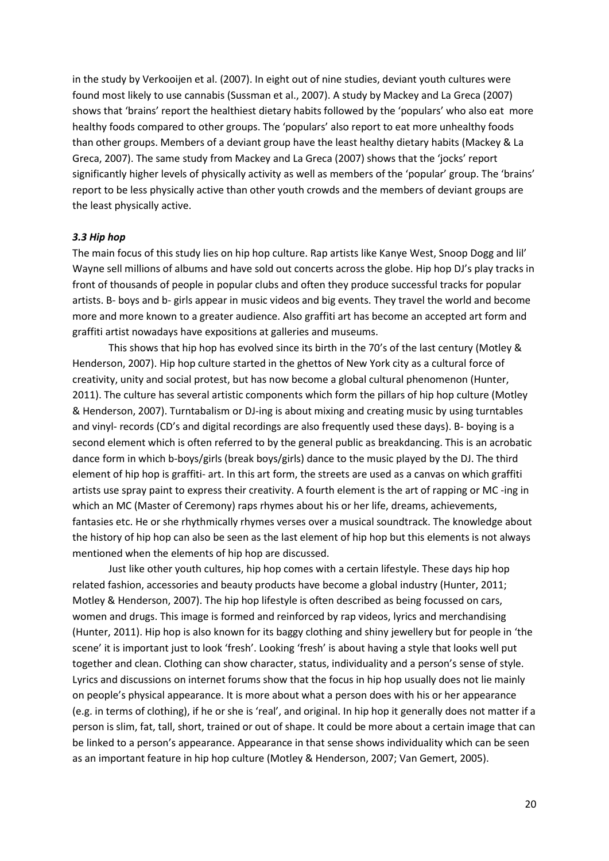in the study by Verkooijen et al. (2007). In eight out of nine studies, deviant youth cultures were found most likely to use cannabis (Sussman et al., 2007). A study by Mackey and La Greca (2007) shows that 'brains' report the healthiest dietary habits followed by the 'populars' who also eat more healthy foods compared to other groups. The 'populars' also report to eat more unhealthy foods than other groups. Members of a deviant group have the least healthy dietary habits (Mackey & La Greca, 2007). The same study from Mackey and La Greca (2007) shows that the 'jocks' report significantly higher levels of physically activity as well as members of the 'popular' group. The 'brains' report to be less physically active than other youth crowds and the members of deviant groups are the least physically active.

#### *3.3 Hip hop*

The main focus of this study lies on hip hop culture. Rap artists like Kanye West, Snoop Dogg and lil' Wayne sell millions of albums and have sold out concerts across the globe. Hip hop DJ's play tracks in front of thousands of people in popular clubs and often they produce successful tracks for popular artists. B- boys and b- girls appear in music videos and big events. They travel the world and become more and more known to a greater audience. Also graffiti art has become an accepted art form and graffiti artist nowadays have expositions at galleries and museums.

This shows that hip hop has evolved since its birth in the 70's of the last century (Motley & Henderson, 2007). Hip hop culture started in the ghettos of New York city as a cultural force of creativity, unity and social protest, but has now become a global cultural phenomenon (Hunter, 2011). The culture has several artistic components which form the pillars of hip hop culture (Motley & Henderson, 2007). Turntabalism or DJ-ing is about mixing and creating music by using turntables and vinyl- records (CD's and digital recordings are also frequently used these days). B- boying is a second element which is often referred to by the general public as breakdancing. This is an acrobatic dance form in which b-boys/girls (break boys/girls) dance to the music played by the DJ. The third element of hip hop is graffiti- art. In this art form, the streets are used as a canvas on which graffiti artists use spray paint to express their creativity. A fourth element is the art of rapping or MC -ing in which an MC (Master of Ceremony) raps rhymes about his or her life, dreams, achievements, fantasies etc. He or she rhythmically rhymes verses over a musical soundtrack. The knowledge about the history of hip hop can also be seen as the last element of hip hop but this elements is not always mentioned when the elements of hip hop are discussed.

Just like other youth cultures, hip hop comes with a certain lifestyle. These days hip hop related fashion, accessories and beauty products have become a global industry (Hunter, 2011; Motley & Henderson, 2007). The hip hop lifestyle is often described as being focussed on cars, women and drugs. This image is formed and reinforced by rap videos, lyrics and merchandising (Hunter, 2011). Hip hop is also known for its baggy clothing and shiny jewellery but for people in 'the scene' it is important just to look 'fresh'. Looking 'fresh' is about having a style that looks well put together and clean. Clothing can show character, status, individuality and a person's sense of style. Lyrics and discussions on internet forums show that the focus in hip hop usually does not lie mainly on people's physical appearance. It is more about what a person does with his or her appearance (e.g. in terms of clothing), if he or she is 'real', and original. In hip hop it generally does not matter if a person is slim, fat, tall, short, trained or out of shape. It could be more about a certain image that can be linked to a person's appearance. Appearance in that sense shows individuality which can be seen as an important feature in hip hop culture (Motley & Henderson, 2007; Van Gemert, 2005).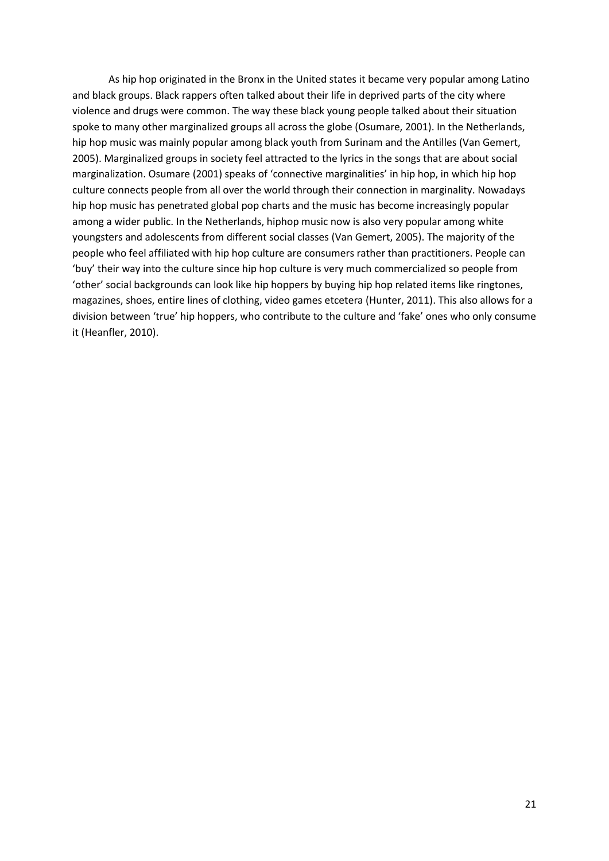As hip hop originated in the Bronx in the United states it became very popular among Latino and black groups. Black rappers often talked about their life in deprived parts of the city where violence and drugs were common. The way these black young people talked about their situation spoke to many other marginalized groups all across the globe (Osumare, 2001). In the Netherlands, hip hop music was mainly popular among black youth from Surinam and the Antilles (Van Gemert, 2005). Marginalized groups in society feel attracted to the lyrics in the songs that are about social marginalization. Osumare (2001) speaks of 'connective marginalities' in hip hop, in which hip hop culture connects people from all over the world through their connection in marginality. Nowadays hip hop music has penetrated global pop charts and the music has become increasingly popular among a wider public. In the Netherlands, hiphop music now is also very popular among white youngsters and adolescents from different social classes (Van Gemert, 2005). The majority of the people who feel affiliated with hip hop culture are consumers rather than practitioners. People can 'buy' their way into the culture since hip hop culture is very much commercialized so people from 'other' social backgrounds can look like hip hoppers by buying hip hop related items like ringtones, magazines, shoes, entire lines of clothing, video games etcetera (Hunter, 2011). This also allows for a division between 'true' hip hoppers, who contribute to the culture and 'fake' ones who only consume it (Heanfler, 2010).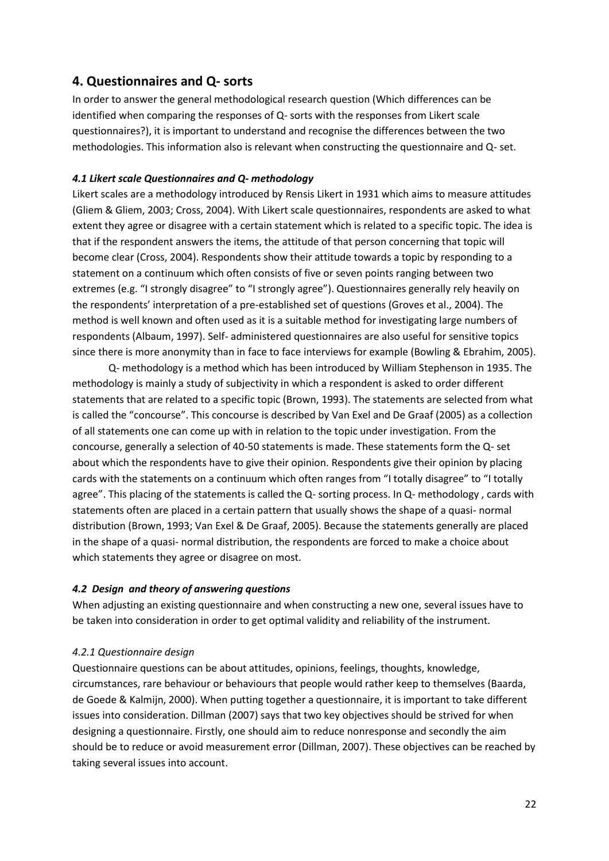# **4. Questionnaires and Q- sorts**

In order to answer the general methodological research question (Which differences can be identified when comparing the responses of Q- sorts with the responses from Likert scale questionnaires?), it is important to understand and recognise the differences between the two methodologies. This information also is relevant when constructing the questionnaire and Q- set.

#### *4.1 Likert scale Questionnaires and Q- methodology*

Likert scales are a methodology introduced by Rensis Likert in 1931 which aims to measure attitudes (Gliem & Gliem, 2003; Cross, 2004). With Likert scale questionnaires, respondents are asked to what extent they agree or disagree with a certain statement which is related to a specific topic. The idea is that if the respondent answers the items, the attitude of that person concerning that topic will become clear (Cross, 2004). Respondents show their attitude towards a topic by responding to a statement on a continuum which often consists of five or seven points ranging between two extremes (e.g. "I strongly disagree" to "I strongly agree"). Questionnaires generally rely heavily on the respondents' interpretation of a pre-established set of questions (Groves et al., 2004). The method is well known and often used as it is a suitable method for investigating large numbers of respondents (Albaum, 1997). Self- administered questionnaires are also useful for sensitive topics since there is more anonymity than in face to face interviews for example (Bowling & Ebrahim, 2005).

Q- methodology is a method which has been introduced by William Stephenson in 1935. The methodology is mainly a study of subjectivity in which a respondent is asked to order different statements that are related to a specific topic (Brown, 1993). The statements are selected from what is called the "concourse". This concourse is described by Van Exel and De Graaf (2005) as a collection of all statements one can come up with in relation to the topic under investigation. From the concourse, generally a selection of 40-50 statements is made. These statements form the Q- set about which the respondents have to give their opinion. Respondents give their opinion by placing cards with the statements on a continuum which often ranges from "I totally disagree" to "I totally agree". This placing of the statements is called the Q- sorting process. In Q- methodology , cards with statements often are placed in a certain pattern that usually shows the shape of a quasi- normal distribution (Brown, 1993; Van Exel & De Graaf, 2005). Because the statements generally are placed in the shape of a quasi- normal distribution, the respondents are forced to make a choice about which statements they agree or disagree on most.

#### *4.2 Design and theory of answering questions*

When adjusting an existing questionnaire and when constructing a new one, several issues have to be taken into consideration in order to get optimal validity and reliability of the instrument.

#### *4.2.1 Questionnaire design*

Questionnaire questions can be about attitudes, opinions, feelings, thoughts, knowledge, circumstances, rare behaviour or behaviours that people would rather keep to themselves (Baarda, de Goede & Kalmijn, 2000). When putting together a questionnaire, it is important to take different issues into consideration. Dillman (2007) says that two key objectives should be strived for when designing a questionnaire. Firstly, one should aim to reduce nonresponse and secondly the aim should be to reduce or avoid measurement error (Dillman, 2007). These objectives can be reached by taking several issues into account.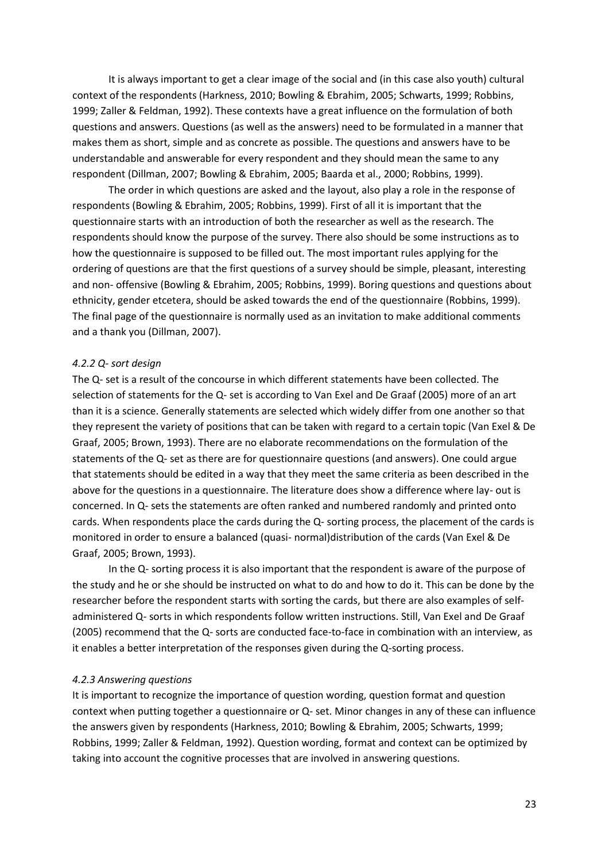It is always important to get a clear image of the social and (in this case also youth) cultural context of the respondents (Harkness, 2010; Bowling & Ebrahim, 2005; Schwarts, 1999; Robbins, 1999; Zaller & Feldman, 1992). These contexts have a great influence on the formulation of both questions and answers. Questions (as well as the answers) need to be formulated in a manner that makes them as short, simple and as concrete as possible. The questions and answers have to be understandable and answerable for every respondent and they should mean the same to any respondent (Dillman, 2007; Bowling & Ebrahim, 2005; Baarda et al., 2000; Robbins, 1999).

The order in which questions are asked and the layout, also play a role in the response of respondents (Bowling & Ebrahim, 2005; Robbins, 1999). First of all it is important that the questionnaire starts with an introduction of both the researcher as well as the research. The respondents should know the purpose of the survey. There also should be some instructions as to how the questionnaire is supposed to be filled out. The most important rules applying for the ordering of questions are that the first questions of a survey should be simple, pleasant, interesting and non- offensive (Bowling & Ebrahim, 2005; Robbins, 1999). Boring questions and questions about ethnicity, gender etcetera, should be asked towards the end of the questionnaire (Robbins, 1999). The final page of the questionnaire is normally used as an invitation to make additional comments and a thank you (Dillman, 2007).

#### *4.2.2 Q- sort design*

The Q- set is a result of the concourse in which different statements have been collected. The selection of statements for the Q- set is according to Van Exel and De Graaf (2005) more of an art than it is a science. Generally statements are selected which widely differ from one another so that they represent the variety of positions that can be taken with regard to a certain topic (Van Exel & De Graaf, 2005; Brown, 1993). There are no elaborate recommendations on the formulation of the statements of the Q- set as there are for questionnaire questions (and answers). One could argue that statements should be edited in a way that they meet the same criteria as been described in the above for the questions in a questionnaire. The literature does show a difference where lay- out is concerned. In Q- sets the statements are often ranked and numbered randomly and printed onto cards. When respondents place the cards during the Q- sorting process, the placement of the cards is monitored in order to ensure a balanced (quasi- normal)distribution of the cards (Van Exel & De Graaf, 2005; Brown, 1993).

In the Q- sorting process it is also important that the respondent is aware of the purpose of the study and he or she should be instructed on what to do and how to do it. This can be done by the researcher before the respondent starts with sorting the cards, but there are also examples of selfadministered Q- sorts in which respondents follow written instructions. Still, Van Exel and De Graaf (2005) recommend that the Q- sorts are conducted face-to-face in combination with an interview, as it enables a better interpretation of the responses given during the Q-sorting process.

#### *4.2.3 Answering questions*

It is important to recognize the importance of question wording, question format and question context when putting together a questionnaire or Q- set. Minor changes in any of these can influence the answers given by respondents (Harkness, 2010; Bowling & Ebrahim, 2005; Schwarts, 1999; Robbins, 1999; Zaller & Feldman, 1992). Question wording, format and context can be optimized by taking into account the cognitive processes that are involved in answering questions.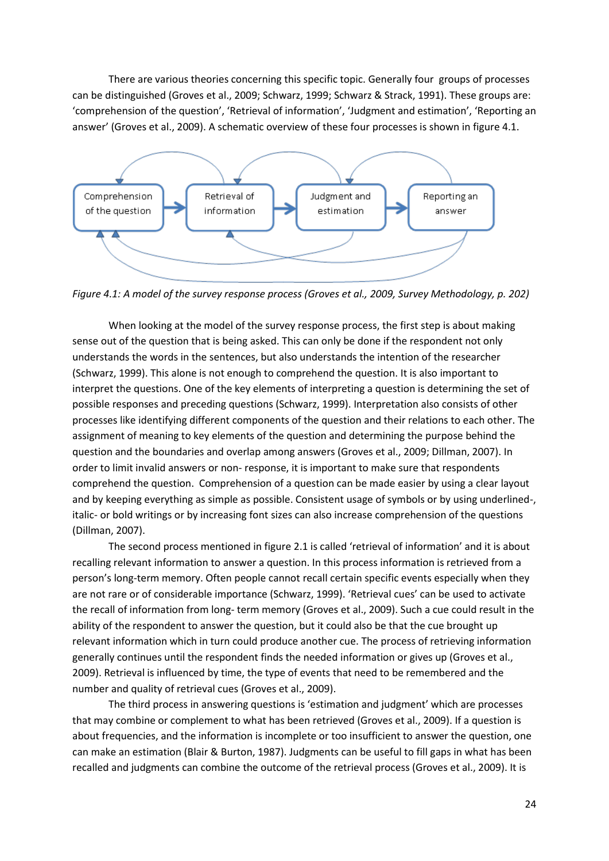There are various theories concerning this specific topic. Generally four groups of processes can be distinguished (Groves et al., 2009; Schwarz, 1999; Schwarz & Strack, 1991). These groups are: 'comprehension of the question', 'Retrieval of information', 'Judgment and estimation', 'Reporting an answer' (Groves et al., 2009). A schematic overview of these four processes is shown in figure 4.1.



*Figure 4.1: A model of the survey response process (Groves et al., 2009, Survey Methodology, p. 202)*

When looking at the model of the survey response process, the first step is about making sense out of the question that is being asked. This can only be done if the respondent not only understands the words in the sentences, but also understands the intention of the researcher (Schwarz, 1999). This alone is not enough to comprehend the question. It is also important to interpret the questions. One of the key elements of interpreting a question is determining the set of possible responses and preceding questions (Schwarz, 1999). Interpretation also consists of other processes like identifying different components of the question and their relations to each other. The assignment of meaning to key elements of the question and determining the purpose behind the question and the boundaries and overlap among answers (Groves et al., 2009; Dillman, 2007). In order to limit invalid answers or non- response, it is important to make sure that respondents comprehend the question. Comprehension of a question can be made easier by using a clear layout and by keeping everything as simple as possible. Consistent usage of symbols or by using underlined-, italic- or bold writings or by increasing font sizes can also increase comprehension of the questions (Dillman, 2007).

The second process mentioned in figure 2.1 is called 'retrieval of information' and it is about recalling relevant information to answer a question. In this process information is retrieved from a person's long-term memory. Often people cannot recall certain specific events especially when they are not rare or of considerable importance (Schwarz, 1999). 'Retrieval cues' can be used to activate the recall of information from long- term memory (Groves et al., 2009). Such a cue could result in the ability of the respondent to answer the question, but it could also be that the cue brought up relevant information which in turn could produce another cue. The process of retrieving information generally continues until the respondent finds the needed information or gives up (Groves et al., 2009). Retrieval is influenced by time, the type of events that need to be remembered and the number and quality of retrieval cues (Groves et al., 2009).

The third process in answering questions is 'estimation and judgment' which are processes that may combine or complement to what has been retrieved (Groves et al., 2009). If a question is about frequencies, and the information is incomplete or too insufficient to answer the question, one can make an estimation (Blair & Burton, 1987). Judgments can be useful to fill gaps in what has been recalled and judgments can combine the outcome of the retrieval process (Groves et al., 2009). It is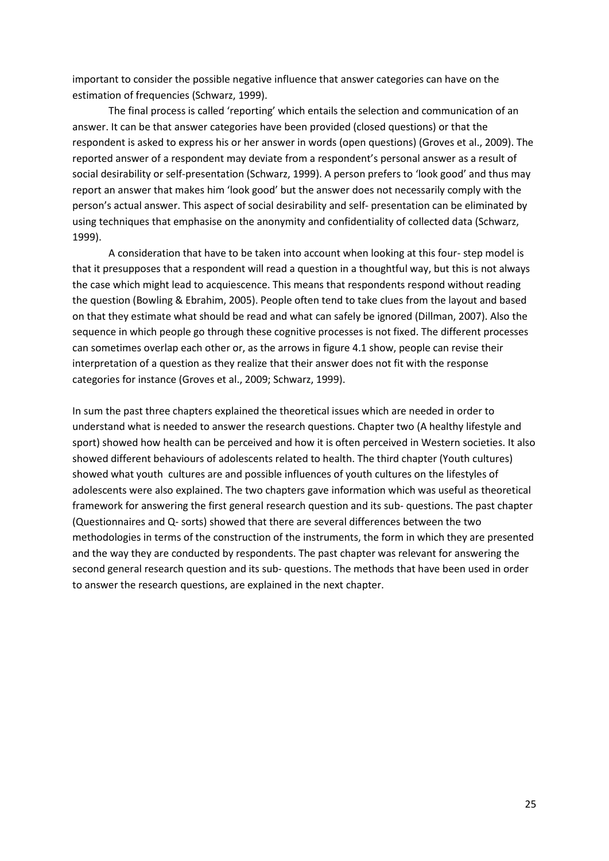important to consider the possible negative influence that answer categories can have on the estimation of frequencies (Schwarz, 1999).

The final process is called 'reporting' which entails the selection and communication of an answer. It can be that answer categories have been provided (closed questions) or that the respondent is asked to express his or her answer in words (open questions) (Groves et al., 2009). The reported answer of a respondent may deviate from a respondent's personal answer as a result of social desirability or self-presentation (Schwarz, 1999). A person prefers to 'look good' and thus may report an answer that makes him 'look good' but the answer does not necessarily comply with the person's actual answer. This aspect of social desirability and self- presentation can be eliminated by using techniques that emphasise on the anonymity and confidentiality of collected data (Schwarz, 1999).

A consideration that have to be taken into account when looking at this four- step model is that it presupposes that a respondent will read a question in a thoughtful way, but this is not always the case which might lead to acquiescence. This means that respondents respond without reading the question (Bowling & Ebrahim, 2005). People often tend to take clues from the layout and based on that they estimate what should be read and what can safely be ignored (Dillman, 2007). Also the sequence in which people go through these cognitive processes is not fixed. The different processes can sometimes overlap each other or, as the arrows in figure 4.1 show, people can revise their interpretation of a question as they realize that their answer does not fit with the response categories for instance (Groves et al., 2009; Schwarz, 1999).

In sum the past three chapters explained the theoretical issues which are needed in order to understand what is needed to answer the research questions. Chapter two (A healthy lifestyle and sport) showed how health can be perceived and how it is often perceived in Western societies. It also showed different behaviours of adolescents related to health. The third chapter (Youth cultures) showed what youth cultures are and possible influences of youth cultures on the lifestyles of adolescents were also explained. The two chapters gave information which was useful as theoretical framework for answering the first general research question and its sub- questions. The past chapter (Questionnaires and Q- sorts) showed that there are several differences between the two methodologies in terms of the construction of the instruments, the form in which they are presented and the way they are conducted by respondents. The past chapter was relevant for answering the second general research question and its sub- questions. The methods that have been used in order to answer the research questions, are explained in the next chapter.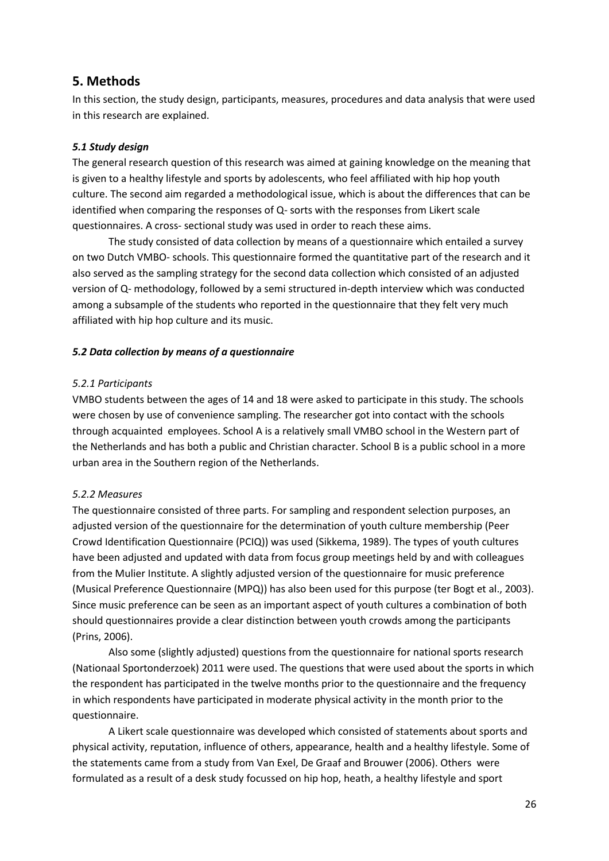## **5. Methods**

In this section, the study design, participants, measures, procedures and data analysis that were used in this research are explained.

#### *5.1 Study design*

The general research question of this research was aimed at gaining knowledge on the meaning that is given to a healthy lifestyle and sports by adolescents, who feel affiliated with hip hop youth culture. The second aim regarded a methodological issue, which is about the differences that can be identified when comparing the responses of Q- sorts with the responses from Likert scale questionnaires. A cross- sectional study was used in order to reach these aims.

The study consisted of data collection by means of a questionnaire which entailed a survey on two Dutch VMBO- schools. This questionnaire formed the quantitative part of the research and it also served as the sampling strategy for the second data collection which consisted of an adjusted version of Q- methodology, followed by a semi structured in-depth interview which was conducted among a subsample of the students who reported in the questionnaire that they felt very much affiliated with hip hop culture and its music.

#### *5.2 Data collection by means of a questionnaire*

#### *5.2.1 Participants*

VMBO students between the ages of 14 and 18 were asked to participate in this study. The schools were chosen by use of convenience sampling. The researcher got into contact with the schools through acquainted employees. School A is a relatively small VMBO school in the Western part of the Netherlands and has both a public and Christian character. School B is a public school in a more urban area in the Southern region of the Netherlands.

#### *5.2.2 Measures*

The questionnaire consisted of three parts. For sampling and respondent selection purposes, an adjusted version of the questionnaire for the determination of youth culture membership (Peer Crowd Identification Questionnaire (PCIQ)) was used (Sikkema, 1989). The types of youth cultures have been adjusted and updated with data from focus group meetings held by and with colleagues from the Mulier Institute. A slightly adjusted version of the questionnaire for music preference (Musical Preference Questionnaire (MPQ)) has also been used for this purpose (ter Bogt et al., 2003). Since music preference can be seen as an important aspect of youth cultures a combination of both should questionnaires provide a clear distinction between youth crowds among the participants (Prins, 2006).

Also some (slightly adjusted) questions from the questionnaire for national sports research (Nationaal Sportonderzoek) 2011 were used. The questions that were used about the sports in which the respondent has participated in the twelve months prior to the questionnaire and the frequency in which respondents have participated in moderate physical activity in the month prior to the questionnaire.

A Likert scale questionnaire was developed which consisted of statements about sports and physical activity, reputation, influence of others, appearance, health and a healthy lifestyle. Some of the statements came from a study from Van Exel, De Graaf and Brouwer (2006). Others were formulated as a result of a desk study focussed on hip hop, heath, a healthy lifestyle and sport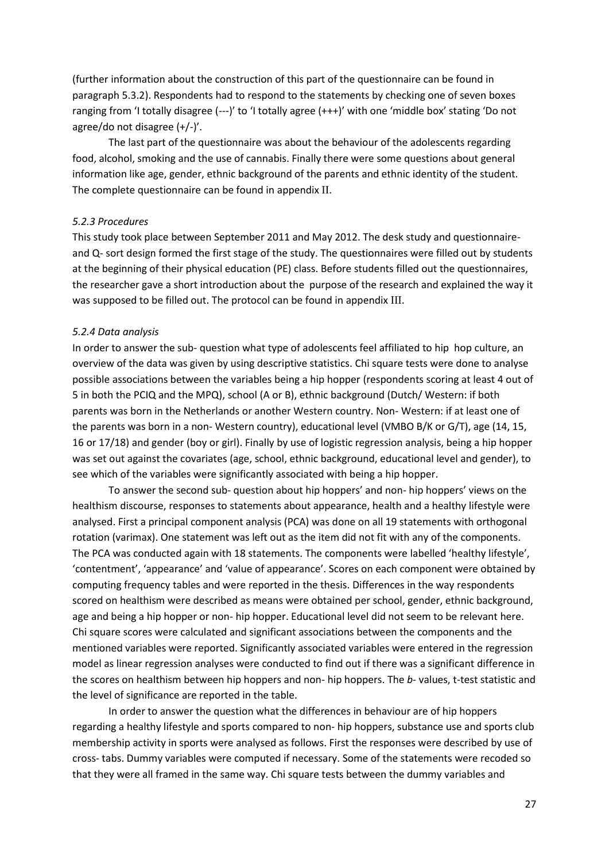(further information about the construction of this part of the questionnaire can be found in paragraph 5.3.2). Respondents had to respond to the statements by checking one of seven boxes ranging from 'I totally disagree (---)' to 'I totally agree (+++)' with one 'middle box' stating 'Do not agree/do not disagree (+/-)'.

The last part of the questionnaire was about the behaviour of the adolescents regarding food, alcohol, smoking and the use of cannabis. Finally there were some questions about general information like age, gender, ethnic background of the parents and ethnic identity of the student. The complete questionnaire can be found in appendix II.

#### *5.2.3 Procedures*

This study took place between September 2011 and May 2012. The desk study and questionnaireand Q- sort design formed the first stage of the study. The questionnaires were filled out by students at the beginning of their physical education (PE) class. Before students filled out the questionnaires, the researcher gave a short introduction about the purpose of the research and explained the way it was supposed to be filled out. The protocol can be found in appendix III.

#### *5.2.4 Data analysis*

In order to answer the sub- question what type of adolescents feel affiliated to hip hop culture, an overview of the data was given by using descriptive statistics. Chi square tests were done to analyse possible associations between the variables being a hip hopper (respondents scoring at least 4 out of 5 in both the PCIQ and the MPQ), school (A or B), ethnic background (Dutch/ Western: if both parents was born in the Netherlands or another Western country. Non- Western: if at least one of the parents was born in a non- Western country), educational level (VMBO B/K or G/T), age (14, 15, 16 or 17/18) and gender (boy or girl). Finally by use of logistic regression analysis, being a hip hopper was set out against the covariates (age, school, ethnic background, educational level and gender), to see which of the variables were significantly associated with being a hip hopper.

To answer the second sub- question about hip hoppers' and non- hip hoppers' views on the healthism discourse, responses to statements about appearance, health and a healthy lifestyle were analysed. First a principal component analysis (PCA) was done on all 19 statements with orthogonal rotation (varimax). One statement was left out as the item did not fit with any of the components. The PCA was conducted again with 18 statements. The components were labelled 'healthy lifestyle', 'contentment', 'appearance' and 'value of appearance'. Scores on each component were obtained by computing frequency tables and were reported in the thesis. Differences in the way respondents scored on healthism were described as means were obtained per school, gender, ethnic background, age and being a hip hopper or non- hip hopper. Educational level did not seem to be relevant here. Chi square scores were calculated and significant associations between the components and the mentioned variables were reported. Significantly associated variables were entered in the regression model as linear regression analyses were conducted to find out if there was a significant difference in the scores on healthism between hip hoppers and non- hip hoppers. The *b*- values, t-test statistic and the level of significance are reported in the table.

In order to answer the question what the differences in behaviour are of hip hoppers regarding a healthy lifestyle and sports compared to non- hip hoppers, substance use and sports club membership activity in sports were analysed as follows. First the responses were described by use of cross- tabs. Dummy variables were computed if necessary. Some of the statements were recoded so that they were all framed in the same way. Chi square tests between the dummy variables and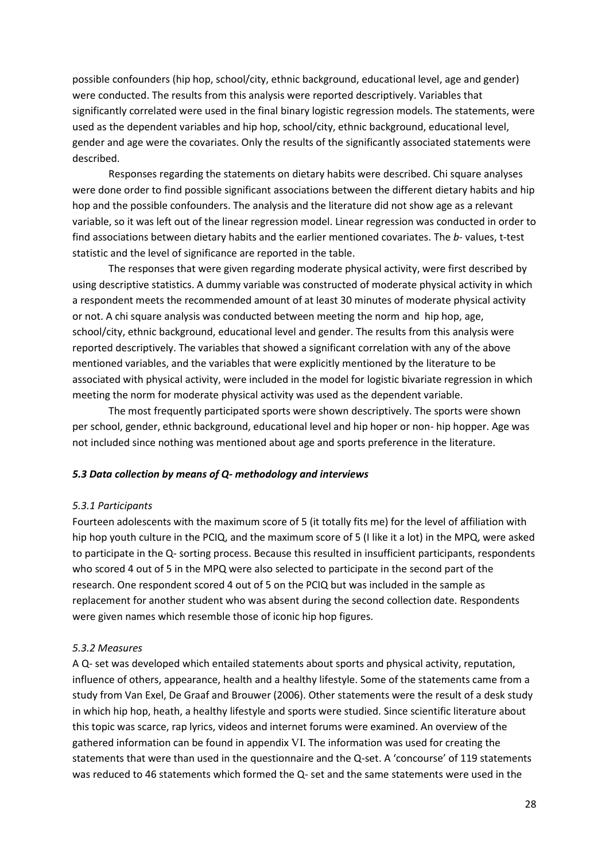possible confounders (hip hop, school/city, ethnic background, educational level, age and gender) were conducted. The results from this analysis were reported descriptively. Variables that significantly correlated were used in the final binary logistic regression models. The statements, were used as the dependent variables and hip hop, school/city, ethnic background, educational level, gender and age were the covariates. Only the results of the significantly associated statements were described.

Responses regarding the statements on dietary habits were described. Chi square analyses were done order to find possible significant associations between the different dietary habits and hip hop and the possible confounders. The analysis and the literature did not show age as a relevant variable, so it was left out of the linear regression model. Linear regression was conducted in order to find associations between dietary habits and the earlier mentioned covariates. The *b*- values, t-test statistic and the level of significance are reported in the table.

The responses that were given regarding moderate physical activity, were first described by using descriptive statistics. A dummy variable was constructed of moderate physical activity in which a respondent meets the recommended amount of at least 30 minutes of moderate physical activity or not. A chi square analysis was conducted between meeting the norm and hip hop, age, school/city, ethnic background, educational level and gender. The results from this analysis were reported descriptively. The variables that showed a significant correlation with any of the above mentioned variables, and the variables that were explicitly mentioned by the literature to be associated with physical activity, were included in the model for logistic bivariate regression in which meeting the norm for moderate physical activity was used as the dependent variable.

The most frequently participated sports were shown descriptively. The sports were shown per school, gender, ethnic background, educational level and hip hoper or non- hip hopper. Age was not included since nothing was mentioned about age and sports preference in the literature.

#### *5.3 Data collection by means of Q- methodology and interviews*

#### *5.3.1 Participants*

Fourteen adolescents with the maximum score of 5 (it totally fits me) for the level of affiliation with hip hop youth culture in the PCIQ, and the maximum score of 5 (I like it a lot) in the MPQ, were asked to participate in the Q- sorting process. Because this resulted in insufficient participants, respondents who scored 4 out of 5 in the MPQ were also selected to participate in the second part of the research. One respondent scored 4 out of 5 on the PCIQ but was included in the sample as replacement for another student who was absent during the second collection date. Respondents were given names which resemble those of iconic hip hop figures.

#### *5.3.2 Measures*

A Q- set was developed which entailed statements about sports and physical activity, reputation, influence of others, appearance, health and a healthy lifestyle. Some of the statements came from a study from Van Exel, De Graaf and Brouwer (2006). Other statements were the result of a desk study in which hip hop, heath, a healthy lifestyle and sports were studied. Since scientific literature about this topic was scarce, rap lyrics, videos and internet forums were examined. An overview of the gathered information can be found in appendix VI. The information was used for creating the statements that were than used in the questionnaire and the Q-set. A 'concourse' of 119 statements was reduced to 46 statements which formed the Q- set and the same statements were used in the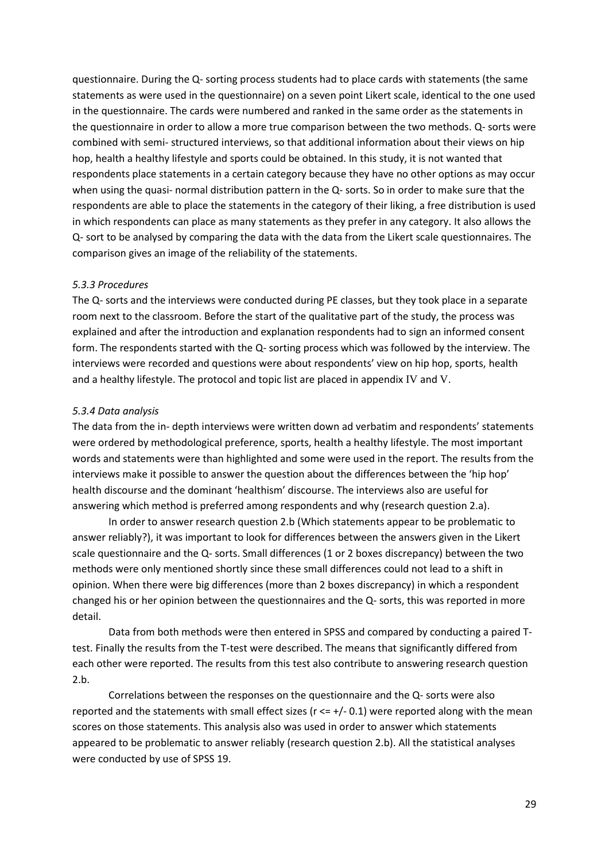questionnaire. During the Q- sorting process students had to place cards with statements (the same statements as were used in the questionnaire) on a seven point Likert scale, identical to the one used in the questionnaire. The cards were numbered and ranked in the same order as the statements in the questionnaire in order to allow a more true comparison between the two methods. Q- sorts were combined with semi- structured interviews, so that additional information about their views on hip hop, health a healthy lifestyle and sports could be obtained. In this study, it is not wanted that respondents place statements in a certain category because they have no other options as may occur when using the quasi- normal distribution pattern in the Q- sorts. So in order to make sure that the respondents are able to place the statements in the category of their liking, a free distribution is used in which respondents can place as many statements as they prefer in any category. It also allows the Q- sort to be analysed by comparing the data with the data from the Likert scale questionnaires. The comparison gives an image of the reliability of the statements.

#### *5.3.3 Procedures*

The Q- sorts and the interviews were conducted during PE classes, but they took place in a separate room next to the classroom. Before the start of the qualitative part of the study, the process was explained and after the introduction and explanation respondents had to sign an informed consent form. The respondents started with the Q- sorting process which was followed by the interview. The interviews were recorded and questions were about respondents' view on hip hop, sports, health and a healthy lifestyle. The protocol and topic list are placed in appendix IV and V.

#### *5.3.4 Data analysis*

The data from the in- depth interviews were written down ad verbatim and respondents' statements were ordered by methodological preference, sports, health a healthy lifestyle. The most important words and statements were than highlighted and some were used in the report. The results from the interviews make it possible to answer the question about the differences between the 'hip hop' health discourse and the dominant 'healthism' discourse. The interviews also are useful for answering which method is preferred among respondents and why (research question 2.a).

In order to answer research question 2.b (Which statements appear to be problematic to answer reliably?), it was important to look for differences between the answers given in the Likert scale questionnaire and the Q- sorts. Small differences (1 or 2 boxes discrepancy) between the two methods were only mentioned shortly since these small differences could not lead to a shift in opinion. When there were big differences (more than 2 boxes discrepancy) in which a respondent changed his or her opinion between the questionnaires and the Q- sorts, this was reported in more detail.

Data from both methods were then entered in SPSS and compared by conducting a paired Ttest. Finally the results from the T-test were described. The means that significantly differed from each other were reported. The results from this test also contribute to answering research question 2.b.

Correlations between the responses on the questionnaire and the Q- sorts were also reported and the statements with small effect sizes ( $r \le r-1$  0.1) were reported along with the mean scores on those statements. This analysis also was used in order to answer which statements appeared to be problematic to answer reliably (research question 2.b). All the statistical analyses were conducted by use of SPSS 19.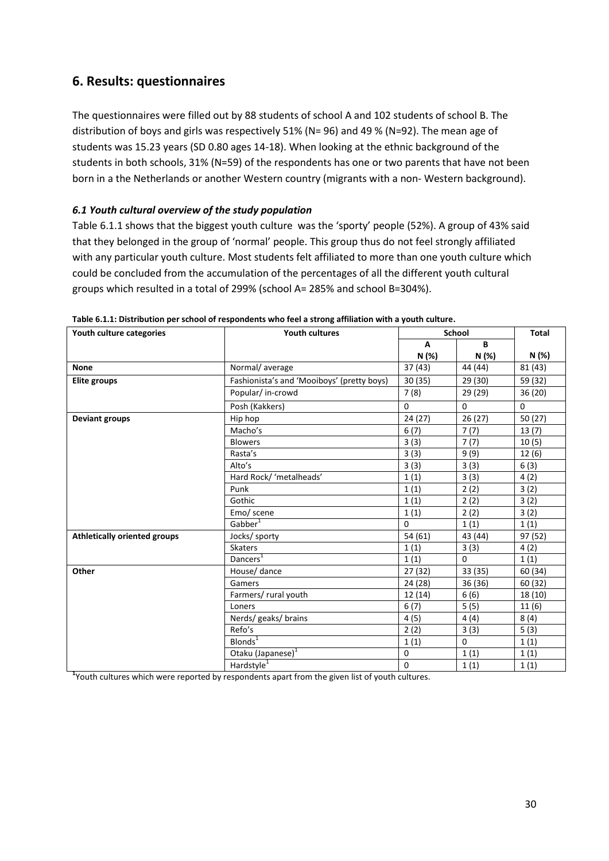# **6. Results: questionnaires**

The questionnaires were filled out by 88 students of school A and 102 students of school B. The distribution of boys and girls was respectively 51% (N= 96) and 49 % (N=92). The mean age of students was 15.23 years (SD 0.80 ages 14-18). When looking at the ethnic background of the students in both schools, 31% (N=59) of the respondents has one or two parents that have not been born in a the Netherlands or another Western country (migrants with a non- Western background).

#### *6.1 Youth cultural overview of the study population*

Table 6.1.1 shows that the biggest youth culture was the 'sporty' people (52%). A group of 43% said that they belonged in the group of 'normal' people. This group thus do not feel strongly affiliated with any particular youth culture. Most students felt affiliated to more than one youth culture which could be concluded from the accumulation of the percentages of all the different youth cultural groups which resulted in a total of 299% (school A= 285% and school B=304%).

| Youth culture categories            | <b>Youth cultures</b>                      |             | <b>School</b><br>B<br>A |          |
|-------------------------------------|--------------------------------------------|-------------|-------------------------|----------|
|                                     |                                            |             |                         |          |
|                                     |                                            | N (%)       | N (%)                   | N (%)    |
| <b>None</b>                         | Normal/average                             | 37(43)      | 44 (44)                 | 81(43)   |
| <b>Elite groups</b>                 | Fashionista's and 'Mooiboys' (pretty boys) | 30(35)      | 29 (30)                 | 59 (32)  |
|                                     | Popular/ in-crowd                          | 7(8)        | 29 (29)                 | 36(20)   |
|                                     | Posh (Kakkers)                             | $\Omega$    | $\Omega$                | $\Omega$ |
| <b>Deviant groups</b>               | Hip hop                                    | 24 (27)     | 26(27)                  | 50 (27)  |
|                                     | Macho's                                    | 6(7)        | 7(7)                    | 13(7)    |
|                                     | <b>Blowers</b>                             | 3(3)        | 7(7)                    | 10(5)    |
|                                     | Rasta's                                    | 3(3)        | 9(9)                    | 12(6)    |
|                                     | Alto's                                     | 3(3)        | 3(3)                    | 6(3)     |
|                                     | Hard Rock/ 'metalheads'                    | 1(1)        | 3(3)                    | 4(2)     |
|                                     | Punk                                       | 1(1)        | 2(2)                    | 3(2)     |
|                                     | Gothic                                     | 1(1)        | 2(2)                    | 3(2)     |
|                                     | Emo/ scene                                 | 1(1)        | 2(2)                    | 3(2)     |
|                                     | Gabber <sup>1</sup>                        | $\Omega$    | 1(1)                    | 1(1)     |
| <b>Athletically oriented groups</b> | Jocks/ sporty                              | 54 (61)     | 43 (44)                 | 97 (52)  |
|                                     | <b>Skaters</b>                             | 1(1)        | 3(3)                    | 4(2)     |
|                                     | Dancers <sup>1</sup>                       | 1(1)        | $\Omega$                | 1(1)     |
| Other                               | House/ dance                               | 27 (32)     | 33 (35)                 | 60 (34)  |
|                                     | Gamers                                     | 24 (28)     | 36 (36)                 | 60 (32)  |
|                                     | Farmers/ rural youth                       | 12(14)      | 6(6)                    | 18 (10)  |
|                                     | Loners                                     | 6(7)        | 5(5)                    | 11(6)    |
|                                     | Nerds/geaks/brains                         | 4(5)        | 4(4)                    | 8(4)     |
|                                     | Refo's                                     | 2(2)        | 3(3)                    | 5(3)     |
|                                     | Blonds <sup>1</sup>                        | 1(1)        | $\Omega$                | 1(1)     |
|                                     | Otaku (Japanese) <sup>1</sup>              | $\mathbf 0$ | 1(1)                    | 1(1)     |
|                                     | Hardstyle <sup>1</sup>                     | $\pmb{0}$   | 1(1)                    | 1(1)     |

**Table 6.1.1: Distribution per school of respondents who feel a strong affiliation with a youth culture.**

**1** Youth cultures which were reported by respondents apart from the given list of youth cultures.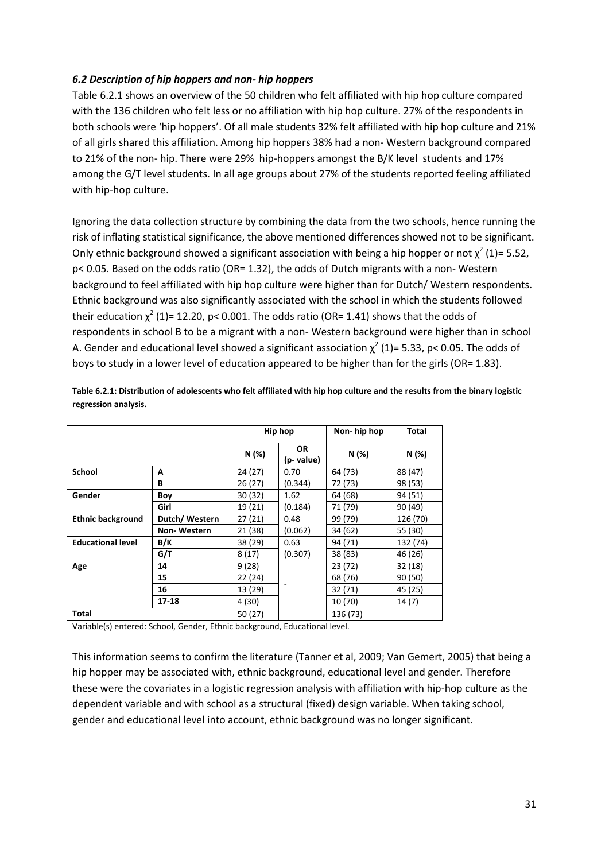#### *6.2 Description of hip hoppers and non- hip hoppers*

Table 6.2.1 shows an overview of the 50 children who felt affiliated with hip hop culture compared with the 136 children who felt less or no affiliation with hip hop culture. 27% of the respondents in both schools were 'hip hoppers'. Of all male students 32% felt affiliated with hip hop culture and 21% of all girls shared this affiliation. Among hip hoppers 38% had a non- Western background compared to 21% of the non- hip. There were 29% hip-hoppers amongst the B/K level students and 17% among the G/T level students. In all age groups about 27% of the students reported feeling affiliated with hip-hop culture.

Ignoring the data collection structure by combining the data from the two schools, hence running the risk of inflating statistical significance, the above mentioned differences showed not to be significant. Only ethnic background showed a significant association with being a hip hopper or not  $\chi^2$  (1)= 5.52, p< 0.05. Based on the odds ratio (OR= 1.32), the odds of Dutch migrants with a non- Western background to feel affiliated with hip hop culture were higher than for Dutch/ Western respondents. Ethnic background was also significantly associated with the school in which the students followed their education  $\chi^2$  (1)= 12.20, p< 0.001. The odds ratio (OR= 1.41) shows that the odds of respondents in school B to be a migrant with a non- Western background were higher than in school A. Gender and educational level showed a significant association  $\chi^2$  (1)= 5.33, p< 0.05. The odds of boys to study in a lower level of education appeared to be higher than for the girls (OR= 1.83).

|                          |               | <b>Hip hop</b> | Non-hip hop             | <b>Total</b> |          |
|--------------------------|---------------|----------------|-------------------------|--------------|----------|
|                          |               | N (%)          | <b>OR</b><br>(p- value) | N (%)        | N (%)    |
| <b>School</b>            | A             | 24 (27)        | 0.70                    | 64 (73)      | 88 (47)  |
|                          | В             | 26(27)         | (0.344)                 | 72 (73)      | 98 (53)  |
| Gender                   | Boy           | 30(32)         | 1.62                    | 64 (68)      | 94 (51)  |
|                          | Girl          | 19 (21)        | (0.184)                 | 71 (79)      | 90 (49)  |
| <b>Ethnic background</b> | Dutch/Western | 27(21)         | 0.48                    | 99 (79)      | 126 (70) |
|                          | Non-Western   | 21 (38)        | (0.062)                 | 34 (62)      | 55 (30)  |
| <b>Educational level</b> | B/K           | 38 (29)        | 0.63                    | 94 (71)      | 132 (74) |
|                          | G/T           | 8(17)          | (0.307)                 | 38 (83)      | 46 (26)  |
| Age                      | 14            | 9(28)          |                         | 23 (72)      | 32(18)   |
|                          | 15            | 22 (24)        |                         | 68 (76)      | 90 (50)  |
|                          | 16            | 13 (29)        |                         | 32(71)       | 45 (25)  |
|                          | $17 - 18$     | 4(30)          |                         | 10 (70)      | 14(7)    |
| Total                    |               | 50(27)         |                         | 136 (73)     |          |

**Table 6.2.1: Distribution of adolescents who felt affiliated with hip hop culture and the results from the binary logistic regression analysis.**

Variable(s) entered: School, Gender, Ethnic background, Educational level.

This information seems to confirm the literature (Tanner et al, 2009; Van Gemert, 2005) that being a hip hopper may be associated with, ethnic background, educational level and gender. Therefore these were the covariates in a logistic regression analysis with affiliation with hip-hop culture as the dependent variable and with school as a structural (fixed) design variable. When taking school, gender and educational level into account, ethnic background was no longer significant.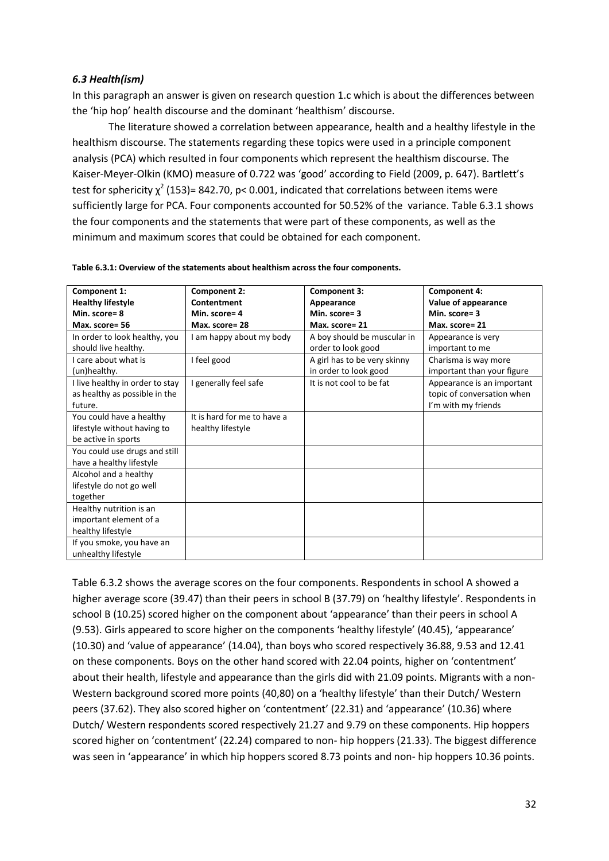#### *6.3 Health(ism)*

In this paragraph an answer is given on research question 1.c which is about the differences between the 'hip hop' health discourse and the dominant 'healthism' discourse.

The literature showed a correlation between appearance, health and a healthy lifestyle in the healthism discourse. The statements regarding these topics were used in a principle component analysis (PCA) which resulted in four components which represent the healthism discourse. The Kaiser-Meyer-Olkin (KMO) measure of 0.722 was 'good' according to Field (2009, p. 647). Bartlett's test for sphericity  $\chi^2$  (153)= 842.70, p< 0.001, indicated that correlations between items were sufficiently large for PCA. Four components accounted for 50.52% of the variance. Table 6.3.1 shows the four components and the statements that were part of these components, as well as the minimum and maximum scores that could be obtained for each component.

| Component 1:                    | <b>Component 2:</b>         | <b>Component 3:</b>          | <b>Component 4:</b>        |
|---------------------------------|-----------------------------|------------------------------|----------------------------|
| <b>Healthy lifestyle</b>        | Contentment                 | Appearance                   | Value of appearance        |
| Min. score= 8                   | Min. score= 4               | Min. score=3                 | Min. score= 3              |
| Max. score= 56                  | Max. score= 28              | Max. score= 21               | Max. score= 21             |
| In order to look healthy, you   | I am happy about my body    | A boy should be muscular in  | Appearance is very         |
| should live healthy.            |                             | order to look good           | important to me            |
| I care about what is            | I feel good                 | A girl has to be very skinny | Charisma is way more       |
| (un)healthy.                    |                             | in order to look good        | important than your figure |
| I live healthy in order to stay | I generally feel safe       | It is not cool to be fat     | Appearance is an important |
| as healthy as possible in the   |                             |                              | topic of conversation when |
| future.                         |                             |                              | I'm with my friends        |
| You could have a healthy        | It is hard for me to have a |                              |                            |
| lifestyle without having to     | healthy lifestyle           |                              |                            |
| be active in sports             |                             |                              |                            |
| You could use drugs and still   |                             |                              |                            |
| have a healthy lifestyle        |                             |                              |                            |
| Alcohol and a healthy           |                             |                              |                            |
| lifestyle do not go well        |                             |                              |                            |
| together                        |                             |                              |                            |
| Healthy nutrition is an         |                             |                              |                            |
| important element of a          |                             |                              |                            |
| healthy lifestyle               |                             |                              |                            |
| If you smoke, you have an       |                             |                              |                            |
| unhealthy lifestyle             |                             |                              |                            |

**Table 6.3.1: Overview of the statements about healthism across the four components.**

Table 6.3.2 shows the average scores on the four components. Respondents in school A showed a higher average score (39.47) than their peers in school B (37.79) on 'healthy lifestyle'. Respondents in school B (10.25) scored higher on the component about 'appearance' than their peers in school A (9.53). Girls appeared to score higher on the components 'healthy lifestyle' (40.45), 'appearance' (10.30) and 'value of appearance' (14.04), than boys who scored respectively 36.88, 9.53 and 12.41 on these components. Boys on the other hand scored with 22.04 points, higher on 'contentment' about their health, lifestyle and appearance than the girls did with 21.09 points. Migrants with a non-Western background scored more points (40,80) on a 'healthy lifestyle' than their Dutch/ Western peers (37.62). They also scored higher on 'contentment' (22.31) and 'appearance' (10.36) where Dutch/ Western respondents scored respectively 21.27 and 9.79 on these components. Hip hoppers scored higher on 'contentment' (22.24) compared to non- hip hoppers (21.33). The biggest difference was seen in 'appearance' in which hip hoppers scored 8.73 points and non- hip hoppers 10.36 points.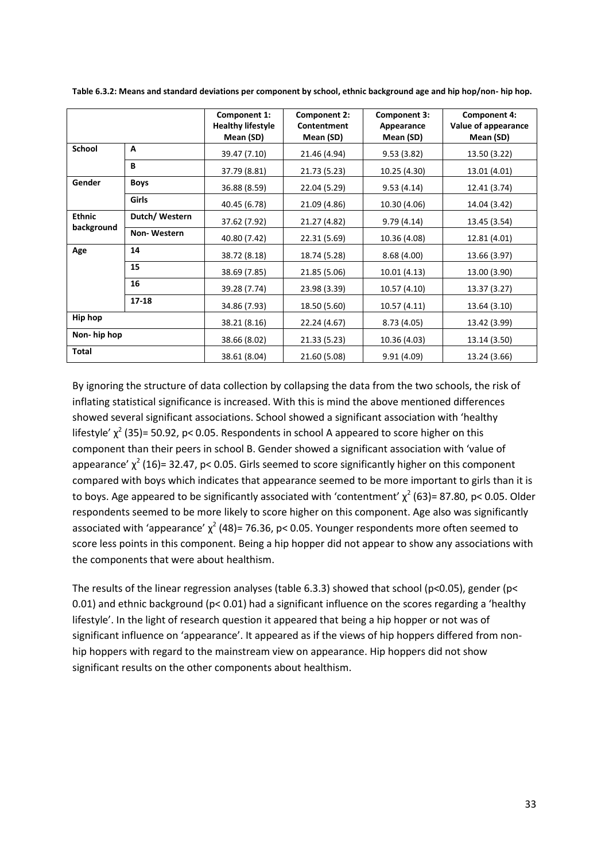|               |                    | Component 1:<br><b>Healthy lifestyle</b><br>Mean (SD) | <b>Component 2:</b><br>Contentment<br>Mean (SD) | <b>Component 3:</b><br>Appearance<br>Mean (SD) | <b>Component 4:</b><br>Value of appearance<br>Mean (SD) |
|---------------|--------------------|-------------------------------------------------------|-------------------------------------------------|------------------------------------------------|---------------------------------------------------------|
| <b>School</b> | A                  | 39.47 (7.10)                                          | 21.46 (4.94)                                    | 9.53(3.82)                                     | 13.50 (3.22)                                            |
|               | B                  | 37.79 (8.81)                                          | 21.73 (5.23)                                    | 10.25 (4.30)                                   | 13.01 (4.01)                                            |
| Gender        | <b>Boys</b>        | 36.88 (8.59)                                          | 22.04 (5.29)                                    | 9.53(4.14)                                     | 12.41 (3.74)                                            |
|               | <b>Girls</b>       | 40.45 (6.78)                                          | 21.09 (4.86)                                    | 10.30 (4.06)                                   | 14.04 (3.42)                                            |
| <b>Ethnic</b> | Dutch/Western      | 37.62 (7.92)                                          | 21.27 (4.82)                                    | 9.79(4.14)                                     | 13.45 (3.54)                                            |
| background    | <b>Non-Western</b> | 40.80 (7.42)                                          | 22.31 (5.69)                                    | 10.36 (4.08)                                   | 12.81 (4.01)                                            |
| Age           | 14                 | 38.72 (8.18)                                          | 18.74 (5.28)                                    | 8.68(4.00)                                     | 13.66 (3.97)                                            |
|               | 15                 | 38.69 (7.85)                                          | 21.85 (5.06)                                    | 10.01(4.13)                                    | 13.00 (3.90)                                            |
|               | 16                 | 39.28 (7.74)                                          | 23.98 (3.39)                                    | 10.57 (4.10)                                   | 13.37 (3.27)                                            |
|               | $17 - 18$          | 34.86 (7.93)                                          | 18.50 (5.60)                                    | 10.57 (4.11)                                   | 13.64 (3.10)                                            |
| Hip hop       | 38.21 (8.16)       |                                                       | 22.24 (4.67)                                    | 8.73 (4.05)                                    | 13.42 (3.99)                                            |
| Non-hiphop    |                    | 38.66 (8.02)                                          | 21.33 (5.23)                                    | 10.36 (4.03)                                   | 13.14 (3.50)                                            |
| Total         |                    | 38.61 (8.04)                                          | 21.60 (5.08)                                    | 9.91(4.09)                                     | 13.24 (3.66)                                            |

**Table 6.3.2: Means and standard deviations per component by school, ethnic background age and hip hop/non- hip hop.**

By ignoring the structure of data collection by collapsing the data from the two schools, the risk of inflating statistical significance is increased. With this is mind the above mentioned differences showed several significant associations. School showed a significant association with 'healthy lifestyle'  $\chi^2$  (35)= 50.92, p< 0.05. Respondents in school A appeared to score higher on this component than their peers in school B. Gender showed a significant association with 'value of appearance'  $\chi^2$  (16)= 32.47, p< 0.05. Girls seemed to score significantly higher on this component compared with boys which indicates that appearance seemed to be more important to girls than it is to boys. Age appeared to be significantly associated with 'contentment'  $\chi^2$  (63)= 87.80, p< 0.05. Older respondents seemed to be more likely to score higher on this component. Age also was significantly associated with 'appearance'  $\chi^2$  (48)= 76.36, p< 0.05. Younger respondents more often seemed to score less points in this component. Being a hip hopper did not appear to show any associations with the components that were about healthism.

The results of the linear regression analyses (table 6.3.3) showed that school (p<0.05), gender (p< 0.01) and ethnic background (p< 0.01) had a significant influence on the scores regarding a 'healthy lifestyle'. In the light of research question it appeared that being a hip hopper or not was of significant influence on 'appearance'. It appeared as if the views of hip hoppers differed from nonhip hoppers with regard to the mainstream view on appearance. Hip hoppers did not show significant results on the other components about healthism.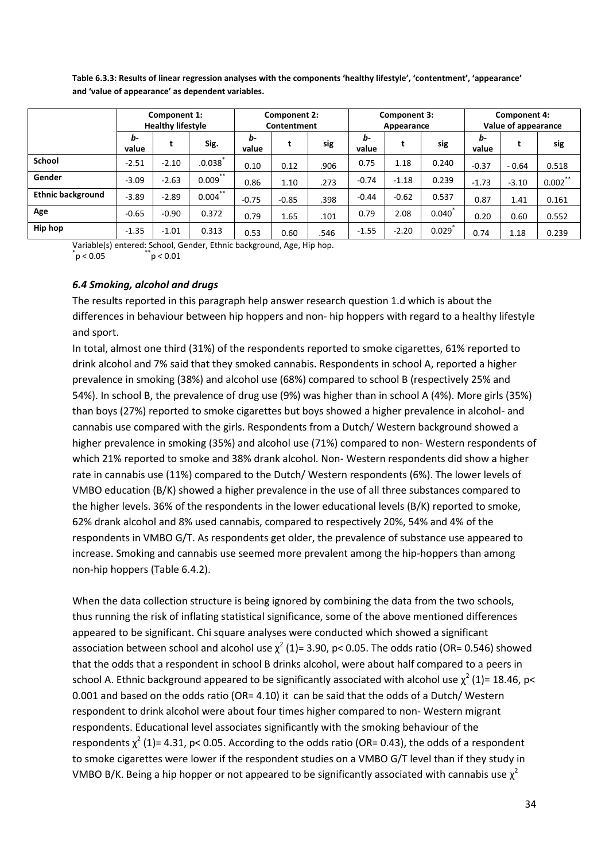|                          | Component 1:<br><b>Healthy lifestyle</b> |         | Component 2:<br><b>Contentment</b> |             |         | <b>Component 3:</b><br>Appearance |             |         | Component 4:<br>Value of appearance |             |         |            |
|--------------------------|------------------------------------------|---------|------------------------------------|-------------|---------|-----------------------------------|-------------|---------|-------------------------------------|-------------|---------|------------|
|                          | b-<br>value                              | τ       | Sig.                               | b-<br>value |         | sig                               | b-<br>value | t       | sig                                 | b-<br>value |         | sig        |
| <b>School</b>            | $-2.51$                                  | $-2.10$ | .0.038                             | 0.10        | 0.12    | .906                              | 0.75        | 1.18    | 0.240                               | $-0.37$     | $-0.64$ | 0.518      |
| Gender                   | $-3.09$                                  | $-2.63$ | **<br>0.009                        | 0.86        | 1.10    | .273                              | $-0.74$     | $-1.18$ | 0.239                               | $-1.73$     | $-3.10$ | $0.002$ ** |
| <b>Ethnic background</b> | $-3.89$                                  | $-2.89$ | **<br>0.004                        | $-0.75$     | $-0.85$ | .398                              | $-0.44$     | $-0.62$ | 0.537                               | 0.87        | 1.41    | 0.161      |
| Age                      | $-0.65$                                  | $-0.90$ | 0.372                              | 0.79        | 1.65    | .101                              | 0.79        | 2.08    | 0.040                               | 0.20        | 0.60    | 0.552      |
| <b>Hip hop</b>           | $-1.35$                                  | $-1.01$ | 0.313                              | 0.53        | 0.60    | .546                              | $-1.55$     | $-2.20$ | 0.029                               | 0.74        | 1.18    | 0.239      |

**Table 6.3.3: Results of linear regression analyses with the components 'healthy lifestyle', 'contentment', 'appearance' and 'value of appearance' as dependent variables.**

Variable(s) entered: School, Gender, Ethnic background, Age, Hip hop.  $\texttt{p}$  < 0.05  $\texttt{p}$  < 0.01

#### *6.4 Smoking, alcohol and drugs*

The results reported in this paragraph help answer research question 1.d which is about the differences in behaviour between hip hoppers and non- hip hoppers with regard to a healthy lifestyle and sport.

In total, almost one third (31%) of the respondents reported to smoke cigarettes, 61% reported to drink alcohol and 7% said that they smoked cannabis. Respondents in school A, reported a higher prevalence in smoking (38%) and alcohol use (68%) compared to school B (respectively 25% and 54%). In school B, the prevalence of drug use (9%) was higher than in school A (4%). More girls (35%) than boys (27%) reported to smoke cigarettes but boys showed a higher prevalence in alcohol- and cannabis use compared with the girls. Respondents from a Dutch/ Western background showed a higher prevalence in smoking (35%) and alcohol use (71%) compared to non- Western respondents of which 21% reported to smoke and 38% drank alcohol. Non- Western respondents did show a higher rate in cannabis use (11%) compared to the Dutch/ Western respondents (6%). The lower levels of VMBO education (B/K) showed a higher prevalence in the use of all three substances compared to the higher levels. 36% of the respondents in the lower educational levels (B/K) reported to smoke, 62% drank alcohol and 8% used cannabis, compared to respectively 20%, 54% and 4% of the respondents in VMBO G/T. As respondents get older, the prevalence of substance use appeared to increase. Smoking and cannabis use seemed more prevalent among the hip-hoppers than among non-hip hoppers (Table 6.4.2).

When the data collection structure is being ignored by combining the data from the two schools, thus running the risk of inflating statistical significance, some of the above mentioned differences appeared to be significant. Chi square analyses were conducted which showed a significant association between school and alcohol use  $\chi^2$  (1)= 3.90, p< 0.05. The odds ratio (OR= 0.546) showed that the odds that a respondent in school B drinks alcohol, were about half compared to a peers in school A. Ethnic background appeared to be significantly associated with alcohol use  $\chi^2$  (1)= 18.46, p< 0.001 and based on the odds ratio (OR= 4.10) it can be said that the odds of a Dutch/ Western respondent to drink alcohol were about four times higher compared to non- Western migrant respondents. Educational level associates significantly with the smoking behaviour of the respondents  $\chi^2$  (1)= 4.31, p< 0.05. According to the odds ratio (OR= 0.43), the odds of a respondent to smoke cigarettes were lower if the respondent studies on a VMBO G/T level than if they study in VMBO B/K. Being a hip hopper or not appeared to be significantly associated with cannabis use  $\chi^2$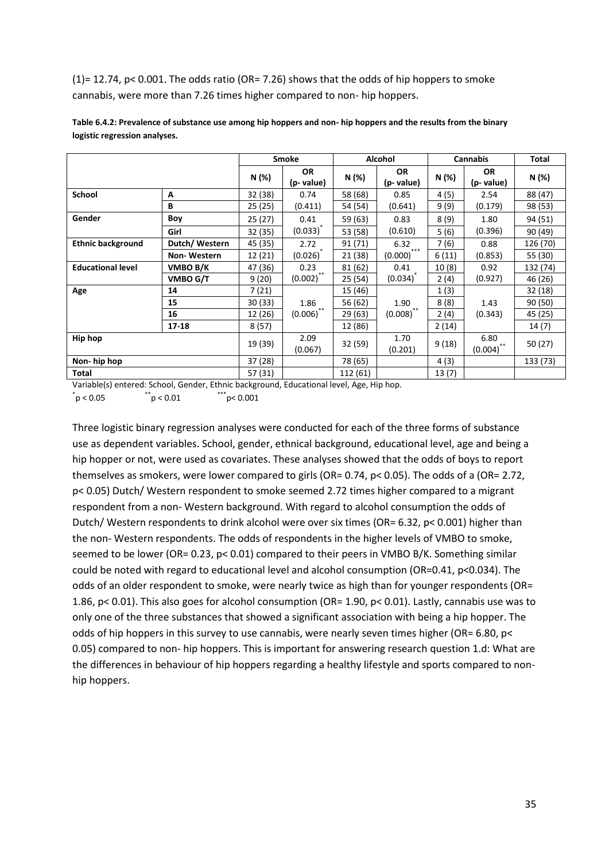(1)= 12.74,  $p$ < 0.001. The odds ratio (OR= 7.26) shows that the odds of hip hoppers to smoke cannabis, were more than 7.26 times higher compared to non- hip hoppers.

|                          |               | <b>Smoke</b> |                         |          | <b>Alcohol</b>          |       | <b>Cannabis</b>         | <b>Total</b> |
|--------------------------|---------------|--------------|-------------------------|----------|-------------------------|-------|-------------------------|--------------|
|                          |               | N (%)        | <b>OR</b><br>(p- value) | N (%)    | <b>OR</b><br>(p- value) | N (%) | <b>OR</b><br>(p- value) | N (%)        |
| <b>School</b>            | A             | 32 (38)      | 0.74                    | 58 (68)  | 0.85                    | 4(5)  | 2.54                    | 88 (47)      |
|                          | В             | 25(25)       | (0.411)                 | 54 (54)  | (0.641)                 | 9(9)  | (0.179)                 | 98 (53)      |
| Gender                   | Boy           | 25(27)       | 0.41                    | 59 (63)  | 0.83                    | 8(9)  | 1.80                    | 94 (51)      |
|                          | Girl          | 32 (35)      | $(0.033)^*$             | 53 (58)  | (0.610)                 | 5(6)  | (0.396)                 | 90 (49)      |
| <b>Ethnic background</b> | Dutch/Western | 45 (35)      | 2.72                    | 91 (71)  | 6.32                    | 7(6)  | 0.88                    | 126 (70)     |
|                          | Non-Western   | 12 (21)      | $(0.026)^T$             | 21 (38)  | $(0.000)$ ***           | 6(11) | (0.853)                 | 55 (30)      |
| <b>Educational level</b> | VMBO B/K      | 47 (36)      | 0.23                    | 81 (62)  | 0.41                    | 10(8) | 0.92                    | 132 (74)     |
|                          | VMBO G/T      | 9(20)        | $(0.002)$ **            | 25(54)   | (0.034)                 | 2(4)  | (0.927)                 | 46 (26)      |
| Age                      | 14            | 7(21)        |                         | 15 (46)  |                         | 1(3)  |                         | 32 (18)      |
|                          | 15            | 30(33)       | 1.86                    | 56 (62)  | 1.90                    | 8(8)  | 1.43                    | 90 (50)      |
|                          | 16            | 12 (26)      | $(0.006)$ **            | 29(63)   | $(0.008)$ **            | 2(4)  | (0.343)                 | 45 (25)      |
|                          | 17-18         | 8(57)        |                         | 12 (86)  |                         | 2(14) |                         | 14(7)        |
| Hip hop                  |               | 19 (39)      | 2.09<br>(0.067)         | 32 (59)  | 1.70<br>(0.201)         | 9(18) | 6.80<br>$(0.004)$ **    | 50 (27)      |
| Non-hiphop               |               | 37 (28)      |                         | 78 (65)  |                         | 4(3)  |                         | 133 (73)     |
| Total                    |               | 57 (31)      |                         | 112 (61) |                         | 13(7) |                         |              |

| Table 6.4.2: Prevalence of substance use among hip hoppers and non- hip hoppers and the results from the binary |
|-----------------------------------------------------------------------------------------------------------------|
| logistic regression analyses.                                                                                   |

Variable(s) entered: School, Gender, Ethnic background, Educational level, Age, Hip hop.

 $p < 0.05$  $*^{**}p < 0.01$  \*\*\*p < 0.001

Three logistic binary regression analyses were conducted for each of the three forms of substance use as dependent variables. School, gender, ethnical background, educational level, age and being a hip hopper or not, were used as covariates. These analyses showed that the odds of boys to report themselves as smokers, were lower compared to girls (OR= 0.74, p< 0.05). The odds of a (OR= 2.72, p< 0.05) Dutch/ Western respondent to smoke seemed 2.72 times higher compared to a migrant respondent from a non- Western background. With regard to alcohol consumption the odds of Dutch/ Western respondents to drink alcohol were over six times (OR= 6.32, p< 0.001) higher than the non- Western respondents. The odds of respondents in the higher levels of VMBO to smoke, seemed to be lower (OR= 0.23, p< 0.01) compared to their peers in VMBO B/K. Something similar could be noted with regard to educational level and alcohol consumption (OR=0.41, p<0.034). The odds of an older respondent to smoke, were nearly twice as high than for younger respondents (OR= 1.86, p< 0.01). This also goes for alcohol consumption (OR= 1.90, p< 0.01). Lastly, cannabis use was to only one of the three substances that showed a significant association with being a hip hopper. The odds of hip hoppers in this survey to use cannabis, were nearly seven times higher (OR= 6.80, p< 0.05) compared to non- hip hoppers. This is important for answering research question 1.d: What are the differences in behaviour of hip hoppers regarding a healthy lifestyle and sports compared to nonhip hoppers.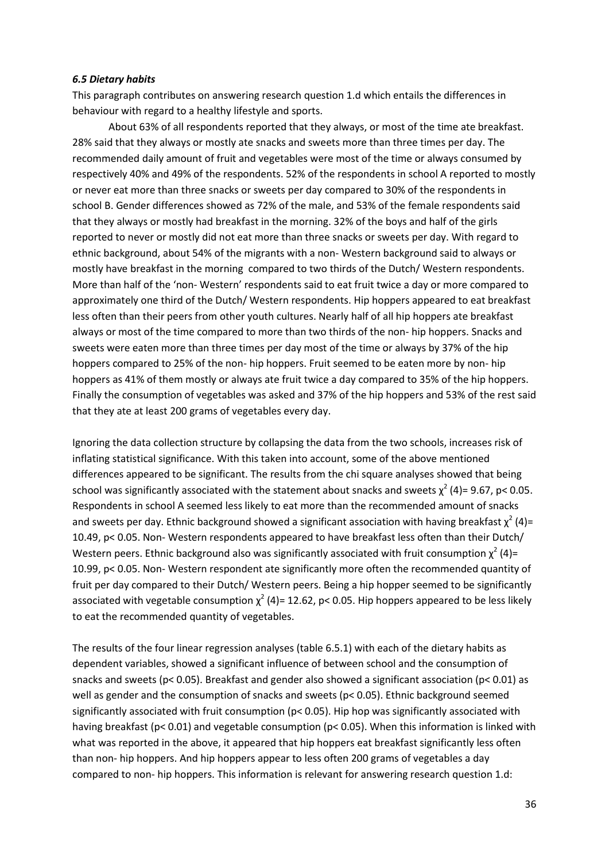#### *6.5 Dietary habits*

This paragraph contributes on answering research question 1.d which entails the differences in behaviour with regard to a healthy lifestyle and sports.

About 63% of all respondents reported that they always, or most of the time ate breakfast. 28% said that they always or mostly ate snacks and sweets more than three times per day. The recommended daily amount of fruit and vegetables were most of the time or always consumed by respectively 40% and 49% of the respondents. 52% of the respondents in school A reported to mostly or never eat more than three snacks or sweets per day compared to 30% of the respondents in school B. Gender differences showed as 72% of the male, and 53% of the female respondents said that they always or mostly had breakfast in the morning. 32% of the boys and half of the girls reported to never or mostly did not eat more than three snacks or sweets per day. With regard to ethnic background, about 54% of the migrants with a non- Western background said to always or mostly have breakfast in the morning compared to two thirds of the Dutch/ Western respondents. More than half of the 'non- Western' respondents said to eat fruit twice a day or more compared to approximately one third of the Dutch/ Western respondents. Hip hoppers appeared to eat breakfast less often than their peers from other youth cultures. Nearly half of all hip hoppers ate breakfast always or most of the time compared to more than two thirds of the non- hip hoppers. Snacks and sweets were eaten more than three times per day most of the time or always by 37% of the hip hoppers compared to 25% of the non- hip hoppers. Fruit seemed to be eaten more by non- hip hoppers as 41% of them mostly or always ate fruit twice a day compared to 35% of the hip hoppers. Finally the consumption of vegetables was asked and 37% of the hip hoppers and 53% of the rest said that they ate at least 200 grams of vegetables every day.

Ignoring the data collection structure by collapsing the data from the two schools, increases risk of inflating statistical significance. With this taken into account, some of the above mentioned differences appeared to be significant. The results from the chi square analyses showed that being school was significantly associated with the statement about snacks and sweets  $\chi^2$  (4)= 9.67, p< 0.05. Respondents in school A seemed less likely to eat more than the recommended amount of snacks and sweets per day. Ethnic background showed a significant association with having breakfast  $\chi^2$  (4)= 10.49, p< 0.05. Non- Western respondents appeared to have breakfast less often than their Dutch/ Western peers. Ethnic background also was significantly associated with fruit consumption  $\chi^2$  (4)= 10.99, p< 0.05. Non- Western respondent ate significantly more often the recommended quantity of fruit per day compared to their Dutch/ Western peers. Being a hip hopper seemed to be significantly associated with vegetable consumption  $\chi^2$  (4)= 12.62, p< 0.05. Hip hoppers appeared to be less likely to eat the recommended quantity of vegetables.

The results of the four linear regression analyses (table 6.5.1) with each of the dietary habits as dependent variables, showed a significant influence of between school and the consumption of snacks and sweets (p< 0.05). Breakfast and gender also showed a significant association (p< 0.01) as well as gender and the consumption of snacks and sweets (p< 0.05). Ethnic background seemed significantly associated with fruit consumption (p< 0.05). Hip hop was significantly associated with having breakfast (p< 0.01) and vegetable consumption (p< 0.05). When this information is linked with what was reported in the above, it appeared that hip hoppers eat breakfast significantly less often than non- hip hoppers. And hip hoppers appear to less often 200 grams of vegetables a day compared to non- hip hoppers. This information is relevant for answering research question 1.d: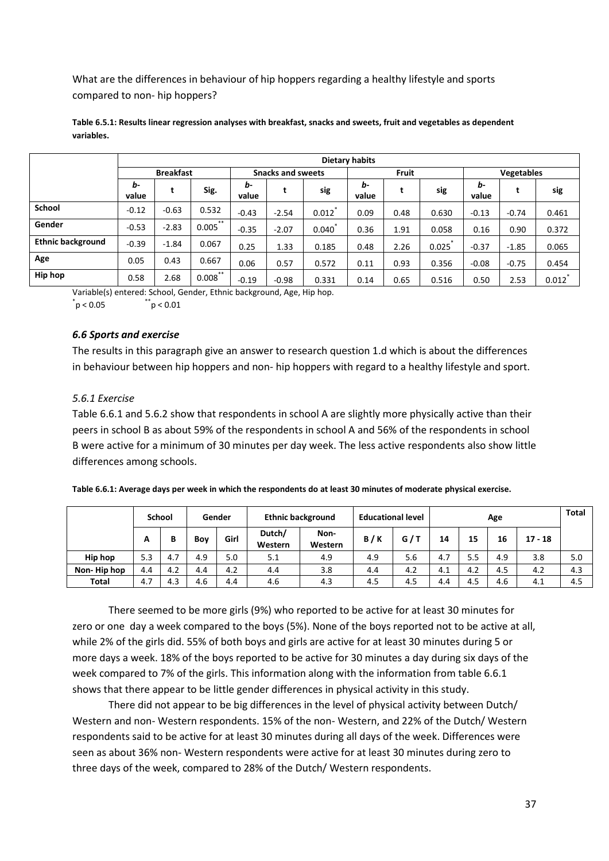What are the differences in behaviour of hip hoppers regarding a healthy lifestyle and sports compared to non- hip hoppers?

|                          | Dietary habits   |         |             |                          |         |       |              |      |       |                   |         |       |
|--------------------------|------------------|---------|-------------|--------------------------|---------|-------|--------------|------|-------|-------------------|---------|-------|
|                          | <b>Breakfast</b> |         |             | <b>Snacks and sweets</b> |         |       | <b>Fruit</b> |      |       | <b>Vegetables</b> |         |       |
|                          | b-<br>value      | t       | Sig.        | b-<br>value              | t       | sig   | b-<br>value  |      | sig   | b-<br>value       | ш       | sig   |
| <b>School</b>            | $-0.12$          | $-0.63$ | 0.532       | $-0.43$                  | $-2.54$ | 0.012 | 0.09         | 0.48 | 0.630 | $-0.13$           | $-0.74$ | 0.461 |
| Gender                   | $-0.53$          | $-2.83$ | **<br>0.005 | $-0.35$                  | $-2.07$ | 0.040 | 0.36         | 1.91 | 0.058 | 0.16              | 0.90    | 0.372 |
| <b>Ethnic background</b> | $-0.39$          | $-1.84$ | 0.067       | 0.25                     | 1.33    | 0.185 | 0.48         | 2.26 | 0.025 | $-0.37$           | $-1.85$ | 0.065 |
| Age                      | 0.05             | 0.43    | 0.667       | 0.06                     | 0.57    | 0.572 | 0.11         | 0.93 | 0.356 | $-0.08$           | $-0.75$ | 0.454 |
| <b>Hip hop</b>           | 0.58             | 2.68    | **<br>0.008 | $-0.19$                  | $-0.98$ | 0.331 | 0.14         | 0.65 | 0.516 | 0.50              | 2.53    | 0.012 |

**Table 6.5.1: Results linear regression analyses with breakfast, snacks and sweets, fruit and vegetables as dependent variables.**

Variable(s) entered: School, Gender, Ethnic background, Age, Hip hop.  $p$  < 0.01

 $p$  < 0.05

### *6.6 Sports and exercise*

The results in this paragraph give an answer to research question 1.d which is about the differences in behaviour between hip hoppers and non- hip hoppers with regard to a healthy lifestyle and sport.

### *5.6.1 Exercise*

Table 6.6.1 and 5.6.2 show that respondents in school A are slightly more physically active than their peers in school B as about 59% of the respondents in school A and 56% of the respondents in school B were active for a minimum of 30 minutes per day week. The less active respondents also show little differences among schools.

|              |     | <b>School</b> |     | Gender |                   | <b>Ethnic background</b> | <b>Educational level</b> |     | Age |     |     |         | <b>Total</b> |
|--------------|-----|---------------|-----|--------|-------------------|--------------------------|--------------------------|-----|-----|-----|-----|---------|--------------|
|              | А   | В             | Boy | Girl   | Dutch/<br>Western | Non-<br>Western          | <b>B/K</b>               | G/T | 14  | 15  | 16  | 17 - 18 |              |
| Hip hop      | 5.3 | 4.7           | 4.9 | 5.0    | 5.1               | 4.9                      | 4.9                      | 5.6 | 4.7 | 5.5 | 4.9 | 3.8     | 5.0          |
| Non-Hiphop   | 4.4 | 4.2           | 4.4 | 4.2    | 4.4               | 3.8                      | 4.4                      | 4.2 | 4.1 | 4.2 | 4.5 | 4.2     | 4.3          |
| <b>Total</b> | 4.7 | 4.3           | 4.6 | 4.4    | 4.6               | 4.3                      | 4.5                      | 4.5 | 4.4 | 4.5 | 4.6 | 4.1     | 4.5          |

**Table 6.6.1: Average days per week in which the respondents do at least 30 minutes of moderate physical exercise.**

There seemed to be more girls (9%) who reported to be active for at least 30 minutes for zero or one day a week compared to the boys (5%). None of the boys reported not to be active at all, while 2% of the girls did. 55% of both boys and girls are active for at least 30 minutes during 5 or more days a week. 18% of the boys reported to be active for 30 minutes a day during six days of the week compared to 7% of the girls. This information along with the information from table 6.6.1 shows that there appear to be little gender differences in physical activity in this study.

There did not appear to be big differences in the level of physical activity between Dutch/ Western and non- Western respondents. 15% of the non- Western, and 22% of the Dutch/ Western respondents said to be active for at least 30 minutes during all days of the week. Differences were seen as about 36% non- Western respondents were active for at least 30 minutes during zero to three days of the week, compared to 28% of the Dutch/ Western respondents.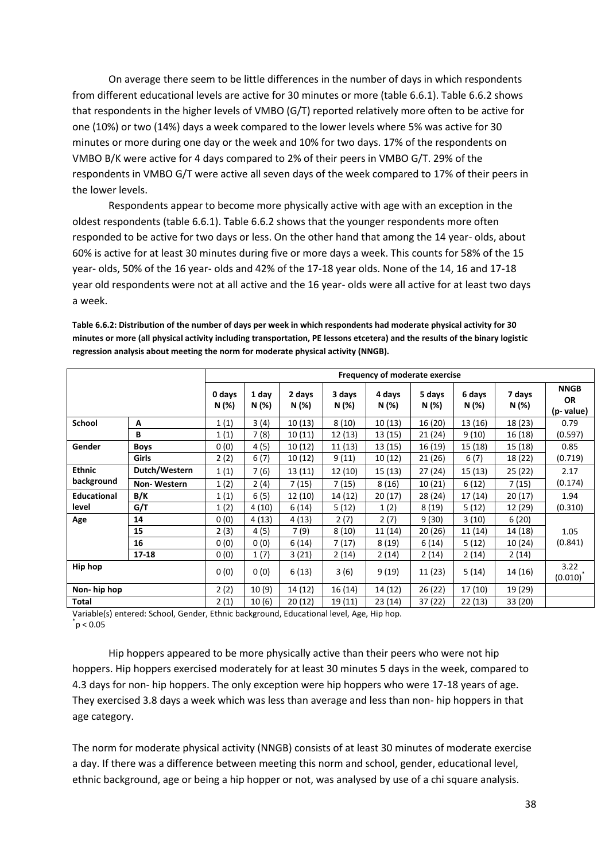On average there seem to be little differences in the number of days in which respondents from different educational levels are active for 30 minutes or more (table 6.6.1). Table 6.6.2 shows that respondents in the higher levels of VMBO (G/T) reported relatively more often to be active for one (10%) or two (14%) days a week compared to the lower levels where 5% was active for 30 minutes or more during one day or the week and 10% for two days. 17% of the respondents on VMBO B/K were active for 4 days compared to 2% of their peers in VMBO G/T. 29% of the respondents in VMBO G/T were active all seven days of the week compared to 17% of their peers in the lower levels.

Respondents appear to become more physically active with age with an exception in the oldest respondents (table 6.6.1). Table 6.6.2 shows that the younger respondents more often responded to be active for two days or less. On the other hand that among the 14 year- olds, about 60% is active for at least 30 minutes during five or more days a week. This counts for 58% of the 15 year- olds, 50% of the 16 year- olds and 42% of the 17-18 year olds. None of the 14, 16 and 17-18 year old respondents were not at all active and the 16 year- olds were all active for at least two days a week.

|                    |               | Frequency of moderate exercise |                |                 |                 |                 |                 |                 |                 |                                        |
|--------------------|---------------|--------------------------------|----------------|-----------------|-----------------|-----------------|-----------------|-----------------|-----------------|----------------------------------------|
|                    |               | 0 days<br>N (%)                | 1 day<br>N (%) | 2 days<br>N (%) | 3 days<br>N (%) | 4 days<br>N (%) | 5 days<br>N (%) | 6 days<br>N (%) | 7 days<br>N (%) | <b>NNGB</b><br><b>OR</b><br>(p- value) |
| School             | A             | 1(1)                           | 3(4)           | 10(13)          | 8(10)           | 10(13)          | 16 (20)         | 13 (16)         | 18 (23)         | 0.79                                   |
|                    | В             | 1(1)                           | 7(8)           | 10(11)          | 12(13)          | 13(15)          | 21(24)          | 9(10)           | 16 (18)         | (0.597)                                |
| Gender             | <b>Boys</b>   | 0(0)                           | 4(5)           | 10(12)          | 11(13)          | 13 (15)         | 16 (19)         | 15 (18)         | 15 (18)         | 0.85                                   |
|                    | Girls         | 2(2)                           | 6(7)           | 10 (12)         | 9(11)           | 10(12)          | 21 (26)         | 6(7)            | 18 (22)         | (0.719)                                |
| <b>Ethnic</b>      | Dutch/Western | 1(1)                           | 7(6)           | 13 (11)         | 12 (10)         | 15(13)          | 27(24)          | 15(13)          | 25 (22)         | 2.17                                   |
| background         | Non-Western   | 1(2)                           | 2(4)           | 7 (15)          | 7(15)           | 8(16)           | 10(21)          | 6(12)           | 7(15)           | (0.174)                                |
| <b>Educational</b> | B/K           | 1(1)                           | 6(5)           | 12 (10)         | 14 (12)         | 20(17)          | 28 (24)         | 17 (14)         | 20(17)          | 1.94                                   |
| level              | G/T           | 1(2)                           | 4(10)          | 6(14)           | 5(12)           | 1(2)            | 8(19)           | 5(12)           | 12 (29)         | (0.310)                                |
| Age                | 14            | 0(0)                           | 4(13)          | 4(13)           | 2(7)            | 2(7)            | 9(30)           | 3(10)           | 6(20)           |                                        |
|                    | 15            | 2(3)                           | 4(5)           | 7 (9)           | 8(10)           | 11 (14)         | 20(26)          | 11 (14)         | 14 (18)         | 1.05                                   |
|                    | 16            | 0(0)                           | 0(0)           | 6(14)           | 7(17)           | 8(19)           | 6(14)           | 5(12)           | 10 (24)         | (0.841)                                |
|                    | 17-18         | 0(0)                           | 1(7)           | 3(21)           | 2(14)           | 2(14)           | 2(14)           | 2(14)           | 2(14)           |                                        |
| Hip hop            |               | 0(0)                           | 0(0)           | 6(13)           | 3(6)            | 9(19)           | 11 (23)         | 5(14)           | 14 (16)         | 3.22<br>(0.010)                        |
| Non-hiphop         |               | 2(2)                           | 10(9)          | 14 (12)         | 16(14)          | 14 (12)         | 26 (22)         | 17 (10)         | 19 (29)         |                                        |
| Total              |               | 2(1)                           | 10(6)          | 20(12)          | 19(11)          | 23(14)          | 37(22)          | 22(13)          | 33 (20)         |                                        |

**Table 6.6.2: Distribution of the number of days per week in which respondents had moderate physical activity for 30 minutes or more (all physical activity including transportation, PE lessons etcetera) and the results of the binary logistic regression analysis about meeting the norm for moderate physical activity (NNGB).**

Variable(s) entered: School, Gender, Ethnic background, Educational level, Age, Hip hop.  $\boldsymbol{p}$  < 0.05

Hip hoppers appeared to be more physically active than their peers who were not hip hoppers. Hip hoppers exercised moderately for at least 30 minutes 5 days in the week, compared to 4.3 days for non- hip hoppers. The only exception were hip hoppers who were 17-18 years of age. They exercised 3.8 days a week which was less than average and less than non- hip hoppers in that age category.

The norm for moderate physical activity (NNGB) consists of at least 30 minutes of moderate exercise a day. If there was a difference between meeting this norm and school, gender, educational level, ethnic background, age or being a hip hopper or not, was analysed by use of a chi square analysis.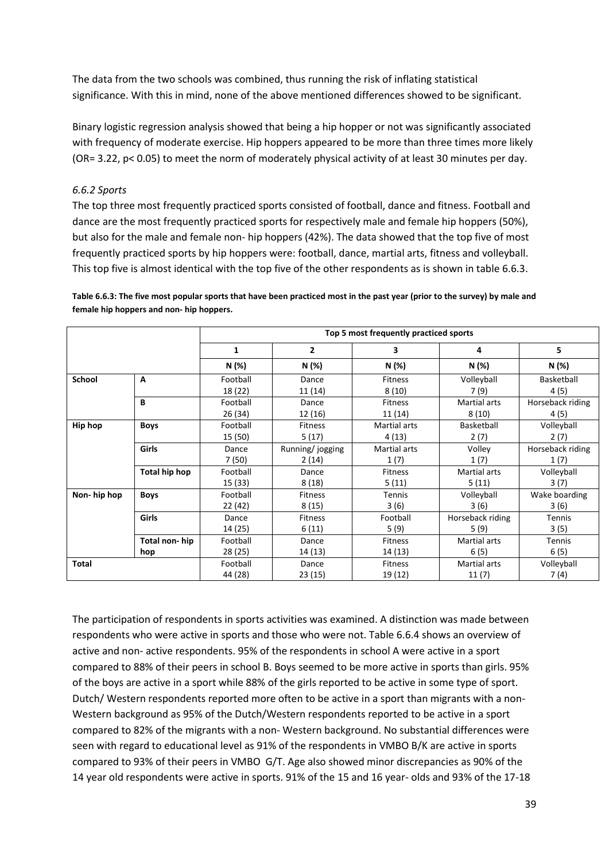The data from the two schools was combined, thus running the risk of inflating statistical significance. With this in mind, none of the above mentioned differences showed to be significant.

Binary logistic regression analysis showed that being a hip hopper or not was significantly associated with frequency of moderate exercise. Hip hoppers appeared to be more than three times more likely (OR= 3.22, p< 0.05) to meet the norm of moderately physical activity of at least 30 minutes per day.

## *6.6.2 Sports*

The top three most frequently practiced sports consisted of football, dance and fitness. Football and dance are the most frequently practiced sports for respectively male and female hip hoppers (50%), but also for the male and female non- hip hoppers (42%). The data showed that the top five of most frequently practiced sports by hip hoppers were: football, dance, martial arts, fitness and volleyball. This top five is almost identical with the top five of the other respondents as is shown in table 6.6.3.

**Table 6.6.3: The five most popular sports that have been practiced most in the past year (prior to the survey) by male and female hip hoppers and non- hip hoppers.**

|               |               | Top 5 most frequently practiced sports |                 |                     |                     |                  |  |  |  |  |
|---------------|---------------|----------------------------------------|-----------------|---------------------|---------------------|------------------|--|--|--|--|
|               |               | 1                                      | $\overline{2}$  | 3                   | 4                   | 5                |  |  |  |  |
|               |               | N (%)                                  | N (%)           | N (%)               | N (%)               | N (%)            |  |  |  |  |
| <b>School</b> | A             | Football                               | Dance           | <b>Fitness</b>      | Volleyball          | Basketball       |  |  |  |  |
|               |               | 18 (22)                                | 11 (14)         | 8(10)               | 7 (9)               | 4(5)             |  |  |  |  |
|               | B             | Football                               | Dance           | <b>Fitness</b>      | Martial arts        | Horseback riding |  |  |  |  |
|               |               | 26 (34)                                | 12(16)          | 11(14)              | 8(10)               | 4 (5)            |  |  |  |  |
| Hip hop       | <b>Boys</b>   | Football                               | <b>Fitness</b>  | <b>Martial arts</b> | Basketball          | Volleyball       |  |  |  |  |
|               |               | 15 (50)                                | 5(17)           | 4(13)               | 2(7)                | 2(7)             |  |  |  |  |
|               | Girls         | Dance                                  | Running/jogging | <b>Martial arts</b> | Volley              | Horseback riding |  |  |  |  |
|               |               | 7(50)                                  | 2(14)           | 1(7)                | 1(7)                | 1(7)             |  |  |  |  |
|               | Total hip hop | Football                               | Dance           | <b>Fitness</b>      | <b>Martial arts</b> | Volleyball       |  |  |  |  |
|               |               | 15 (33)                                | 8(18)           | 5(11)               | 5(11)               | 3(7)             |  |  |  |  |
| Non-hiphop    | <b>Boys</b>   | Football                               | <b>Fitness</b>  | <b>Tennis</b>       | Volleyball          | Wake boarding    |  |  |  |  |
|               |               | 22 (42)                                | 8(15)           | 3(6)                | 3(6)                | 3(6)             |  |  |  |  |
|               | Girls         | Dance                                  | Fitness         | Football            | Horseback riding    | Tennis           |  |  |  |  |
|               |               | 14 (25)                                | 6(11)           | 5(9)                | 5(9)                | 3(5)             |  |  |  |  |
|               | Total non-hip | Football                               | Dance           | <b>Fitness</b>      | <b>Martial arts</b> | <b>Tennis</b>    |  |  |  |  |
|               | hop           | 28 (25)                                | 14 (13)         | 14 (13)             | 6(5)                | 6(5)             |  |  |  |  |
| Total         |               | Football                               | Dance           | <b>Fitness</b>      | Martial arts        | Volleyball       |  |  |  |  |
|               |               | 44 (28)                                | 23(15)          | 19 (12)             | 11(7)               | 7(4)             |  |  |  |  |

The participation of respondents in sports activities was examined. A distinction was made between respondents who were active in sports and those who were not. Table 6.6.4 shows an overview of active and non- active respondents. 95% of the respondents in school A were active in a sport compared to 88% of their peers in school B. Boys seemed to be more active in sports than girls. 95% of the boys are active in a sport while 88% of the girls reported to be active in some type of sport. Dutch/ Western respondents reported more often to be active in a sport than migrants with a non-Western background as 95% of the Dutch/Western respondents reported to be active in a sport compared to 82% of the migrants with a non- Western background. No substantial differences were seen with regard to educational level as 91% of the respondents in VMBO B/K are active in sports compared to 93% of their peers in VMBO G/T. Age also showed minor discrepancies as 90% of the 14 year old respondents were active in sports. 91% of the 15 and 16 year- olds and 93% of the 17-18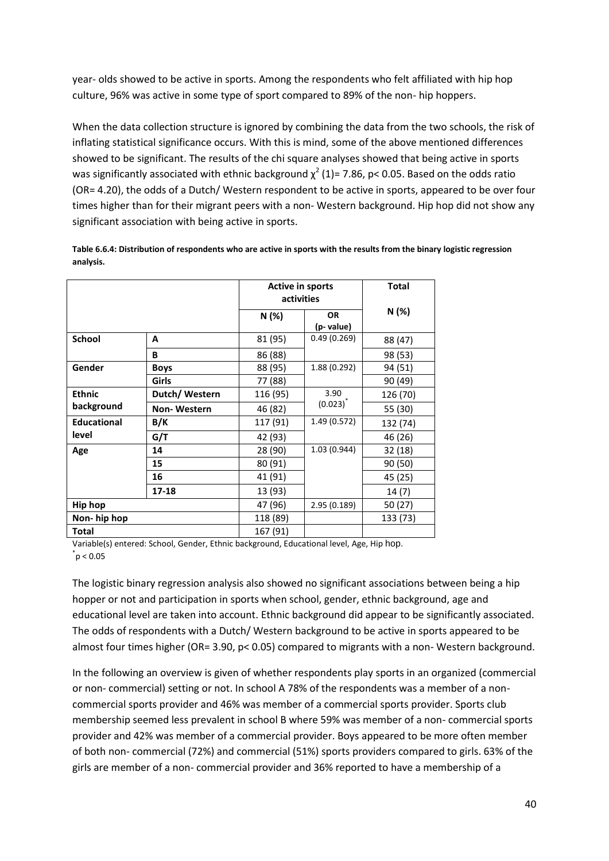year- olds showed to be active in sports. Among the respondents who felt affiliated with hip hop culture, 96% was active in some type of sport compared to 89% of the non- hip hoppers.

When the data collection structure is ignored by combining the data from the two schools, the risk of inflating statistical significance occurs. With this is mind, some of the above mentioned differences showed to be significant. The results of the chi square analyses showed that being active in sports was significantly associated with ethnic background  $\chi^2$  (1)= 7.86, p< 0.05. Based on the odds ratio (OR= 4.20), the odds of a Dutch/ Western respondent to be active in sports, appeared to be over four times higher than for their migrant peers with a non- Western background. Hip hop did not show any significant association with being active in sports.

|                             |                    |          | <b>Active in sports</b><br>activities |          |  |  |  |
|-----------------------------|--------------------|----------|---------------------------------------|----------|--|--|--|
|                             |                    | N (%)    | <b>OR</b><br>(p-value)                | N (%)    |  |  |  |
| <b>School</b>               | A                  | 81 (95)  | 0.49(0.269)                           | 88 (47)  |  |  |  |
|                             | B                  | 86 (88)  |                                       | 98 (53)  |  |  |  |
| Gender                      | <b>Boys</b>        | 88 (95)  | 1.88 (0.292)                          | 94 (51)  |  |  |  |
|                             | Girls              | 77 (88)  |                                       | 90 (49)  |  |  |  |
| <b>Ethnic</b><br>background | Dutch/ Western     | 116 (95) | 3.90                                  | 126 (70) |  |  |  |
|                             | <b>Non-Western</b> | 46 (82)  | (0.023)                               | 55 (30)  |  |  |  |
| <b>Educational</b>          | B/K                | 117 (91) | 1.49 (0.572)                          | 132 (74) |  |  |  |
| level                       | G/T                | 42 (93)  |                                       | 46 (26)  |  |  |  |
| Age                         | 14                 | 28 (90)  | 1.03(0.944)                           | 32 (18)  |  |  |  |
|                             | 15                 | 80 (91)  |                                       | 90 (50)  |  |  |  |
|                             | 16                 | 41 (91)  |                                       | 45 (25)  |  |  |  |
|                             | 17-18              | 13 (93)  |                                       | 14(7)    |  |  |  |
| Hip hop                     |                    | 47 (96)  | 2.95 (0.189)                          | 50 (27)  |  |  |  |
| Non-hiphop                  |                    | 118 (89) |                                       | 133 (73) |  |  |  |
| <b>Total</b>                |                    | 167 (91) |                                       |          |  |  |  |

**Table 6.6.4: Distribution of respondents who are active in sports with the results from the binary logistic regression analysis.**

Variable(s) entered: School, Gender, Ethnic background, Educational level, Age, Hip hop.  $_{\circ}^*$ p < 0.05

The logistic binary regression analysis also showed no significant associations between being a hip hopper or not and participation in sports when school, gender, ethnic background, age and educational level are taken into account. Ethnic background did appear to be significantly associated. The odds of respondents with a Dutch/ Western background to be active in sports appeared to be almost four times higher (OR= 3.90, p< 0.05) compared to migrants with a non- Western background.

In the following an overview is given of whether respondents play sports in an organized (commercial or non- commercial) setting or not. In school A 78% of the respondents was a member of a noncommercial sports provider and 46% was member of a commercial sports provider. Sports club membership seemed less prevalent in school B where 59% was member of a non- commercial sports provider and 42% was member of a commercial provider. Boys appeared to be more often member of both non- commercial (72%) and commercial (51%) sports providers compared to girls. 63% of the girls are member of a non- commercial provider and 36% reported to have a membership of a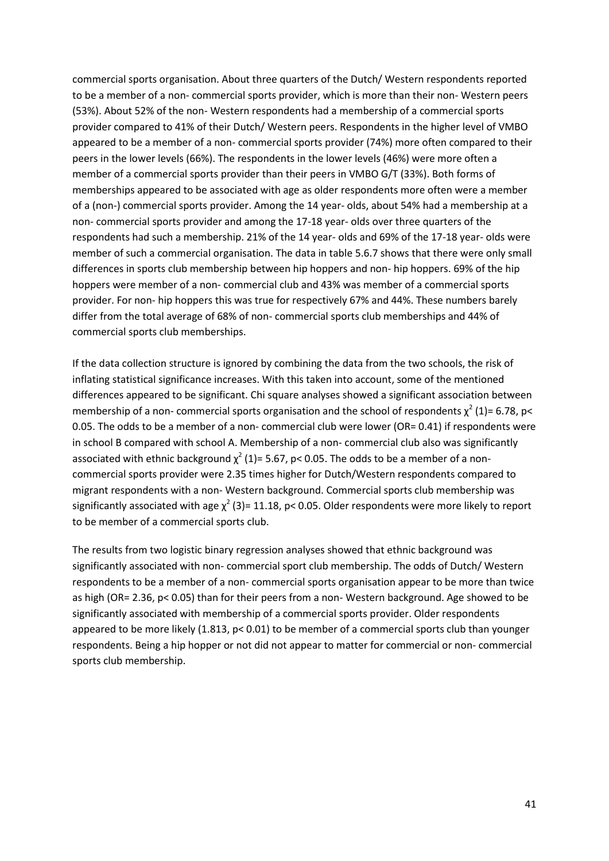commercial sports organisation. About three quarters of the Dutch/ Western respondents reported to be a member of a non- commercial sports provider, which is more than their non- Western peers (53%). About 52% of the non- Western respondents had a membership of a commercial sports provider compared to 41% of their Dutch/ Western peers. Respondents in the higher level of VMBO appeared to be a member of a non- commercial sports provider (74%) more often compared to their peers in the lower levels (66%). The respondents in the lower levels (46%) were more often a member of a commercial sports provider than their peers in VMBO G/T (33%). Both forms of memberships appeared to be associated with age as older respondents more often were a member of a (non-) commercial sports provider. Among the 14 year- olds, about 54% had a membership at a non- commercial sports provider and among the 17-18 year- olds over three quarters of the respondents had such a membership. 21% of the 14 year- olds and 69% of the 17-18 year- olds were member of such a commercial organisation. The data in table 5.6.7 shows that there were only small differences in sports club membership between hip hoppers and non- hip hoppers. 69% of the hip hoppers were member of a non- commercial club and 43% was member of a commercial sports provider. For non- hip hoppers this was true for respectively 67% and 44%. These numbers barely differ from the total average of 68% of non- commercial sports club memberships and 44% of commercial sports club memberships.

If the data collection structure is ignored by combining the data from the two schools, the risk of inflating statistical significance increases. With this taken into account, some of the mentioned differences appeared to be significant. Chi square analyses showed a significant association between membership of a non- commercial sports organisation and the school of respondents  $\chi^2$  (1)= 6.78, p< 0.05. The odds to be a member of a non- commercial club were lower (OR= 0.41) if respondents were in school B compared with school A. Membership of a non- commercial club also was significantly associated with ethnic background  $\chi^2$  (1)= 5.67, p< 0.05. The odds to be a member of a noncommercial sports provider were 2.35 times higher for Dutch/Western respondents compared to migrant respondents with a non- Western background. Commercial sports club membership was significantly associated with age  $\chi^2$  (3)= 11.18, p< 0.05. Older respondents were more likely to report to be member of a commercial sports club.

The results from two logistic binary regression analyses showed that ethnic background was significantly associated with non- commercial sport club membership. The odds of Dutch/ Western respondents to be a member of a non- commercial sports organisation appear to be more than twice as high (OR= 2.36, p< 0.05) than for their peers from a non- Western background. Age showed to be significantly associated with membership of a commercial sports provider. Older respondents appeared to be more likely (1.813, p< 0.01) to be member of a commercial sports club than younger respondents. Being a hip hopper or not did not appear to matter for commercial or non- commercial sports club membership.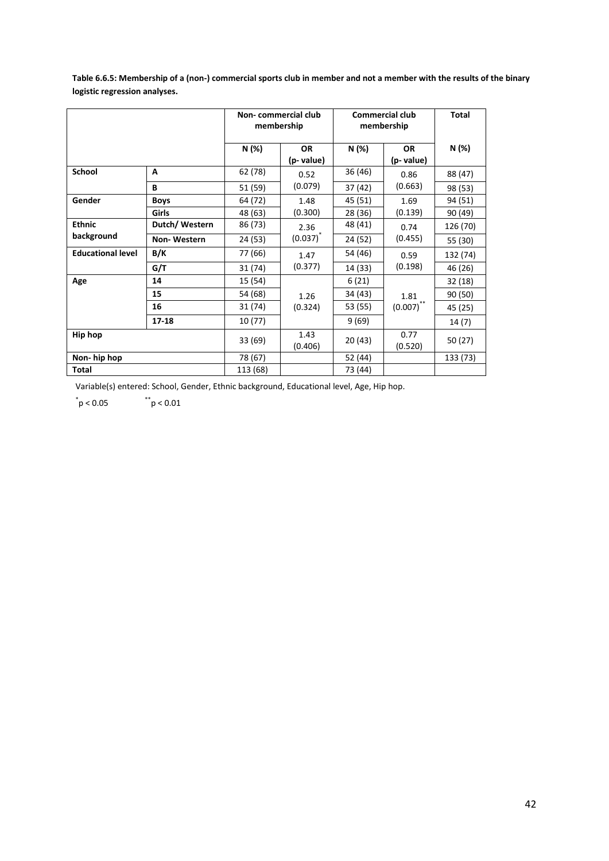|                          |                    | Non-commercial club<br>membership |                         | <b>Commercial club</b><br>membership | <b>Total</b>            |          |
|--------------------------|--------------------|-----------------------------------|-------------------------|--------------------------------------|-------------------------|----------|
|                          |                    | N (%)                             | <b>OR</b><br>(p- value) | N (%)                                | <b>OR</b><br>(p- value) | N (%)    |
| School                   | A                  | 62 (78)                           | 0.52                    | 36 (46)                              | 0.86                    | 88 (47)  |
|                          | B                  | 51 (59)                           | (0.079)                 | 37 (42)                              | (0.663)                 | 98 (53)  |
| Gender                   | <b>Boys</b>        | 64 (72)                           | 1.48                    | 45 (51)                              | 1.69                    | 94 (51)  |
|                          | Girls              | 48 (63)                           | (0.300)                 | 28 (36)                              | (0.139)                 | 90 (49)  |
| <b>Ethnic</b>            | Dutch/Western      | 86 (73)                           | 2.36                    | 48 (41)                              | 0.74                    | 126 (70) |
| background               | <b>Non-Western</b> | 24 (53)                           | (0.037)                 | 24 (52)                              | (0.455)                 | 55 (30)  |
| <b>Educational level</b> | B/K                | 77 (66)                           | 1.47                    | 54 (46)                              | 0.59                    | 132 (74) |
|                          | G/T                | 31 (74)                           | (0.377)                 | 14 (33)                              | (0.198)                 | 46 (26)  |
| Age                      | 14                 | 15 (54)                           |                         | 6(21)                                |                         | 32(18)   |
|                          | 15                 | 54 (68)                           | 1.26                    | 34 (43)                              | 1.81                    | 90 (50)  |
|                          | 16                 | 31 (74)                           | (0.324)                 | 53 (55)                              | $(0.007)$ **            | 45 (25)  |
|                          | $17 - 18$          | 10(77)                            |                         | 9(69)                                |                         | 14(7)    |
| Hip hop                  |                    | 33 (69)                           | 1.43<br>(0.406)         | 20(43)                               | 0.77<br>(0.520)         | 50 (27)  |
| Non-hiphop               |                    | 78 (67)                           |                         | 52 (44)                              |                         | 133 (73) |
| <b>Total</b>             |                    | 113 (68)                          |                         | 73 (44)                              |                         |          |

**Table 6.6.5: Membership of a (non-) commercial sports club in member and not a member with the results of the binary logistic regression analyses.**

Variable(s) entered: School, Gender, Ethnic background, Educational level, Age, Hip hop.

 $_{\circ}^{*}p < 0.05$  $*$  $p$  < 0.01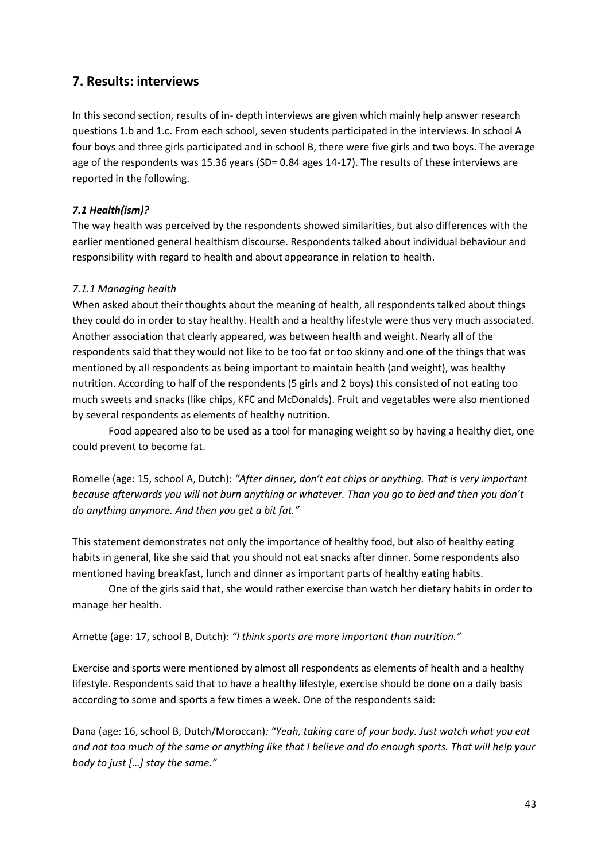# **7. Results: interviews**

In this second section, results of in- depth interviews are given which mainly help answer research questions 1.b and 1.c. From each school, seven students participated in the interviews. In school A four boys and three girls participated and in school B, there were five girls and two boys. The average age of the respondents was 15.36 years (SD= 0.84 ages 14-17). The results of these interviews are reported in the following.

## *7.1 Health(ism)?*

The way health was perceived by the respondents showed similarities, but also differences with the earlier mentioned general healthism discourse. Respondents talked about individual behaviour and responsibility with regard to health and about appearance in relation to health.

## *7.1.1 Managing health*

When asked about their thoughts about the meaning of health, all respondents talked about things they could do in order to stay healthy. Health and a healthy lifestyle were thus very much associated. Another association that clearly appeared, was between health and weight. Nearly all of the respondents said that they would not like to be too fat or too skinny and one of the things that was mentioned by all respondents as being important to maintain health (and weight), was healthy nutrition. According to half of the respondents (5 girls and 2 boys) this consisted of not eating too much sweets and snacks (like chips, KFC and McDonalds). Fruit and vegetables were also mentioned by several respondents as elements of healthy nutrition.

Food appeared also to be used as a tool for managing weight so by having a healthy diet, one could prevent to become fat.

Romelle (age: 15, school A, Dutch): *"After dinner, don't eat chips or anything. That is very important because afterwards you will not burn anything or whatever. Than you go to bed and then you don't do anything anymore. And then you get a bit fat."*

This statement demonstrates not only the importance of healthy food, but also of healthy eating habits in general, like she said that you should not eat snacks after dinner. Some respondents also mentioned having breakfast, lunch and dinner as important parts of healthy eating habits.

One of the girls said that, she would rather exercise than watch her dietary habits in order to manage her health.

Arnette (age: 17, school B, Dutch): *"I think sports are more important than nutrition."*

Exercise and sports were mentioned by almost all respondents as elements of health and a healthy lifestyle. Respondents said that to have a healthy lifestyle, exercise should be done on a daily basis according to some and sports a few times a week. One of the respondents said:

Dana (age: 16, school B, Dutch/Moroccan)*: "Yeah, taking care of your body. Just watch what you eat and not too much of the same or anything like that I believe and do enough sports. That will help your body to just […] stay the same."*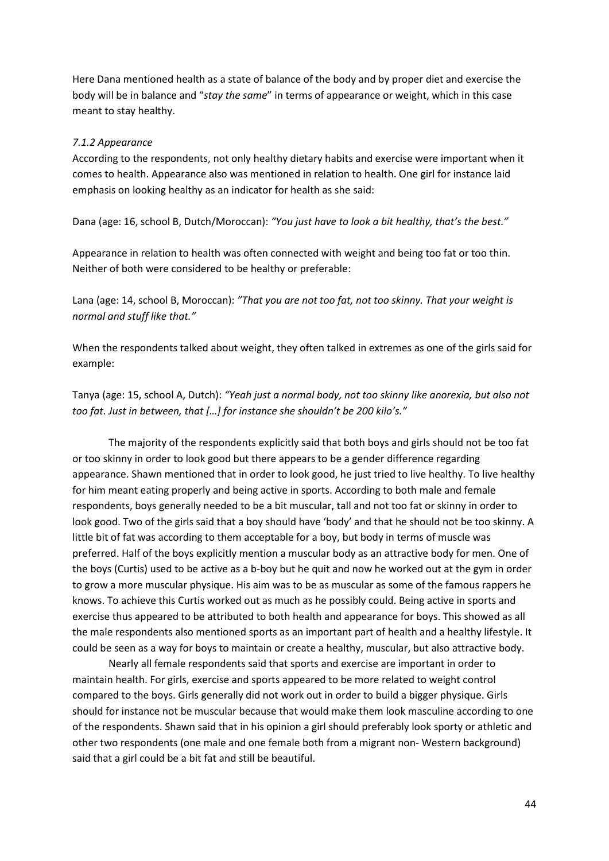Here Dana mentioned health as a state of balance of the body and by proper diet and exercise the body will be in balance and "*stay the same*" in terms of appearance or weight, which in this case meant to stay healthy.

### *7.1.2 Appearance*

According to the respondents, not only healthy dietary habits and exercise were important when it comes to health. Appearance also was mentioned in relation to health. One girl for instance laid emphasis on looking healthy as an indicator for health as she said:

Dana (age: 16, school B, Dutch/Moroccan): *"You just have to look a bit healthy, that's the best."*

Appearance in relation to health was often connected with weight and being too fat or too thin. Neither of both were considered to be healthy or preferable:

Lana (age: 14, school B, Moroccan): *"That you are not too fat, not too skinny. That your weight is normal and stuff like that."*

When the respondents talked about weight, they often talked in extremes as one of the girls said for example:

Tanya (age: 15, school A, Dutch): *"Yeah just a normal body, not too skinny like anorexia, but also not too fat. Just in between, that […] for instance she shouldn't be 200 kilo's."*

The majority of the respondents explicitly said that both boys and girls should not be too fat or too skinny in order to look good but there appears to be a gender difference regarding appearance. Shawn mentioned that in order to look good, he just tried to live healthy. To live healthy for him meant eating properly and being active in sports. According to both male and female respondents, boys generally needed to be a bit muscular, tall and not too fat or skinny in order to look good. Two of the girls said that a boy should have 'body' and that he should not be too skinny. A little bit of fat was according to them acceptable for a boy, but body in terms of muscle was preferred. Half of the boys explicitly mention a muscular body as an attractive body for men. One of the boys (Curtis) used to be active as a b-boy but he quit and now he worked out at the gym in order to grow a more muscular physique. His aim was to be as muscular as some of the famous rappers he knows. To achieve this Curtis worked out as much as he possibly could. Being active in sports and exercise thus appeared to be attributed to both health and appearance for boys. This showed as all the male respondents also mentioned sports as an important part of health and a healthy lifestyle. It could be seen as a way for boys to maintain or create a healthy, muscular, but also attractive body.

Nearly all female respondents said that sports and exercise are important in order to maintain health. For girls, exercise and sports appeared to be more related to weight control compared to the boys. Girls generally did not work out in order to build a bigger physique. Girls should for instance not be muscular because that would make them look masculine according to one of the respondents. Shawn said that in his opinion a girl should preferably look sporty or athletic and other two respondents (one male and one female both from a migrant non- Western background) said that a girl could be a bit fat and still be beautiful.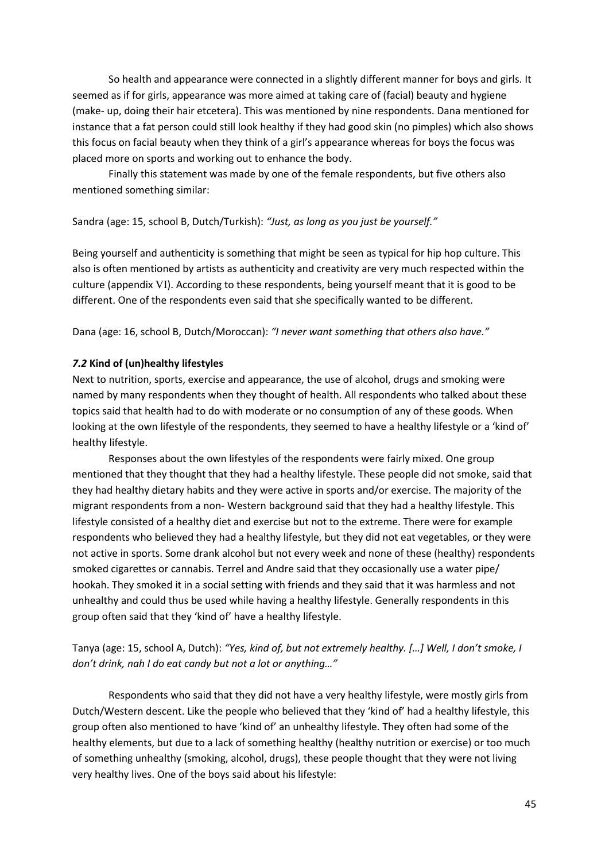So health and appearance were connected in a slightly different manner for boys and girls. It seemed as if for girls, appearance was more aimed at taking care of (facial) beauty and hygiene (make- up, doing their hair etcetera). This was mentioned by nine respondents. Dana mentioned for instance that a fat person could still look healthy if they had good skin (no pimples) which also shows this focus on facial beauty when they think of a girl's appearance whereas for boys the focus was placed more on sports and working out to enhance the body.

Finally this statement was made by one of the female respondents, but five others also mentioned something similar:

## Sandra (age: 15, school B, Dutch/Turkish): *"Just, as long as you just be yourself."*

Being yourself and authenticity is something that might be seen as typical for hip hop culture. This also is often mentioned by artists as authenticity and creativity are very much respected within the culture (appendix VI). According to these respondents, being yourself meant that it is good to be different. One of the respondents even said that she specifically wanted to be different.

Dana (age: 16, school B, Dutch/Moroccan): *"I never want something that others also have."*

## *7.2* **Kind of (un)healthy lifestyles**

Next to nutrition, sports, exercise and appearance, the use of alcohol, drugs and smoking were named by many respondents when they thought of health. All respondents who talked about these topics said that health had to do with moderate or no consumption of any of these goods. When looking at the own lifestyle of the respondents, they seemed to have a healthy lifestyle or a 'kind of' healthy lifestyle.

Responses about the own lifestyles of the respondents were fairly mixed. One group mentioned that they thought that they had a healthy lifestyle. These people did not smoke, said that they had healthy dietary habits and they were active in sports and/or exercise. The majority of the migrant respondents from a non- Western background said that they had a healthy lifestyle. This lifestyle consisted of a healthy diet and exercise but not to the extreme. There were for example respondents who believed they had a healthy lifestyle, but they did not eat vegetables, or they were not active in sports. Some drank alcohol but not every week and none of these (healthy) respondents smoked cigarettes or cannabis. Terrel and Andre said that they occasionally use a water pipe/ hookah. They smoked it in a social setting with friends and they said that it was harmless and not unhealthy and could thus be used while having a healthy lifestyle. Generally respondents in this group often said that they 'kind of' have a healthy lifestyle.

## Tanya (age: 15, school A, Dutch): *"Yes, kind of, but not extremely healthy. […] Well, I don't smoke, I don't drink, nah I do eat candy but not a lot or anything…"*

Respondents who said that they did not have a very healthy lifestyle, were mostly girls from Dutch/Western descent. Like the people who believed that they 'kind of' had a healthy lifestyle, this group often also mentioned to have 'kind of' an unhealthy lifestyle. They often had some of the healthy elements, but due to a lack of something healthy (healthy nutrition or exercise) or too much of something unhealthy (smoking, alcohol, drugs), these people thought that they were not living very healthy lives. One of the boys said about his lifestyle: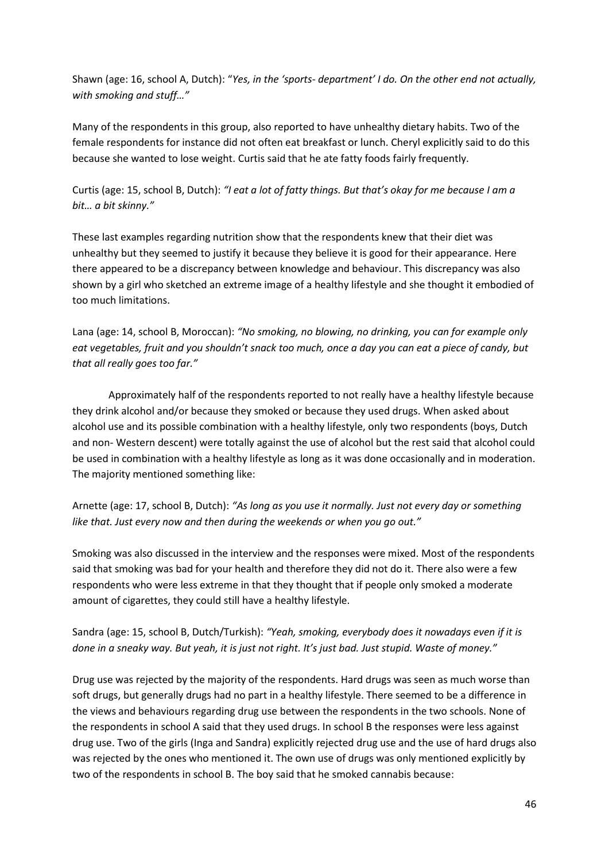Shawn (age: 16, school A, Dutch): "*Yes, in the 'sports- department' I do. On the other end not actually, with smoking and stuff…"*

Many of the respondents in this group, also reported to have unhealthy dietary habits. Two of the female respondents for instance did not often eat breakfast or lunch. Cheryl explicitly said to do this because she wanted to lose weight. Curtis said that he ate fatty foods fairly frequently.

Curtis (age: 15, school B, Dutch): *"I eat a lot of fatty things. But that's okay for me because I am a bit… a bit skinny."*

These last examples regarding nutrition show that the respondents knew that their diet was unhealthy but they seemed to justify it because they believe it is good for their appearance. Here there appeared to be a discrepancy between knowledge and behaviour. This discrepancy was also shown by a girl who sketched an extreme image of a healthy lifestyle and she thought it embodied of too much limitations.

Lana (age: 14, school B, Moroccan): *"No smoking, no blowing, no drinking, you can for example only eat vegetables, fruit and you shouldn't snack too much, once a day you can eat a piece of candy, but that all really goes too far."*

Approximately half of the respondents reported to not really have a healthy lifestyle because they drink alcohol and/or because they smoked or because they used drugs. When asked about alcohol use and its possible combination with a healthy lifestyle, only two respondents (boys, Dutch and non- Western descent) were totally against the use of alcohol but the rest said that alcohol could be used in combination with a healthy lifestyle as long as it was done occasionally and in moderation. The majority mentioned something like:

## Arnette (age: 17, school B, Dutch): *"As long as you use it normally. Just not every day or something like that. Just every now and then during the weekends or when you go out."*

Smoking was also discussed in the interview and the responses were mixed. Most of the respondents said that smoking was bad for your health and therefore they did not do it. There also were a few respondents who were less extreme in that they thought that if people only smoked a moderate amount of cigarettes, they could still have a healthy lifestyle.

## Sandra (age: 15, school B, Dutch/Turkish): *"Yeah, smoking, everybody does it nowadays even if it is done in a sneaky way. But yeah, it is just not right. It's just bad. Just stupid. Waste of money."*

Drug use was rejected by the majority of the respondents. Hard drugs was seen as much worse than soft drugs, but generally drugs had no part in a healthy lifestyle. There seemed to be a difference in the views and behaviours regarding drug use between the respondents in the two schools. None of the respondents in school A said that they used drugs. In school B the responses were less against drug use. Two of the girls (Inga and Sandra) explicitly rejected drug use and the use of hard drugs also was rejected by the ones who mentioned it. The own use of drugs was only mentioned explicitly by two of the respondents in school B. The boy said that he smoked cannabis because: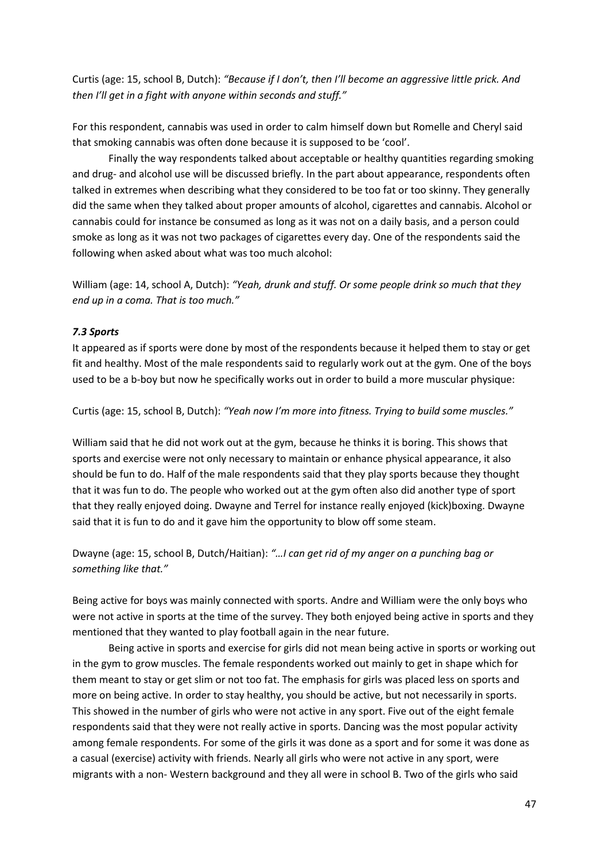Curtis (age: 15, school B, Dutch): *"Because if I don't, then I'll become an aggressive little prick. And then I'll get in a fight with anyone within seconds and stuff."*

For this respondent, cannabis was used in order to calm himself down but Romelle and Cheryl said that smoking cannabis was often done because it is supposed to be 'cool'.

Finally the way respondents talked about acceptable or healthy quantities regarding smoking and drug- and alcohol use will be discussed briefly. In the part about appearance, respondents often talked in extremes when describing what they considered to be too fat or too skinny. They generally did the same when they talked about proper amounts of alcohol, cigarettes and cannabis. Alcohol or cannabis could for instance be consumed as long as it was not on a daily basis, and a person could smoke as long as it was not two packages of cigarettes every day. One of the respondents said the following when asked about what was too much alcohol:

William (age: 14, school A, Dutch): *"Yeah, drunk and stuff. Or some people drink so much that they end up in a coma. That is too much."*

## *7.3 Sports*

It appeared as if sports were done by most of the respondents because it helped them to stay or get fit and healthy. Most of the male respondents said to regularly work out at the gym. One of the boys used to be a b-boy but now he specifically works out in order to build a more muscular physique:

Curtis (age: 15, school B, Dutch): *"Yeah now I'm more into fitness. Trying to build some muscles."*

William said that he did not work out at the gym, because he thinks it is boring. This shows that sports and exercise were not only necessary to maintain or enhance physical appearance, it also should be fun to do. Half of the male respondents said that they play sports because they thought that it was fun to do. The people who worked out at the gym often also did another type of sport that they really enjoyed doing. Dwayne and Terrel for instance really enjoyed (kick)boxing. Dwayne said that it is fun to do and it gave him the opportunity to blow off some steam.

## Dwayne (age: 15, school B, Dutch/Haitian): *"…I can get rid of my anger on a punching bag or something like that."*

Being active for boys was mainly connected with sports. Andre and William were the only boys who were not active in sports at the time of the survey. They both enjoyed being active in sports and they mentioned that they wanted to play football again in the near future.

Being active in sports and exercise for girls did not mean being active in sports or working out in the gym to grow muscles. The female respondents worked out mainly to get in shape which for them meant to stay or get slim or not too fat. The emphasis for girls was placed less on sports and more on being active. In order to stay healthy, you should be active, but not necessarily in sports. This showed in the number of girls who were not active in any sport. Five out of the eight female respondents said that they were not really active in sports. Dancing was the most popular activity among female respondents. For some of the girls it was done as a sport and for some it was done as a casual (exercise) activity with friends. Nearly all girls who were not active in any sport, were migrants with a non- Western background and they all were in school B. Two of the girls who said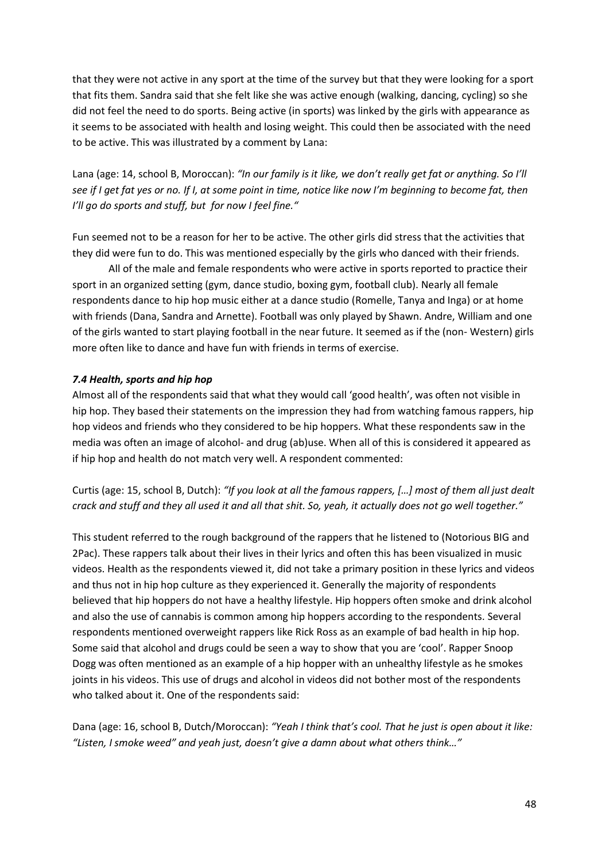that they were not active in any sport at the time of the survey but that they were looking for a sport that fits them. Sandra said that she felt like she was active enough (walking, dancing, cycling) so she did not feel the need to do sports. Being active (in sports) was linked by the girls with appearance as it seems to be associated with health and losing weight. This could then be associated with the need to be active. This was illustrated by a comment by Lana:

Lana (age: 14, school B, Moroccan): *"In our family is it like, we don't really get fat or anything. So I'll see if I get fat yes or no. If I, at some point in time, notice like now I'm beginning to become fat, then I'll go do sports and stuff, but for now I feel fine."*

Fun seemed not to be a reason for her to be active. The other girls did stress that the activities that they did were fun to do. This was mentioned especially by the girls who danced with their friends.

All of the male and female respondents who were active in sports reported to practice their sport in an organized setting (gym, dance studio, boxing gym, football club). Nearly all female respondents dance to hip hop music either at a dance studio (Romelle, Tanya and Inga) or at home with friends (Dana, Sandra and Arnette). Football was only played by Shawn. Andre, William and one of the girls wanted to start playing football in the near future. It seemed as if the (non- Western) girls more often like to dance and have fun with friends in terms of exercise.

### *7.4 Health, sports and hip hop*

Almost all of the respondents said that what they would call 'good health', was often not visible in hip hop. They based their statements on the impression they had from watching famous rappers, hip hop videos and friends who they considered to be hip hoppers. What these respondents saw in the media was often an image of alcohol- and drug (ab)use. When all of this is considered it appeared as if hip hop and health do not match very well. A respondent commented:

Curtis (age: 15, school B, Dutch): *"If you look at all the famous rappers, […] most of them all just dealt crack and stuff and they all used it and all that shit. So, yeah, it actually does not go well together."*

This student referred to the rough background of the rappers that he listened to (Notorious BIG and 2Pac). These rappers talk about their lives in their lyrics and often this has been visualized in music videos. Health as the respondents viewed it, did not take a primary position in these lyrics and videos and thus not in hip hop culture as they experienced it. Generally the majority of respondents believed that hip hoppers do not have a healthy lifestyle. Hip hoppers often smoke and drink alcohol and also the use of cannabis is common among hip hoppers according to the respondents. Several respondents mentioned overweight rappers like Rick Ross as an example of bad health in hip hop. Some said that alcohol and drugs could be seen a way to show that you are 'cool'. Rapper Snoop Dogg was often mentioned as an example of a hip hopper with an unhealthy lifestyle as he smokes joints in his videos. This use of drugs and alcohol in videos did not bother most of the respondents who talked about it. One of the respondents said:

Dana (age: 16, school B, Dutch/Moroccan): *"Yeah I think that's cool. That he just is open about it like: "Listen, I smoke weed" and yeah just, doesn't give a damn about what others think…"*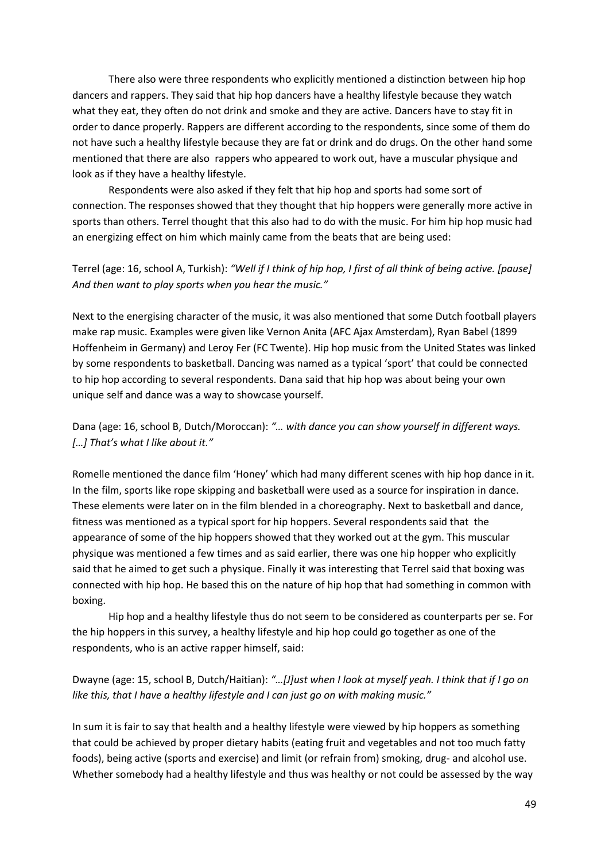There also were three respondents who explicitly mentioned a distinction between hip hop dancers and rappers. They said that hip hop dancers have a healthy lifestyle because they watch what they eat, they often do not drink and smoke and they are active. Dancers have to stay fit in order to dance properly. Rappers are different according to the respondents, since some of them do not have such a healthy lifestyle because they are fat or drink and do drugs. On the other hand some mentioned that there are also rappers who appeared to work out, have a muscular physique and look as if they have a healthy lifestyle.

Respondents were also asked if they felt that hip hop and sports had some sort of connection. The responses showed that they thought that hip hoppers were generally more active in sports than others. Terrel thought that this also had to do with the music. For him hip hop music had an energizing effect on him which mainly came from the beats that are being used:

## Terrel (age: 16, school A, Turkish): *"Well if I think of hip hop, I first of all think of being active. [pause] And then want to play sports when you hear the music."*

Next to the energising character of the music, it was also mentioned that some Dutch football players make rap music. Examples were given like Vernon Anita (AFC Ajax Amsterdam), Ryan Babel (1899 Hoffenheim in Germany) and Leroy Fer (FC Twente). Hip hop music from the United States was linked by some respondents to basketball. Dancing was named as a typical 'sport' that could be connected to hip hop according to several respondents. Dana said that hip hop was about being your own unique self and dance was a way to showcase yourself.

## Dana (age: 16, school B, Dutch/Moroccan): *"… with dance you can show yourself in different ways. […] That's what I like about it."*

Romelle mentioned the dance film 'Honey' which had many different scenes with hip hop dance in it. In the film, sports like rope skipping and basketball were used as a source for inspiration in dance. These elements were later on in the film blended in a choreography. Next to basketball and dance, fitness was mentioned as a typical sport for hip hoppers. Several respondents said that the appearance of some of the hip hoppers showed that they worked out at the gym. This muscular physique was mentioned a few times and as said earlier, there was one hip hopper who explicitly said that he aimed to get such a physique. Finally it was interesting that Terrel said that boxing was connected with hip hop. He based this on the nature of hip hop that had something in common with boxing.

Hip hop and a healthy lifestyle thus do not seem to be considered as counterparts per se. For the hip hoppers in this survey, a healthy lifestyle and hip hop could go together as one of the respondents, who is an active rapper himself, said:

## Dwayne (age: 15, school B, Dutch/Haitian): *"…[J]ust when I look at myself yeah. I think that if I go on like this, that I have a healthy lifestyle and I can just go on with making music."*

In sum it is fair to say that health and a healthy lifestyle were viewed by hip hoppers as something that could be achieved by proper dietary habits (eating fruit and vegetables and not too much fatty foods), being active (sports and exercise) and limit (or refrain from) smoking, drug- and alcohol use. Whether somebody had a healthy lifestyle and thus was healthy or not could be assessed by the way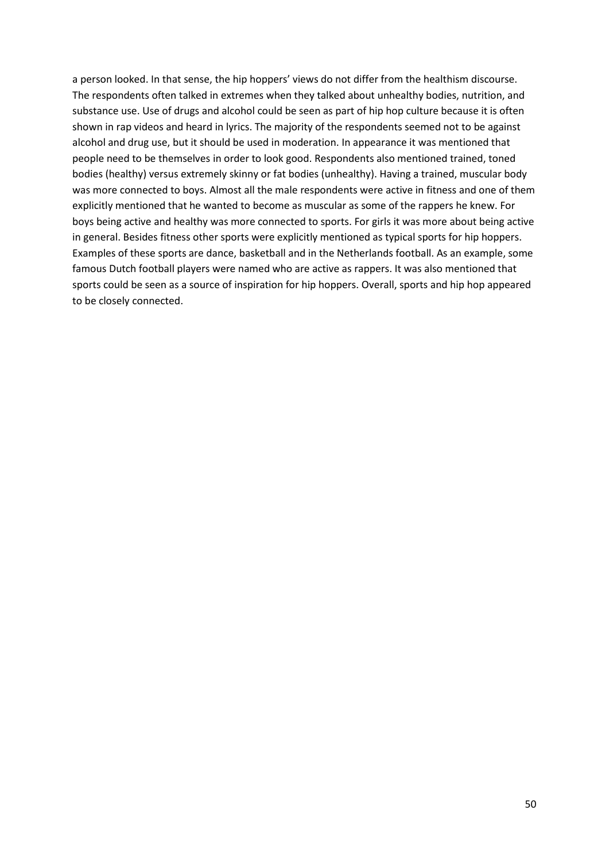a person looked. In that sense, the hip hoppers' views do not differ from the healthism discourse. The respondents often talked in extremes when they talked about unhealthy bodies, nutrition, and substance use. Use of drugs and alcohol could be seen as part of hip hop culture because it is often shown in rap videos and heard in lyrics. The majority of the respondents seemed not to be against alcohol and drug use, but it should be used in moderation. In appearance it was mentioned that people need to be themselves in order to look good. Respondents also mentioned trained, toned bodies (healthy) versus extremely skinny or fat bodies (unhealthy). Having a trained, muscular body was more connected to boys. Almost all the male respondents were active in fitness and one of them explicitly mentioned that he wanted to become as muscular as some of the rappers he knew. For boys being active and healthy was more connected to sports. For girls it was more about being active in general. Besides fitness other sports were explicitly mentioned as typical sports for hip hoppers. Examples of these sports are dance, basketball and in the Netherlands football. As an example, some famous Dutch football players were named who are active as rappers. It was also mentioned that sports could be seen as a source of inspiration for hip hoppers. Overall, sports and hip hop appeared to be closely connected.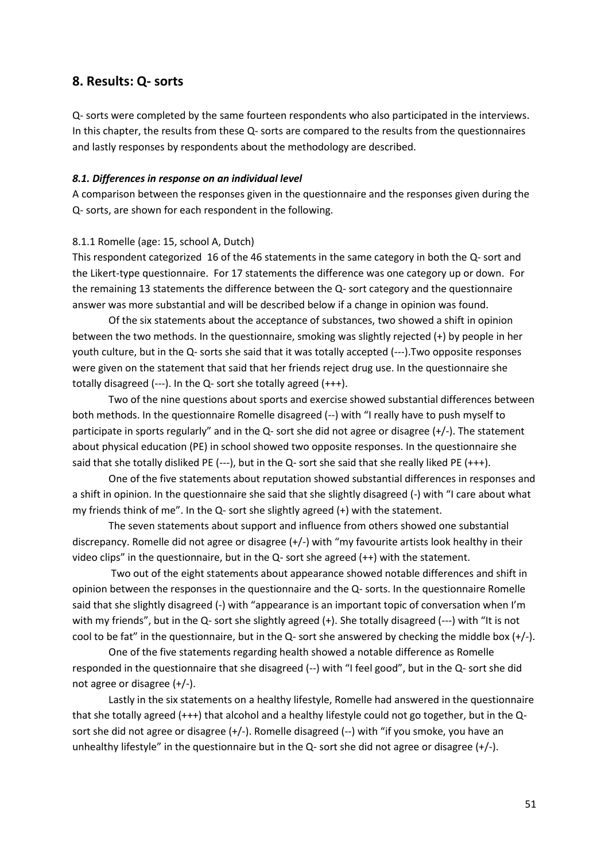## **8. Results: Q- sorts**

Q- sorts were completed by the same fourteen respondents who also participated in the interviews. In this chapter, the results from these Q- sorts are compared to the results from the questionnaires and lastly responses by respondents about the methodology are described.

#### *8.1. Differences in response on an individual level*

A comparison between the responses given in the questionnaire and the responses given during the Q- sorts, are shown for each respondent in the following.

### 8.1.1 Romelle (age: 15, school A, Dutch)

This respondent categorized 16 of the 46 statements in the same category in both the Q- sort and the Likert-type questionnaire. For 17 statements the difference was one category up or down. For the remaining 13 statements the difference between the Q- sort category and the questionnaire answer was more substantial and will be described below if a change in opinion was found.

Of the six statements about the acceptance of substances, two showed a shift in opinion between the two methods. In the questionnaire, smoking was slightly rejected (+) by people in her youth culture, but in the Q- sorts she said that it was totally accepted (---).Two opposite responses were given on the statement that said that her friends reject drug use. In the questionnaire she totally disagreed (---). In the Q- sort she totally agreed (+++).

Two of the nine questions about sports and exercise showed substantial differences between both methods. In the questionnaire Romelle disagreed (--) with "I really have to push myself to participate in sports regularly" and in the Q- sort she did not agree or disagree (+/-). The statement about physical education (PE) in school showed two opposite responses. In the questionnaire she said that she totally disliked PE (---), but in the Q- sort she said that she really liked PE (+++).

One of the five statements about reputation showed substantial differences in responses and a shift in opinion. In the questionnaire she said that she slightly disagreed (-) with "I care about what my friends think of me". In the Q- sort she slightly agreed (+) with the statement.

The seven statements about support and influence from others showed one substantial discrepancy. Romelle did not agree or disagree (+/-) with "my favourite artists look healthy in their video clips" in the questionnaire, but in the Q- sort she agreed (++) with the statement.

Two out of the eight statements about appearance showed notable differences and shift in opinion between the responses in the questionnaire and the Q- sorts. In the questionnaire Romelle said that she slightly disagreed (-) with "appearance is an important topic of conversation when I'm with my friends", but in the Q- sort she slightly agreed (+). She totally disagreed (---) with "It is not cool to be fat" in the questionnaire, but in the Q- sort she answered by checking the middle box  $(+/-)$ .

One of the five statements regarding health showed a notable difference as Romelle responded in the questionnaire that she disagreed (--) with "I feel good", but in the Q- sort she did not agree or disagree (+/-).

Lastly in the six statements on a healthy lifestyle, Romelle had answered in the questionnaire that she totally agreed (+++) that alcohol and a healthy lifestyle could not go together, but in the Qsort she did not agree or disagree (+/-). Romelle disagreed (--) with "if you smoke, you have an unhealthy lifestyle" in the questionnaire but in the Q- sort she did not agree or disagree  $(+/-)$ .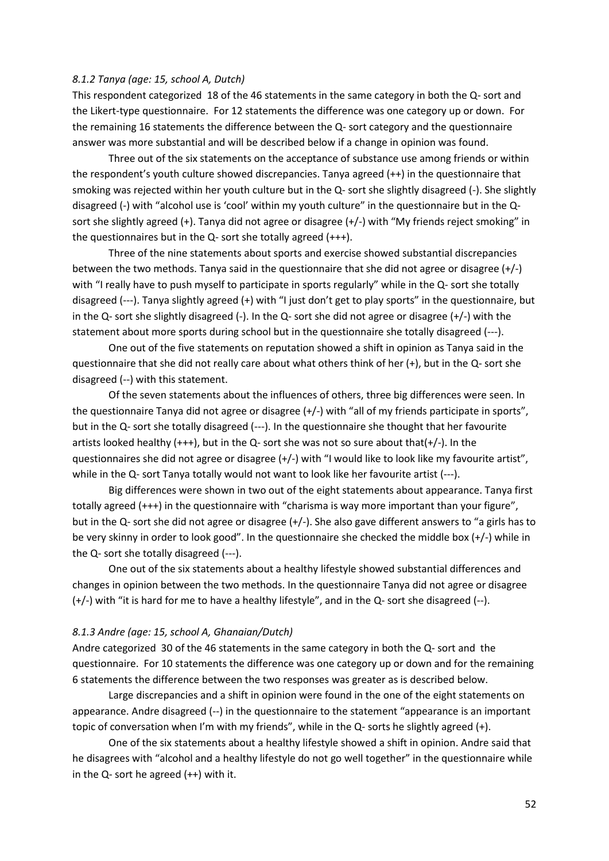#### *8.1.2 Tanya (age: 15, school A, Dutch)*

This respondent categorized 18 of the 46 statements in the same category in both the Q- sort and the Likert-type questionnaire. For 12 statements the difference was one category up or down. For the remaining 16 statements the difference between the Q- sort category and the questionnaire answer was more substantial and will be described below if a change in opinion was found.

Three out of the six statements on the acceptance of substance use among friends or within the respondent's youth culture showed discrepancies. Tanya agreed (++) in the questionnaire that smoking was rejected within her youth culture but in the Q- sort she slightly disagreed (-). She slightly disagreed (-) with "alcohol use is 'cool' within my youth culture" in the questionnaire but in the Qsort she slightly agreed (+). Tanya did not agree or disagree (+/-) with "My friends reject smoking" in the questionnaires but in the Q- sort she totally agreed (+++).

Three of the nine statements about sports and exercise showed substantial discrepancies between the two methods. Tanya said in the questionnaire that she did not agree or disagree (+/-) with "I really have to push myself to participate in sports regularly" while in the Q- sort she totally disagreed (---). Tanya slightly agreed (+) with "I just don't get to play sports" in the questionnaire, but in the Q- sort she slightly disagreed (-). In the Q- sort she did not agree or disagree (+/-) with the statement about more sports during school but in the questionnaire she totally disagreed (---).

One out of the five statements on reputation showed a shift in opinion as Tanya said in the questionnaire that she did not really care about what others think of her (+), but in the Q- sort she disagreed (--) with this statement.

Of the seven statements about the influences of others, three big differences were seen. In the questionnaire Tanya did not agree or disagree (+/-) with "all of my friends participate in sports", but in the Q- sort she totally disagreed (---). In the questionnaire she thought that her favourite artists looked healthy  $(+++)$ , but in the Q- sort she was not so sure about that $(+/-)$ . In the questionnaires she did not agree or disagree (+/-) with "I would like to look like my favourite artist", while in the Q- sort Tanya totally would not want to look like her favourite artist (---).

Big differences were shown in two out of the eight statements about appearance. Tanya first totally agreed (+++) in the questionnaire with "charisma is way more important than your figure", but in the Q- sort she did not agree or disagree (+/-). She also gave different answers to "a girls has to be very skinny in order to look good". In the questionnaire she checked the middle box (+/-) while in the Q- sort she totally disagreed (---).

One out of the six statements about a healthy lifestyle showed substantial differences and changes in opinion between the two methods. In the questionnaire Tanya did not agree or disagree (+/-) with "it is hard for me to have a healthy lifestyle", and in the Q- sort she disagreed (--).

#### *8.1.3 Andre (age: 15, school A, Ghanaian/Dutch)*

Andre categorized 30 of the 46 statements in the same category in both the Q- sort and the questionnaire. For 10 statements the difference was one category up or down and for the remaining 6 statements the difference between the two responses was greater as is described below.

Large discrepancies and a shift in opinion were found in the one of the eight statements on appearance. Andre disagreed (--) in the questionnaire to the statement "appearance is an important topic of conversation when I'm with my friends", while in the Q- sorts he slightly agreed (+).

One of the six statements about a healthy lifestyle showed a shift in opinion. Andre said that he disagrees with "alcohol and a healthy lifestyle do not go well together" in the questionnaire while in the Q- sort he agreed (++) with it.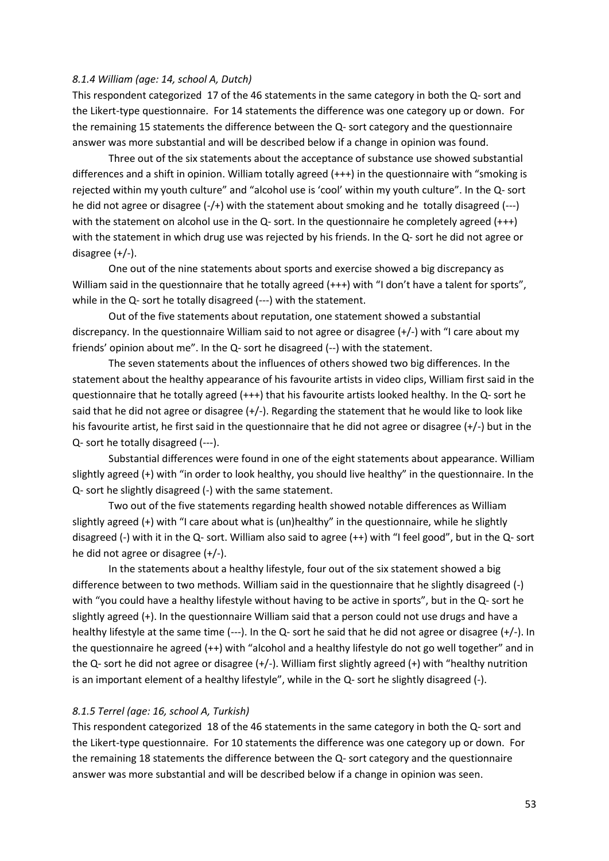#### *8.1.4 William (age: 14, school A, Dutch)*

This respondent categorized 17 of the 46 statements in the same category in both the Q- sort and the Likert-type questionnaire. For 14 statements the difference was one category up or down. For the remaining 15 statements the difference between the Q- sort category and the questionnaire answer was more substantial and will be described below if a change in opinion was found.

Three out of the six statements about the acceptance of substance use showed substantial differences and a shift in opinion. William totally agreed (+++) in the questionnaire with "smoking is rejected within my youth culture" and "alcohol use is 'cool' within my youth culture". In the Q- sort he did not agree or disagree (-/+) with the statement about smoking and he totally disagreed (---) with the statement on alcohol use in the Q- sort. In the questionnaire he completely agreed (+++) with the statement in which drug use was rejected by his friends. In the Q- sort he did not agree or disagree (+/-).

One out of the nine statements about sports and exercise showed a big discrepancy as William said in the questionnaire that he totally agreed (+++) with "I don't have a talent for sports", while in the Q- sort he totally disagreed (---) with the statement.

Out of the five statements about reputation, one statement showed a substantial discrepancy. In the questionnaire William said to not agree or disagree (+/-) with "I care about my friends' opinion about me". In the Q- sort he disagreed (--) with the statement.

The seven statements about the influences of others showed two big differences. In the statement about the healthy appearance of his favourite artists in video clips, William first said in the questionnaire that he totally agreed (+++) that his favourite artists looked healthy. In the Q- sort he said that he did not agree or disagree (+/-). Regarding the statement that he would like to look like his favourite artist, he first said in the questionnaire that he did not agree or disagree (+/-) but in the Q- sort he totally disagreed (---).

Substantial differences were found in one of the eight statements about appearance. William slightly agreed (+) with "in order to look healthy, you should live healthy" in the questionnaire. In the Q- sort he slightly disagreed (-) with the same statement.

Two out of the five statements regarding health showed notable differences as William slightly agreed (+) with "I care about what is (un)healthy" in the questionnaire, while he slightly disagreed (-) with it in the Q- sort. William also said to agree (++) with "I feel good", but in the Q- sort he did not agree or disagree (+/-).

In the statements about a healthy lifestyle, four out of the six statement showed a big difference between to two methods. William said in the questionnaire that he slightly disagreed (-) with "you could have a healthy lifestyle without having to be active in sports", but in the Q- sort he slightly agreed (+). In the questionnaire William said that a person could not use drugs and have a healthy lifestyle at the same time (---). In the Q- sort he said that he did not agree or disagree (+/-). In the questionnaire he agreed (++) with "alcohol and a healthy lifestyle do not go well together" and in the Q- sort he did not agree or disagree (+/-). William first slightly agreed (+) with "healthy nutrition is an important element of a healthy lifestyle", while in the Q- sort he slightly disagreed (-).

#### *8.1.5 Terrel (age: 16, school A, Turkish)*

This respondent categorized 18 of the 46 statements in the same category in both the Q- sort and the Likert-type questionnaire. For 10 statements the difference was one category up or down. For the remaining 18 statements the difference between the Q- sort category and the questionnaire answer was more substantial and will be described below if a change in opinion was seen.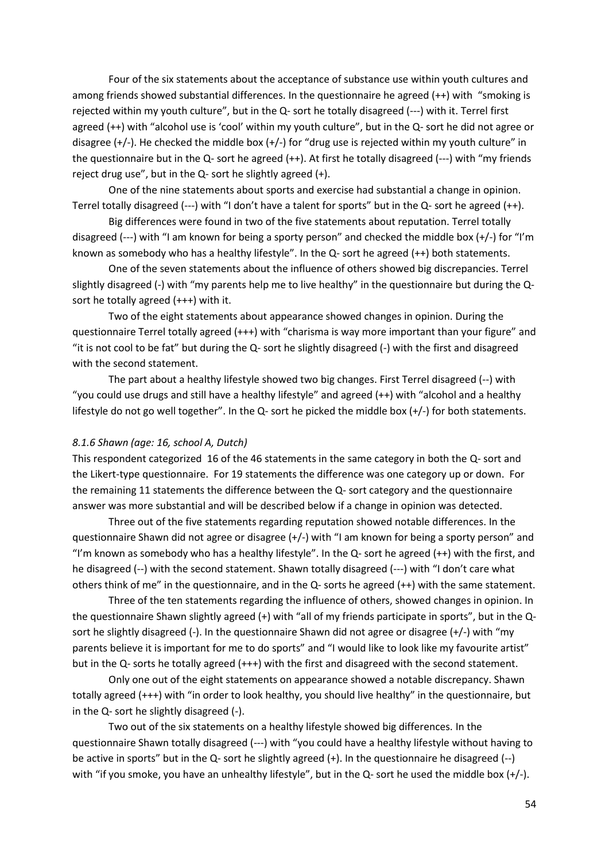Four of the six statements about the acceptance of substance use within youth cultures and among friends showed substantial differences. In the questionnaire he agreed (++) with "smoking is rejected within my youth culture", but in the Q- sort he totally disagreed (---) with it. Terrel first agreed (++) with "alcohol use is 'cool' within my youth culture", but in the Q- sort he did not agree or disagree (+/-). He checked the middle box (+/-) for "drug use is rejected within my youth culture" in the questionnaire but in the Q- sort he agreed (++). At first he totally disagreed (---) with "my friends reject drug use", but in the Q- sort he slightly agreed (+).

One of the nine statements about sports and exercise had substantial a change in opinion. Terrel totally disagreed (---) with "I don't have a talent for sports" but in the Q- sort he agreed (++).

Big differences were found in two of the five statements about reputation. Terrel totally disagreed (---) with "I am known for being a sporty person" and checked the middle box (+/-) for "I'm known as somebody who has a healthy lifestyle". In the Q- sort he agreed (++) both statements.

One of the seven statements about the influence of others showed big discrepancies. Terrel slightly disagreed (-) with "my parents help me to live healthy" in the questionnaire but during the Qsort he totally agreed (+++) with it.

Two of the eight statements about appearance showed changes in opinion. During the questionnaire Terrel totally agreed (+++) with "charisma is way more important than your figure" and "it is not cool to be fat" but during the Q- sort he slightly disagreed (-) with the first and disagreed with the second statement.

The part about a healthy lifestyle showed two big changes. First Terrel disagreed (--) with "you could use drugs and still have a healthy lifestyle" and agreed (++) with "alcohol and a healthy lifestyle do not go well together". In the Q- sort he picked the middle box (+/-) for both statements.

#### *8.1.6 Shawn (age: 16, school A, Dutch)*

This respondent categorized 16 of the 46 statements in the same category in both the Q- sort and the Likert-type questionnaire. For 19 statements the difference was one category up or down. For the remaining 11 statements the difference between the Q- sort category and the questionnaire answer was more substantial and will be described below if a change in opinion was detected.

Three out of the five statements regarding reputation showed notable differences. In the questionnaire Shawn did not agree or disagree (+/-) with "I am known for being a sporty person" and "I'm known as somebody who has a healthy lifestyle". In the Q- sort he agreed  $(++)$  with the first, and he disagreed (--) with the second statement. Shawn totally disagreed (---) with "I don't care what others think of me" in the questionnaire, and in the Q- sorts he agreed (++) with the same statement.

Three of the ten statements regarding the influence of others, showed changes in opinion. In the questionnaire Shawn slightly agreed (+) with "all of my friends participate in sports", but in the Qsort he slightly disagreed (-). In the questionnaire Shawn did not agree or disagree (+/-) with "my parents believe it is important for me to do sports" and "I would like to look like my favourite artist" but in the Q- sorts he totally agreed (+++) with the first and disagreed with the second statement.

Only one out of the eight statements on appearance showed a notable discrepancy. Shawn totally agreed (+++) with "in order to look healthy, you should live healthy" in the questionnaire, but in the Q- sort he slightly disagreed (-).

Two out of the six statements on a healthy lifestyle showed big differences. In the questionnaire Shawn totally disagreed (---) with "you could have a healthy lifestyle without having to be active in sports" but in the Q- sort he slightly agreed (+). In the questionnaire he disagreed (--) with "if you smoke, you have an unhealthy lifestyle", but in the Q- sort he used the middle box  $(+/-)$ .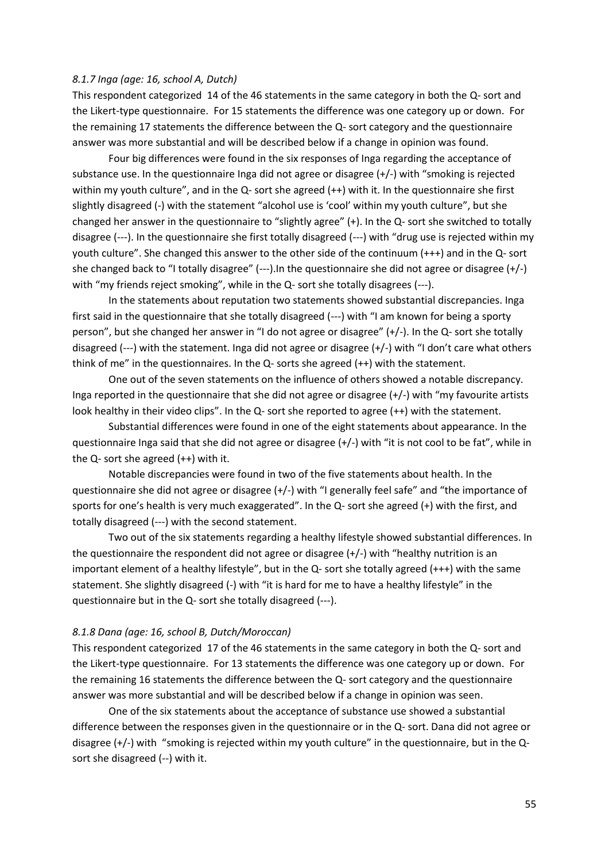#### *8.1.7 Inga (age: 16, school A, Dutch)*

This respondent categorized 14 of the 46 statements in the same category in both the Q- sort and the Likert-type questionnaire. For 15 statements the difference was one category up or down. For the remaining 17 statements the difference between the Q- sort category and the questionnaire answer was more substantial and will be described below if a change in opinion was found.

Four big differences were found in the six responses of Inga regarding the acceptance of substance use. In the questionnaire Inga did not agree or disagree (+/-) with "smoking is rejected within my youth culture", and in the Q- sort she agreed (++) with it. In the questionnaire she first slightly disagreed (-) with the statement "alcohol use is 'cool' within my youth culture", but she changed her answer in the questionnaire to "slightly agree" (+). In the Q- sort she switched to totally disagree (---). In the questionnaire she first totally disagreed (---) with "drug use is rejected within my youth culture". She changed this answer to the other side of the continuum (+++) and in the Q- sort she changed back to "I totally disagree"  $(-)$ . In the questionnaire she did not agree or disagree  $(+/-)$ with "my friends reject smoking", while in the Q- sort she totally disagrees (---).

In the statements about reputation two statements showed substantial discrepancies. Inga first said in the questionnaire that she totally disagreed (---) with "I am known for being a sporty person", but she changed her answer in "I do not agree or disagree" (+/-). In the Q- sort she totally disagreed (---) with the statement. Inga did not agree or disagree (+/-) with "I don't care what others think of me" in the questionnaires. In the Q- sorts she agreed (++) with the statement.

One out of the seven statements on the influence of others showed a notable discrepancy. Inga reported in the questionnaire that she did not agree or disagree (+/-) with "my favourite artists look healthy in their video clips". In the Q- sort she reported to agree (++) with the statement.

Substantial differences were found in one of the eight statements about appearance. In the questionnaire Inga said that she did not agree or disagree (+/-) with "it is not cool to be fat", while in the Q- sort she agreed (++) with it.

Notable discrepancies were found in two of the five statements about health. In the questionnaire she did not agree or disagree (+/-) with "I generally feel safe" and "the importance of sports for one's health is very much exaggerated". In the Q- sort she agreed (+) with the first, and totally disagreed (---) with the second statement.

Two out of the six statements regarding a healthy lifestyle showed substantial differences. In the questionnaire the respondent did not agree or disagree (+/-) with "healthy nutrition is an important element of a healthy lifestyle", but in the Q- sort she totally agreed (+++) with the same statement. She slightly disagreed (-) with "it is hard for me to have a healthy lifestyle" in the questionnaire but in the Q- sort she totally disagreed (---).

#### *8.1.8 Dana (age: 16, school B, Dutch/Moroccan)*

This respondent categorized 17 of the 46 statements in the same category in both the Q- sort and the Likert-type questionnaire. For 13 statements the difference was one category up or down. For the remaining 16 statements the difference between the Q- sort category and the questionnaire answer was more substantial and will be described below if a change in opinion was seen.

One of the six statements about the acceptance of substance use showed a substantial difference between the responses given in the questionnaire or in the Q- sort. Dana did not agree or disagree (+/-) with "smoking is rejected within my youth culture" in the questionnaire, but in the Qsort she disagreed (--) with it.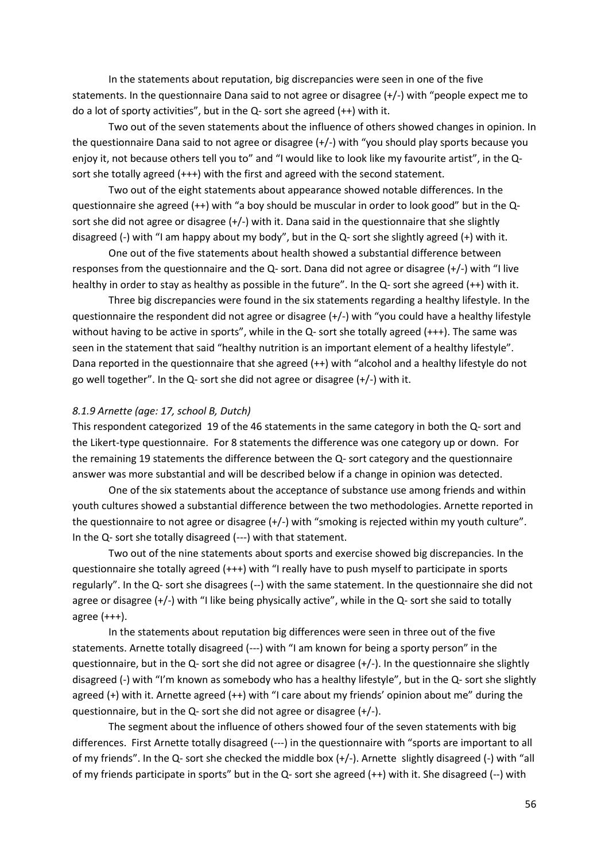In the statements about reputation, big discrepancies were seen in one of the five statements. In the questionnaire Dana said to not agree or disagree (+/-) with "people expect me to do a lot of sporty activities", but in the Q- sort she agreed (++) with it.

Two out of the seven statements about the influence of others showed changes in opinion. In the questionnaire Dana said to not agree or disagree (+/-) with "you should play sports because you enjoy it, not because others tell you to" and "I would like to look like my favourite artist", in the Qsort she totally agreed (+++) with the first and agreed with the second statement.

Two out of the eight statements about appearance showed notable differences. In the questionnaire she agreed (++) with "a boy should be muscular in order to look good" but in the Qsort she did not agree or disagree  $(+/-)$  with it. Dana said in the questionnaire that she slightly disagreed (-) with "I am happy about my body", but in the Q- sort she slightly agreed (+) with it.

One out of the five statements about health showed a substantial difference between responses from the questionnaire and the Q- sort. Dana did not agree or disagree (+/-) with "I live healthy in order to stay as healthy as possible in the future". In the Q- sort she agreed (++) with it.

Three big discrepancies were found in the six statements regarding a healthy lifestyle. In the questionnaire the respondent did not agree or disagree (+/-) with "you could have a healthy lifestyle without having to be active in sports", while in the Q- sort she totally agreed (+++). The same was seen in the statement that said "healthy nutrition is an important element of a healthy lifestyle". Dana reported in the questionnaire that she agreed (++) with "alcohol and a healthy lifestyle do not go well together". In the Q- sort she did not agree or disagree (+/-) with it.

#### *8.1.9 Arnette (age: 17, school B, Dutch)*

This respondent categorized 19 of the 46 statements in the same category in both the Q- sort and the Likert-type questionnaire. For 8 statements the difference was one category up or down. For the remaining 19 statements the difference between the Q- sort category and the questionnaire answer was more substantial and will be described below if a change in opinion was detected.

One of the six statements about the acceptance of substance use among friends and within youth cultures showed a substantial difference between the two methodologies. Arnette reported in the questionnaire to not agree or disagree (+/-) with "smoking is rejected within my youth culture". In the Q- sort she totally disagreed (---) with that statement.

Two out of the nine statements about sports and exercise showed big discrepancies. In the questionnaire she totally agreed (+++) with "I really have to push myself to participate in sports regularly". In the Q- sort she disagrees (--) with the same statement. In the questionnaire she did not agree or disagree (+/-) with "I like being physically active", while in the Q- sort she said to totally agree (+++).

In the statements about reputation big differences were seen in three out of the five statements. Arnette totally disagreed (---) with "I am known for being a sporty person" in the questionnaire, but in the Q- sort she did not agree or disagree (+/-). In the questionnaire she slightly disagreed (-) with "I'm known as somebody who has a healthy lifestyle", but in the Q- sort she slightly agreed (+) with it. Arnette agreed (++) with "I care about my friends' opinion about me" during the questionnaire, but in the Q- sort she did not agree or disagree  $(+/-)$ .

The segment about the influence of others showed four of the seven statements with big differences. First Arnette totally disagreed (---) in the questionnaire with "sports are important to all of my friends". In the Q- sort she checked the middle box (+/-). Arnette slightly disagreed (-) with "all of my friends participate in sports" but in the Q- sort she agreed (++) with it. She disagreed (--) with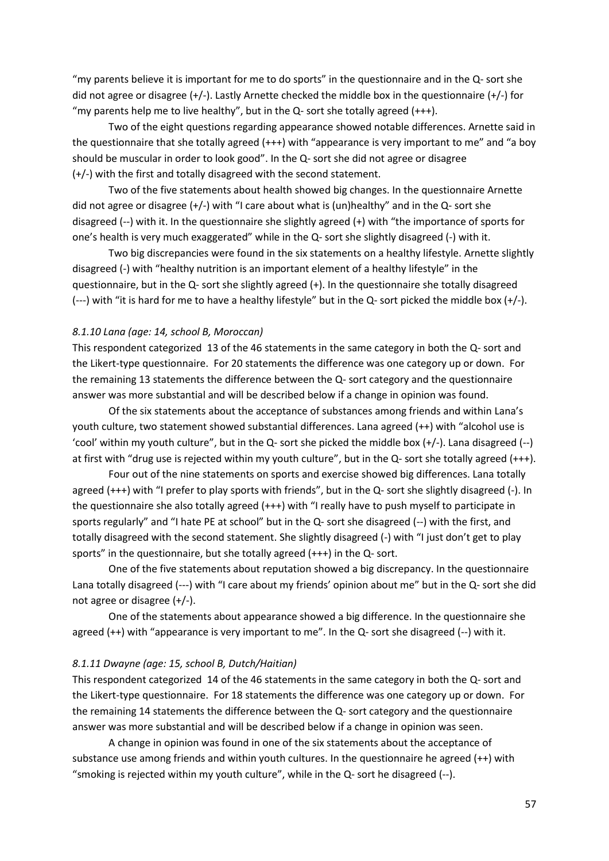"my parents believe it is important for me to do sports" in the questionnaire and in the Q- sort she did not agree or disagree (+/-). Lastly Arnette checked the middle box in the questionnaire (+/-) for "my parents help me to live healthy", but in the Q- sort she totally agreed  $(+++)$ .

Two of the eight questions regarding appearance showed notable differences. Arnette said in the questionnaire that she totally agreed (+++) with "appearance is very important to me" and "a boy should be muscular in order to look good". In the Q- sort she did not agree or disagree (+/-) with the first and totally disagreed with the second statement.

Two of the five statements about health showed big changes. In the questionnaire Arnette did not agree or disagree (+/-) with "I care about what is (un)healthy" and in the Q- sort she disagreed (--) with it. In the questionnaire she slightly agreed (+) with "the importance of sports for one's health is very much exaggerated" while in the Q- sort she slightly disagreed (-) with it.

Two big discrepancies were found in the six statements on a healthy lifestyle. Arnette slightly disagreed (-) with "healthy nutrition is an important element of a healthy lifestyle" in the questionnaire, but in the Q- sort she slightly agreed (+). In the questionnaire she totally disagreed (---) with "it is hard for me to have a healthy lifestyle" but in the Q- sort picked the middle box (+/-).

#### *8.1.10 Lana (age: 14, school B, Moroccan)*

This respondent categorized 13 of the 46 statements in the same category in both the Q- sort and the Likert-type questionnaire. For 20 statements the difference was one category up or down. For the remaining 13 statements the difference between the Q- sort category and the questionnaire answer was more substantial and will be described below if a change in opinion was found.

Of the six statements about the acceptance of substances among friends and within Lana's youth culture, two statement showed substantial differences. Lana agreed (++) with "alcohol use is 'cool' within my youth culture", but in the Q- sort she picked the middle box (+/-). Lana disagreed (--) at first with "drug use is rejected within my youth culture", but in the Q- sort she totally agreed (+++).

Four out of the nine statements on sports and exercise showed big differences. Lana totally agreed (+++) with "I prefer to play sports with friends", but in the Q- sort she slightly disagreed (-). In the questionnaire she also totally agreed (+++) with "I really have to push myself to participate in sports regularly" and "I hate PE at school" but in the Q- sort she disagreed (--) with the first, and totally disagreed with the second statement. She slightly disagreed (-) with "I just don't get to play sports" in the questionnaire, but she totally agreed (+++) in the Q- sort.

One of the five statements about reputation showed a big discrepancy. In the questionnaire Lana totally disagreed (---) with "I care about my friends' opinion about me" but in the Q- sort she did not agree or disagree (+/-).

One of the statements about appearance showed a big difference. In the questionnaire she agreed (++) with "appearance is very important to me". In the Q- sort she disagreed (--) with it.

### *8.1.11 Dwayne (age: 15, school B, Dutch/Haitian)*

This respondent categorized 14 of the 46 statements in the same category in both the Q- sort and the Likert-type questionnaire. For 18 statements the difference was one category up or down. For the remaining 14 statements the difference between the Q- sort category and the questionnaire answer was more substantial and will be described below if a change in opinion was seen.

A change in opinion was found in one of the six statements about the acceptance of substance use among friends and within youth cultures. In the questionnaire he agreed (++) with "smoking is rejected within my youth culture", while in the Q- sort he disagreed (--).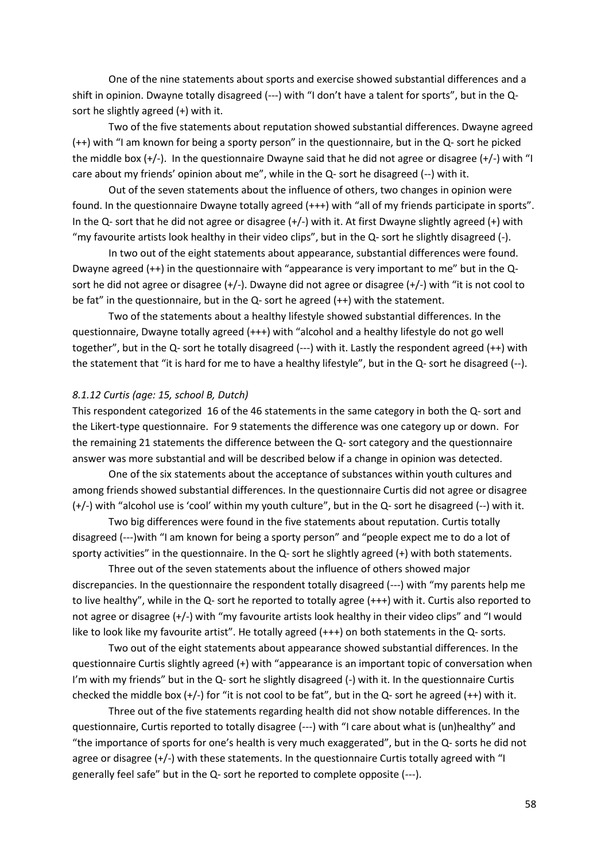One of the nine statements about sports and exercise showed substantial differences and a shift in opinion. Dwayne totally disagreed (---) with "I don't have a talent for sports", but in the Qsort he slightly agreed (+) with it.

Two of the five statements about reputation showed substantial differences. Dwayne agreed (++) with "I am known for being a sporty person" in the questionnaire, but in the Q- sort he picked the middle box (+/-). In the questionnaire Dwayne said that he did not agree or disagree (+/-) with "I care about my friends' opinion about me", while in the Q- sort he disagreed (--) with it.

Out of the seven statements about the influence of others, two changes in opinion were found. In the questionnaire Dwayne totally agreed (+++) with "all of my friends participate in sports". In the Q- sort that he did not agree or disagree (+/-) with it. At first Dwayne slightly agreed (+) with "my favourite artists look healthy in their video clips", but in the Q- sort he slightly disagreed (-).

In two out of the eight statements about appearance, substantial differences were found. Dwayne agreed (++) in the questionnaire with "appearance is very important to me" but in the Qsort he did not agree or disagree (+/-). Dwayne did not agree or disagree (+/-) with "it is not cool to be fat" in the questionnaire, but in the Q- sort he agreed (++) with the statement.

Two of the statements about a healthy lifestyle showed substantial differences. In the questionnaire, Dwayne totally agreed (+++) with "alcohol and a healthy lifestyle do not go well together", but in the Q- sort he totally disagreed (---) with it. Lastly the respondent agreed (++) with the statement that "it is hard for me to have a healthy lifestyle", but in the Q- sort he disagreed (--).

#### *8.1.12 Curtis (age: 15, school B, Dutch)*

This respondent categorized 16 of the 46 statements in the same category in both the Q- sort and the Likert-type questionnaire. For 9 statements the difference was one category up or down. For the remaining 21 statements the difference between the Q- sort category and the questionnaire answer was more substantial and will be described below if a change in opinion was detected.

One of the six statements about the acceptance of substances within youth cultures and among friends showed substantial differences. In the questionnaire Curtis did not agree or disagree (+/-) with "alcohol use is 'cool' within my youth culture", but in the Q- sort he disagreed (--) with it.

Two big differences were found in the five statements about reputation. Curtis totally disagreed (---)with "I am known for being a sporty person" and "people expect me to do a lot of sporty activities" in the questionnaire. In the Q- sort he slightly agreed (+) with both statements.

Three out of the seven statements about the influence of others showed major discrepancies. In the questionnaire the respondent totally disagreed (---) with "my parents help me to live healthy", while in the Q- sort he reported to totally agree (+++) with it. Curtis also reported to not agree or disagree (+/-) with "my favourite artists look healthy in their video clips" and "I would like to look like my favourite artist". He totally agreed (+++) on both statements in the Q- sorts.

Two out of the eight statements about appearance showed substantial differences. In the questionnaire Curtis slightly agreed (+) with "appearance is an important topic of conversation when I'm with my friends" but in the Q- sort he slightly disagreed (-) with it. In the questionnaire Curtis checked the middle box  $(+/-)$  for "it is not cool to be fat", but in the Q- sort he agreed  $(++)$  with it.

Three out of the five statements regarding health did not show notable differences. In the questionnaire, Curtis reported to totally disagree (---) with "I care about what is (un)healthy" and "the importance of sports for one's health is very much exaggerated", but in the Q- sorts he did not agree or disagree (+/-) with these statements. In the questionnaire Curtis totally agreed with "I generally feel safe" but in the Q- sort he reported to complete opposite (---).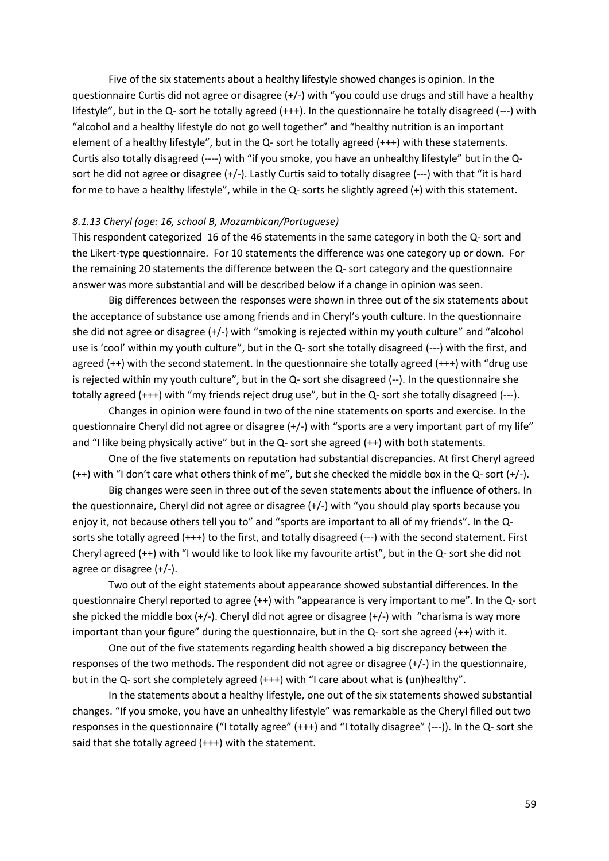Five of the six statements about a healthy lifestyle showed changes is opinion. In the questionnaire Curtis did not agree or disagree (+/-) with "you could use drugs and still have a healthy lifestyle", but in the Q- sort he totally agreed (+++). In the questionnaire he totally disagreed (---) with "alcohol and a healthy lifestyle do not go well together" and "healthy nutrition is an important element of a healthy lifestyle", but in the Q- sort he totally agreed (+++) with these statements. Curtis also totally disagreed (----) with "if you smoke, you have an unhealthy lifestyle" but in the Qsort he did not agree or disagree (+/-). Lastly Curtis said to totally disagree (---) with that "it is hard for me to have a healthy lifestyle", while in the Q- sorts he slightly agreed (+) with this statement.

#### *8.1.13 Cheryl (age: 16, school B, Mozambican/Portuguese)*

This respondent categorized 16 of the 46 statements in the same category in both the Q- sort and the Likert-type questionnaire. For 10 statements the difference was one category up or down. For the remaining 20 statements the difference between the Q- sort category and the questionnaire answer was more substantial and will be described below if a change in opinion was seen.

Big differences between the responses were shown in three out of the six statements about the acceptance of substance use among friends and in Cheryl's youth culture. In the questionnaire she did not agree or disagree (+/-) with "smoking is rejected within my youth culture" and "alcohol use is 'cool' within my youth culture", but in the Q- sort she totally disagreed (---) with the first, and agreed (++) with the second statement. In the questionnaire she totally agreed (+++) with "drug use is rejected within my youth culture", but in the Q- sort she disagreed (--). In the questionnaire she totally agreed (+++) with "my friends reject drug use", but in the Q- sort she totally disagreed (---).

Changes in opinion were found in two of the nine statements on sports and exercise. In the questionnaire Cheryl did not agree or disagree (+/-) with "sports are a very important part of my life" and "I like being physically active" but in the Q- sort she agreed (++) with both statements.

One of the five statements on reputation had substantial discrepancies. At first Cheryl agreed (++) with "I don't care what others think of me", but she checked the middle box in the Q- sort (+/-).

Big changes were seen in three out of the seven statements about the influence of others. In the questionnaire, Cheryl did not agree or disagree (+/-) with "you should play sports because you enjoy it, not because others tell you to" and "sports are important to all of my friends". In the Qsorts she totally agreed (+++) to the first, and totally disagreed (---) with the second statement. First Cheryl agreed (++) with "I would like to look like my favourite artist", but in the Q- sort she did not agree or disagree (+/-).

Two out of the eight statements about appearance showed substantial differences. In the questionnaire Cheryl reported to agree (++) with "appearance is very important to me". In the Q- sort she picked the middle box  $(+/-)$ . Cheryl did not agree or disagree  $(+/-)$  with "charisma is way more important than your figure" during the questionnaire, but in the Q- sort she agreed (++) with it.

One out of the five statements regarding health showed a big discrepancy between the responses of the two methods. The respondent did not agree or disagree (+/-) in the questionnaire, but in the Q- sort she completely agreed (+++) with "I care about what is (un)healthy".

In the statements about a healthy lifestyle, one out of the six statements showed substantial changes. "If you smoke, you have an unhealthy lifestyle" was remarkable as the Cheryl filled out two responses in the questionnaire ("I totally agree" (+++) and "I totally disagree" (---)). In the Q- sort she said that she totally agreed (+++) with the statement.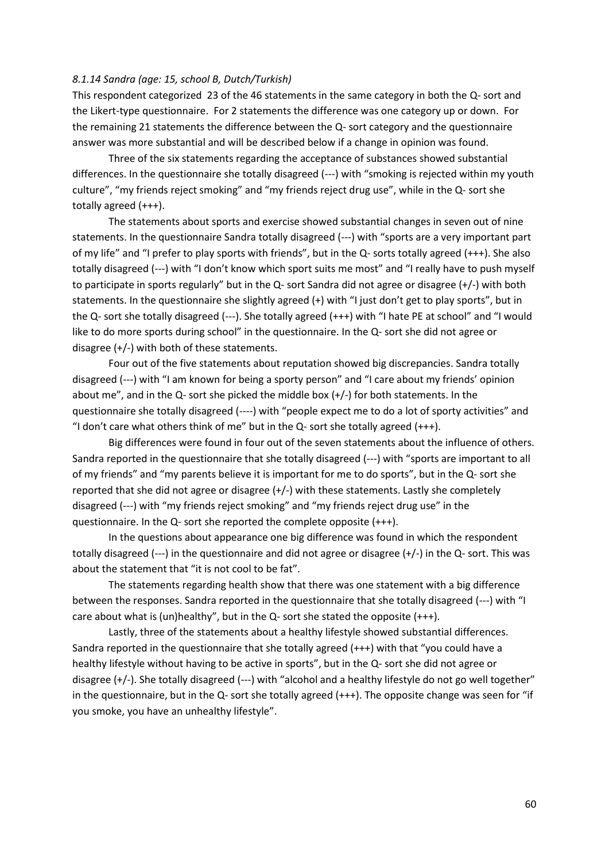#### *8.1.14 Sandra (age: 15, school B, Dutch/Turkish)*

This respondent categorized 23 of the 46 statements in the same category in both the Q- sort and the Likert-type questionnaire. For 2 statements the difference was one category up or down. For the remaining 21 statements the difference between the Q- sort category and the questionnaire answer was more substantial and will be described below if a change in opinion was found.

Three of the six statements regarding the acceptance of substances showed substantial differences. In the questionnaire she totally disagreed (---) with "smoking is rejected within my youth culture", "my friends reject smoking" and "my friends reject drug use", while in the Q- sort she totally agreed (+++).

The statements about sports and exercise showed substantial changes in seven out of nine statements. In the questionnaire Sandra totally disagreed (---) with "sports are a very important part of my life" and "I prefer to play sports with friends", but in the Q- sorts totally agreed (+++). She also totally disagreed (---) with "I don't know which sport suits me most" and "I really have to push myself to participate in sports regularly" but in the Q- sort Sandra did not agree or disagree (+/-) with both statements. In the questionnaire she slightly agreed (+) with "I just don't get to play sports", but in the Q- sort she totally disagreed (---). She totally agreed (+++) with "I hate PE at school" and "I would like to do more sports during school" in the questionnaire. In the Q- sort she did not agree or disagree (+/-) with both of these statements.

Four out of the five statements about reputation showed big discrepancies. Sandra totally disagreed (---) with "I am known for being a sporty person" and "I care about my friends' opinion about me", and in the Q- sort she picked the middle box  $(+/-)$  for both statements. In the questionnaire she totally disagreed (----) with "people expect me to do a lot of sporty activities" and "I don't care what others think of me" but in the Q- sort she totally agreed  $(++)$ .

Big differences were found in four out of the seven statements about the influence of others. Sandra reported in the questionnaire that she totally disagreed (---) with "sports are important to all of my friends" and "my parents believe it is important for me to do sports", but in the Q- sort she reported that she did not agree or disagree (+/-) with these statements. Lastly she completely disagreed (---) with "my friends reject smoking" and "my friends reject drug use" in the questionnaire. In the Q- sort she reported the complete opposite (+++).

In the questions about appearance one big difference was found in which the respondent totally disagreed (---) in the questionnaire and did not agree or disagree (+/-) in the Q- sort. This was about the statement that "it is not cool to be fat".

The statements regarding health show that there was one statement with a big difference between the responses. Sandra reported in the questionnaire that she totally disagreed (---) with "I care about what is (un)healthy", but in the Q- sort she stated the opposite  $(++)$ .

Lastly, three of the statements about a healthy lifestyle showed substantial differences. Sandra reported in the questionnaire that she totally agreed (+++) with that "you could have a healthy lifestyle without having to be active in sports", but in the Q- sort she did not agree or disagree (+/-). She totally disagreed (---) with "alcohol and a healthy lifestyle do not go well together" in the questionnaire, but in the Q- sort she totally agreed (+++). The opposite change was seen for "if you smoke, you have an unhealthy lifestyle".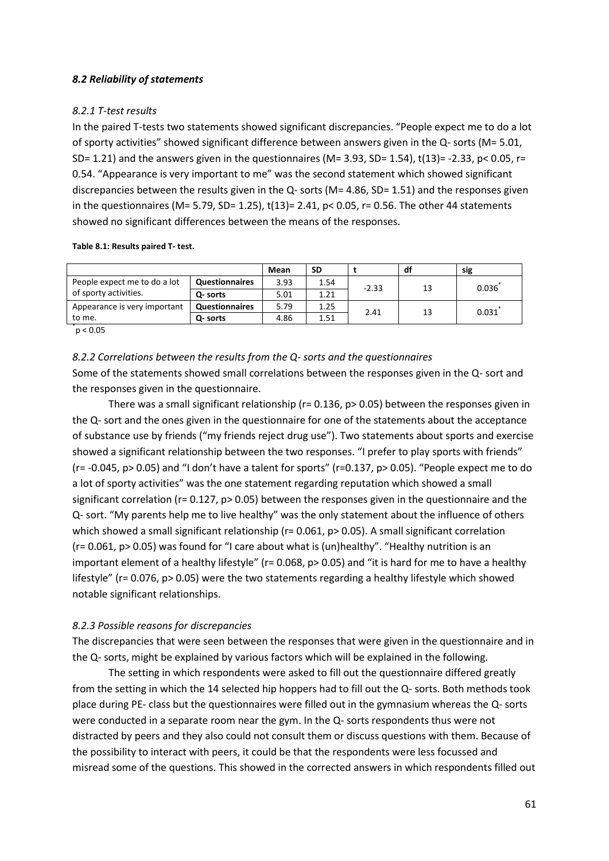### *8.2 Reliability of statements*

### *8.2.1 T-test results*

In the paired T-tests two statements showed significant discrepancies. "People expect me to do a lot of sporty activities" showed significant difference between answers given in the Q- sorts (M= 5.01, SD= 1.21) and the answers given in the questionnaires (M= 3.93, SD= 1.54), t(13)= -2.33, p< 0.05, r= 0.54. "Appearance is very important to me" was the second statement which showed significant discrepancies between the results given in the Q- sorts (M= 4.86, SD= 1.51) and the responses given in the questionnaires (M= 5.79, SD= 1.25), t(13)= 2.41, p< 0.05, r= 0.56. The other 44 statements showed no significant differences between the means of the responses.

**Table 8.1: Results paired T- test.**

|                              |                       | Mean | <b>SD</b> |         | df | sig   |
|------------------------------|-----------------------|------|-----------|---------|----|-------|
| People expect me to do a lot | <b>Questionnaires</b> | 3.93 | 1.54      | $-2.33$ | 13 | 0.036 |
| of sporty activities.        | Q- sorts              | 5.01 | 1.21      |         |    |       |
| Appearance is very important | Questionnaires        | 5.79 | 1.25      | 2.41    | 13 | 0.031 |
| to me.                       | Q- sorts              | 4.86 | 1.51      |         |    |       |
| $\sim$ $\sim$ $\sim$         |                       |      |           |         |    |       |

 $p$  < 0.05

### *8.2.2 Correlations between the results from the Q- sorts and the questionnaires*

Some of the statements showed small correlations between the responses given in the Q- sort and the responses given in the questionnaire.

There was a small significant relationship ( $r = 0.136$ ,  $p > 0.05$ ) between the responses given in the Q- sort and the ones given in the questionnaire for one of the statements about the acceptance of substance use by friends ("my friends reject drug use"). Two statements about sports and exercise showed a significant relationship between the two responses. "I prefer to play sports with friends" (r= -0.045, p> 0.05) and "I don't have a talent for sports" (r=0.137, p> 0.05). "People expect me to do a lot of sporty activities" was the one statement regarding reputation which showed a small significant correlation (r= 0.127, p> 0.05) between the responses given in the questionnaire and the Q- sort. "My parents help me to live healthy" was the only statement about the influence of others which showed a small significant relationship (r= 0.061, p> 0.05). A small significant correlation (r= 0.061, p> 0.05) was found for "I care about what is (un)healthy". "Healthy nutrition is an important element of a healthy lifestyle" (r= 0.068, p> 0.05) and "it is hard for me to have a healthy lifestyle" (r= 0.076, p> 0.05) were the two statements regarding a healthy lifestyle which showed notable significant relationships.

### *8.2.3 Possible reasons for discrepancies*

The discrepancies that were seen between the responses that were given in the questionnaire and in the Q- sorts, might be explained by various factors which will be explained in the following.

The setting in which respondents were asked to fill out the questionnaire differed greatly from the setting in which the 14 selected hip hoppers had to fill out the Q- sorts. Both methods took place during PE- class but the questionnaires were filled out in the gymnasium whereas the Q- sorts were conducted in a separate room near the gym. In the Q- sorts respondents thus were not distracted by peers and they also could not consult them or discuss questions with them. Because of the possibility to interact with peers, it could be that the respondents were less focussed and misread some of the questions. This showed in the corrected answers in which respondents filled out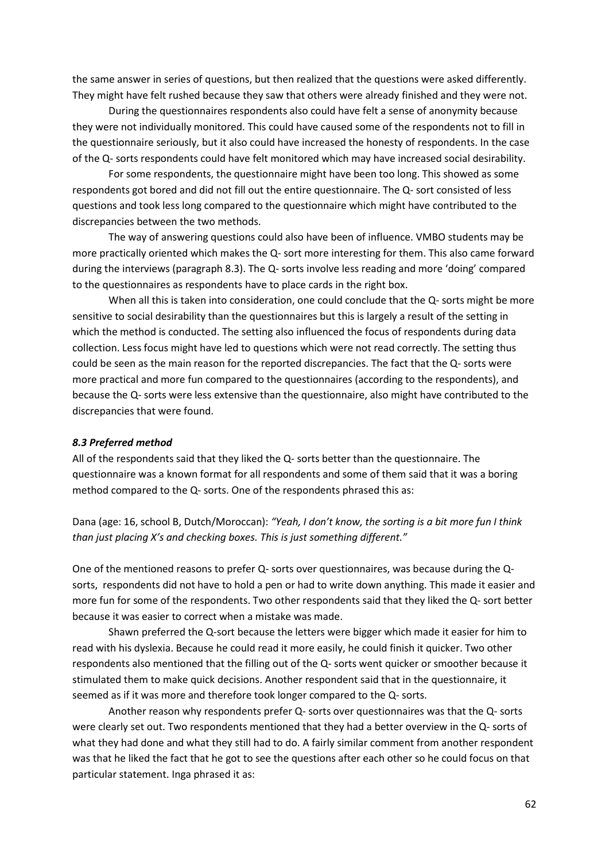the same answer in series of questions, but then realized that the questions were asked differently. They might have felt rushed because they saw that others were already finished and they were not.

During the questionnaires respondents also could have felt a sense of anonymity because they were not individually monitored. This could have caused some of the respondents not to fill in the questionnaire seriously, but it also could have increased the honesty of respondents. In the case of the Q- sorts respondents could have felt monitored which may have increased social desirability.

For some respondents, the questionnaire might have been too long. This showed as some respondents got bored and did not fill out the entire questionnaire. The Q- sort consisted of less questions and took less long compared to the questionnaire which might have contributed to the discrepancies between the two methods.

The way of answering questions could also have been of influence. VMBO students may be more practically oriented which makes the Q- sort more interesting for them. This also came forward during the interviews (paragraph 8.3). The Q- sorts involve less reading and more 'doing' compared to the questionnaires as respondents have to place cards in the right box.

When all this is taken into consideration, one could conclude that the Q- sorts might be more sensitive to social desirability than the questionnaires but this is largely a result of the setting in which the method is conducted. The setting also influenced the focus of respondents during data collection. Less focus might have led to questions which were not read correctly. The setting thus could be seen as the main reason for the reported discrepancies. The fact that the Q- sorts were more practical and more fun compared to the questionnaires (according to the respondents), and because the Q- sorts were less extensive than the questionnaire, also might have contributed to the discrepancies that were found.

#### *8.3 Preferred method*

All of the respondents said that they liked the Q- sorts better than the questionnaire. The questionnaire was a known format for all respondents and some of them said that it was a boring method compared to the Q- sorts. One of the respondents phrased this as:

Dana (age: 16, school B, Dutch/Moroccan): *"Yeah, I don't know, the sorting is a bit more fun I think than just placing X's and checking boxes. This is just something different."*

One of the mentioned reasons to prefer Q- sorts over questionnaires, was because during the Qsorts, respondents did not have to hold a pen or had to write down anything. This made it easier and more fun for some of the respondents. Two other respondents said that they liked the Q- sort better because it was easier to correct when a mistake was made.

Shawn preferred the Q-sort because the letters were bigger which made it easier for him to read with his dyslexia. Because he could read it more easily, he could finish it quicker. Two other respondents also mentioned that the filling out of the Q- sorts went quicker or smoother because it stimulated them to make quick decisions. Another respondent said that in the questionnaire, it seemed as if it was more and therefore took longer compared to the Q- sorts.

Another reason why respondents prefer Q- sorts over questionnaires was that the Q- sorts were clearly set out. Two respondents mentioned that they had a better overview in the Q- sorts of what they had done and what they still had to do. A fairly similar comment from another respondent was that he liked the fact that he got to see the questions after each other so he could focus on that particular statement. Inga phrased it as: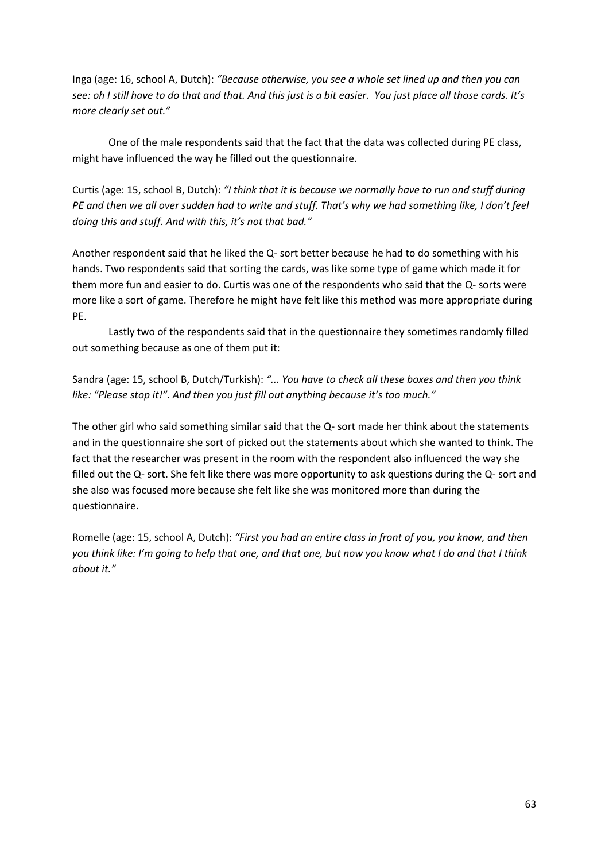Inga (age: 16, school A, Dutch): *"Because otherwise, you see a whole set lined up and then you can see: oh I still have to do that and that. And this just is a bit easier. You just place all those cards. It's more clearly set out."*

One of the male respondents said that the fact that the data was collected during PE class, might have influenced the way he filled out the questionnaire.

Curtis (age: 15, school B, Dutch): *"I think that it is because we normally have to run and stuff during PE and then we all over sudden had to write and stuff. That's why we had something like, I don't feel doing this and stuff. And with this, it's not that bad."*

Another respondent said that he liked the Q- sort better because he had to do something with his hands. Two respondents said that sorting the cards, was like some type of game which made it for them more fun and easier to do. Curtis was one of the respondents who said that the Q- sorts were more like a sort of game. Therefore he might have felt like this method was more appropriate during PE.

Lastly two of the respondents said that in the questionnaire they sometimes randomly filled out something because as one of them put it:

Sandra (age: 15, school B, Dutch/Turkish): *"... You have to check all these boxes and then you think like: "Please stop it!". And then you just fill out anything because it's too much."*

The other girl who said something similar said that the Q- sort made her think about the statements and in the questionnaire she sort of picked out the statements about which she wanted to think. The fact that the researcher was present in the room with the respondent also influenced the way she filled out the Q- sort. She felt like there was more opportunity to ask questions during the Q- sort and she also was focused more because she felt like she was monitored more than during the questionnaire.

Romelle (age: 15, school A, Dutch): *"First you had an entire class in front of you, you know, and then you think like: I'm going to help that one, and that one, but now you know what I do and that I think about it."*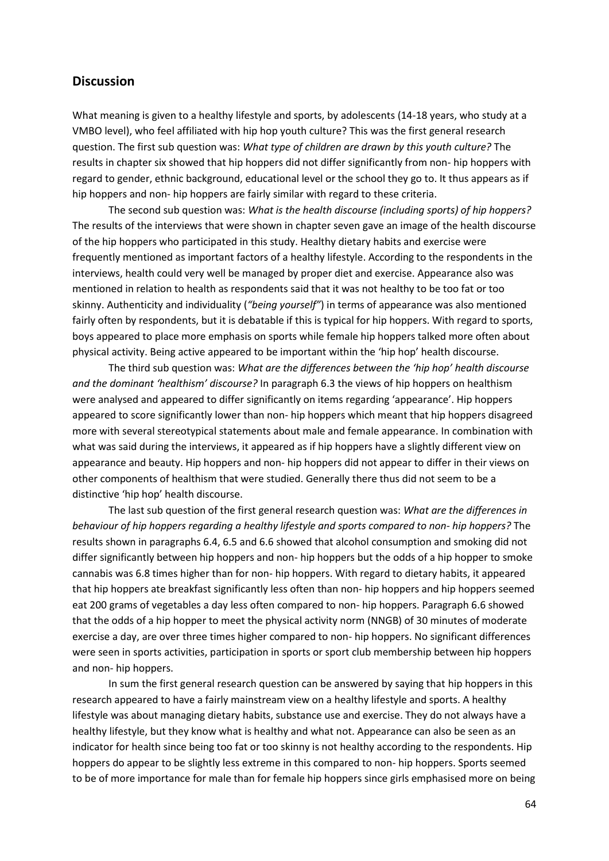## **Discussion**

What meaning is given to a healthy lifestyle and sports, by adolescents (14-18 years, who study at a VMBO level), who feel affiliated with hip hop youth culture? This was the first general research question. The first sub question was: *What type of children are drawn by this youth culture?* The results in chapter six showed that hip hoppers did not differ significantly from non- hip hoppers with regard to gender, ethnic background, educational level or the school they go to. It thus appears as if hip hoppers and non- hip hoppers are fairly similar with regard to these criteria.

The second sub question was: *What is the health discourse (including sports) of hip hoppers?* The results of the interviews that were shown in chapter seven gave an image of the health discourse of the hip hoppers who participated in this study. Healthy dietary habits and exercise were frequently mentioned as important factors of a healthy lifestyle. According to the respondents in the interviews, health could very well be managed by proper diet and exercise. Appearance also was mentioned in relation to health as respondents said that it was not healthy to be too fat or too skinny. Authenticity and individuality (*"being yourself"*) in terms of appearance was also mentioned fairly often by respondents, but it is debatable if this is typical for hip hoppers. With regard to sports, boys appeared to place more emphasis on sports while female hip hoppers talked more often about physical activity. Being active appeared to be important within the 'hip hop' health discourse.

The third sub question was: *What are the differences between the 'hip hop' health discourse and the dominant 'healthism' discourse?* In paragraph 6.3 the views of hip hoppers on healthism were analysed and appeared to differ significantly on items regarding 'appearance'. Hip hoppers appeared to score significantly lower than non- hip hoppers which meant that hip hoppers disagreed more with several stereotypical statements about male and female appearance. In combination with what was said during the interviews, it appeared as if hip hoppers have a slightly different view on appearance and beauty. Hip hoppers and non- hip hoppers did not appear to differ in their views on other components of healthism that were studied. Generally there thus did not seem to be a distinctive 'hip hop' health discourse.

The last sub question of the first general research question was: *What are the differences in behaviour of hip hoppers regarding a healthy lifestyle and sports compared to non- hip hoppers?* The results shown in paragraphs 6.4, 6.5 and 6.6 showed that alcohol consumption and smoking did not differ significantly between hip hoppers and non- hip hoppers but the odds of a hip hopper to smoke cannabis was 6.8 times higher than for non- hip hoppers. With regard to dietary habits, it appeared that hip hoppers ate breakfast significantly less often than non- hip hoppers and hip hoppers seemed eat 200 grams of vegetables a day less often compared to non- hip hoppers. Paragraph 6.6 showed that the odds of a hip hopper to meet the physical activity norm (NNGB) of 30 minutes of moderate exercise a day, are over three times higher compared to non- hip hoppers. No significant differences were seen in sports activities, participation in sports or sport club membership between hip hoppers and non- hip hoppers.

In sum the first general research question can be answered by saying that hip hoppers in this research appeared to have a fairly mainstream view on a healthy lifestyle and sports. A healthy lifestyle was about managing dietary habits, substance use and exercise. They do not always have a healthy lifestyle, but they know what is healthy and what not. Appearance can also be seen as an indicator for health since being too fat or too skinny is not healthy according to the respondents. Hip hoppers do appear to be slightly less extreme in this compared to non- hip hoppers. Sports seemed to be of more importance for male than for female hip hoppers since girls emphasised more on being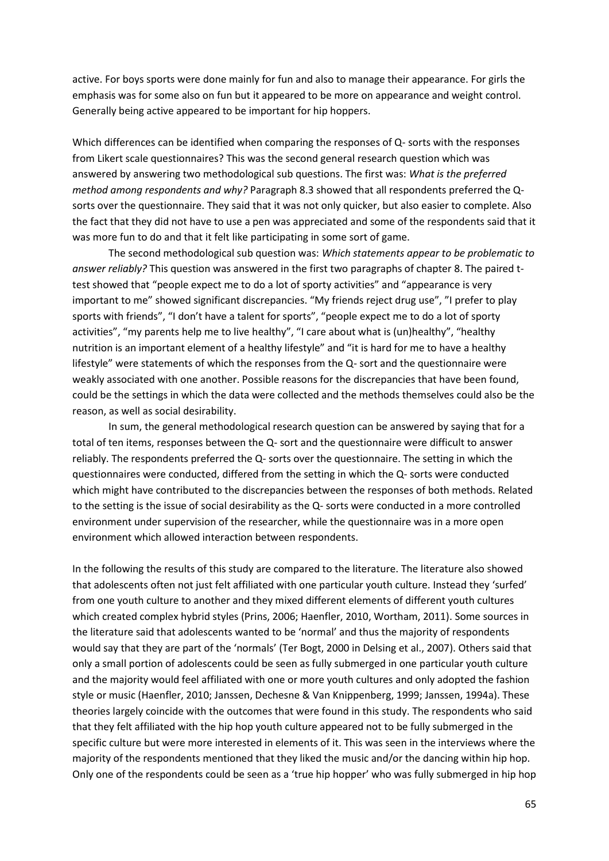active. For boys sports were done mainly for fun and also to manage their appearance. For girls the emphasis was for some also on fun but it appeared to be more on appearance and weight control. Generally being active appeared to be important for hip hoppers.

Which differences can be identified when comparing the responses of Q- sorts with the responses from Likert scale questionnaires? This was the second general research question which was answered by answering two methodological sub questions. The first was: *What is the preferred method among respondents and why?* Paragraph 8.3 showed that all respondents preferred the Qsorts over the questionnaire. They said that it was not only quicker, but also easier to complete. Also the fact that they did not have to use a pen was appreciated and some of the respondents said that it was more fun to do and that it felt like participating in some sort of game.

The second methodological sub question was: *Which statements appear to be problematic to answer reliably?* This question was answered in the first two paragraphs of chapter 8. The paired ttest showed that "people expect me to do a lot of sporty activities" and "appearance is very important to me" showed significant discrepancies. "My friends reject drug use", "I prefer to play sports with friends", "I don't have a talent for sports", "people expect me to do a lot of sporty activities", "my parents help me to live healthy", "I care about what is (un)healthy", "healthy nutrition is an important element of a healthy lifestyle" and "it is hard for me to have a healthy lifestyle" were statements of which the responses from the Q- sort and the questionnaire were weakly associated with one another. Possible reasons for the discrepancies that have been found, could be the settings in which the data were collected and the methods themselves could also be the reason, as well as social desirability.

In sum, the general methodological research question can be answered by saying that for a total of ten items, responses between the Q- sort and the questionnaire were difficult to answer reliably. The respondents preferred the Q- sorts over the questionnaire. The setting in which the questionnaires were conducted, differed from the setting in which the Q- sorts were conducted which might have contributed to the discrepancies between the responses of both methods. Related to the setting is the issue of social desirability as the Q- sorts were conducted in a more controlled environment under supervision of the researcher, while the questionnaire was in a more open environment which allowed interaction between respondents.

In the following the results of this study are compared to the literature. The literature also showed that adolescents often not just felt affiliated with one particular youth culture. Instead they 'surfed' from one youth culture to another and they mixed different elements of different youth cultures which created complex hybrid styles (Prins, 2006; Haenfler, 2010, Wortham, 2011). Some sources in the literature said that adolescents wanted to be 'normal' and thus the majority of respondents would say that they are part of the 'normals' (Ter Bogt, 2000 in Delsing et al., 2007). Others said that only a small portion of adolescents could be seen as fully submerged in one particular youth culture and the majority would feel affiliated with one or more youth cultures and only adopted the fashion style or music (Haenfler, 2010; Janssen, Dechesne & Van Knippenberg, 1999; Janssen, 1994a). These theories largely coincide with the outcomes that were found in this study. The respondents who said that they felt affiliated with the hip hop youth culture appeared not to be fully submerged in the specific culture but were more interested in elements of it. This was seen in the interviews where the majority of the respondents mentioned that they liked the music and/or the dancing within hip hop. Only one of the respondents could be seen as a 'true hip hopper' who was fully submerged in hip hop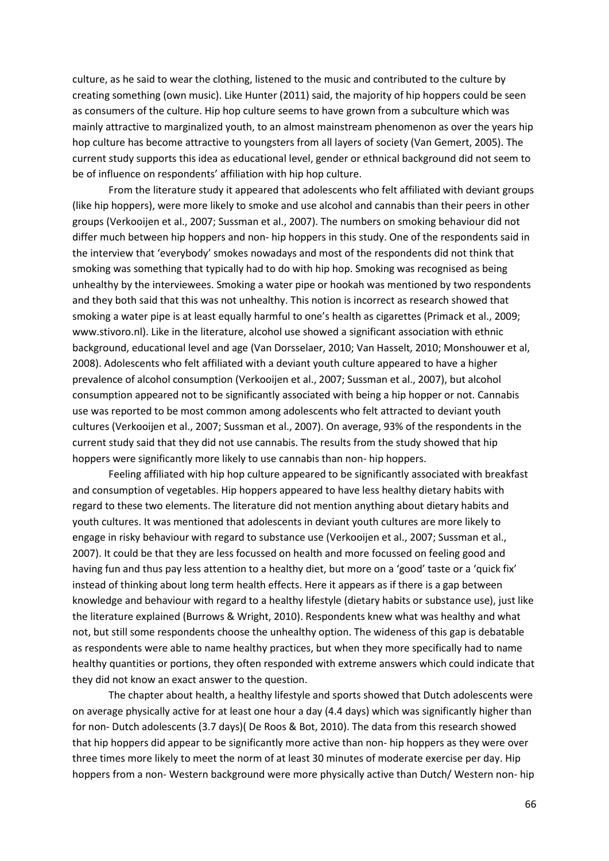culture, as he said to wear the clothing, listened to the music and contributed to the culture by creating something (own music). Like Hunter (2011) said, the majority of hip hoppers could be seen as consumers of the culture. Hip hop culture seems to have grown from a subculture which was mainly attractive to marginalized youth, to an almost mainstream phenomenon as over the years hip hop culture has become attractive to youngsters from all layers of society (Van Gemert, 2005). The current study supports this idea as educational level, gender or ethnical background did not seem to be of influence on respondents' affiliation with hip hop culture.

From the literature study it appeared that adolescents who felt affiliated with deviant groups (like hip hoppers), were more likely to smoke and use alcohol and cannabis than their peers in other groups (Verkooijen et al., 2007; Sussman et al., 2007). The numbers on smoking behaviour did not differ much between hip hoppers and non- hip hoppers in this study. One of the respondents said in the interview that 'everybody' smokes nowadays and most of the respondents did not think that smoking was something that typically had to do with hip hop. Smoking was recognised as being unhealthy by the interviewees. Smoking a water pipe or hookah was mentioned by two respondents and they both said that this was not unhealthy. This notion is incorrect as research showed that smoking a water pipe is at least equally harmful to one's health as cigarettes (Primack et al., 2009; www.stivoro.nl). Like in the literature, alcohol use showed a significant association with ethnic background, educational level and age (Van Dorsselaer, 2010; Van Hasselt, 2010; Monshouwer et al, 2008). Adolescents who felt affiliated with a deviant youth culture appeared to have a higher prevalence of alcohol consumption (Verkooijen et al., 2007; Sussman et al., 2007), but alcohol consumption appeared not to be significantly associated with being a hip hopper or not. Cannabis use was reported to be most common among adolescents who felt attracted to deviant youth cultures (Verkooijen et al., 2007; Sussman et al., 2007). On average, 93% of the respondents in the current study said that they did not use cannabis. The results from the study showed that hip hoppers were significantly more likely to use cannabis than non- hip hoppers.

Feeling affiliated with hip hop culture appeared to be significantly associated with breakfast and consumption of vegetables. Hip hoppers appeared to have less healthy dietary habits with regard to these two elements. The literature did not mention anything about dietary habits and youth cultures. It was mentioned that adolescents in deviant youth cultures are more likely to engage in risky behaviour with regard to substance use (Verkooijen et al., 2007; Sussman et al., 2007). It could be that they are less focussed on health and more focussed on feeling good and having fun and thus pay less attention to a healthy diet, but more on a 'good' taste or a 'quick fix' instead of thinking about long term health effects. Here it appears as if there is a gap between knowledge and behaviour with regard to a healthy lifestyle (dietary habits or substance use), just like the literature explained (Burrows & Wright, 2010). Respondents knew what was healthy and what not, but still some respondents choose the unhealthy option. The wideness of this gap is debatable as respondents were able to name healthy practices, but when they more specifically had to name healthy quantities or portions, they often responded with extreme answers which could indicate that they did not know an exact answer to the question.

The chapter about health, a healthy lifestyle and sports showed that Dutch adolescents were on average physically active for at least one hour a day (4.4 days) which was significantly higher than for non- Dutch adolescents (3.7 days)( De Roos & Bot, 2010). The data from this research showed that hip hoppers did appear to be significantly more active than non- hip hoppers as they were over three times more likely to meet the norm of at least 30 minutes of moderate exercise per day. Hip hoppers from a non- Western background were more physically active than Dutch/ Western non- hip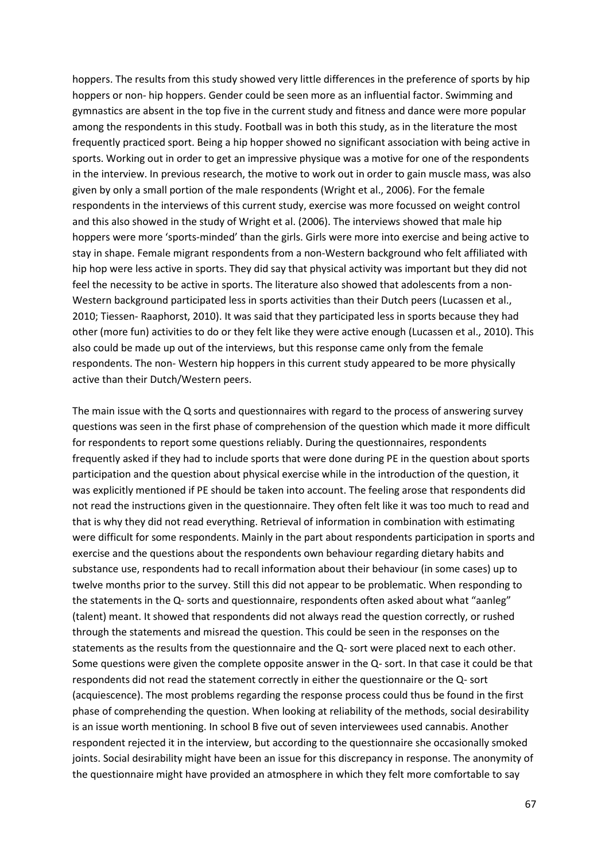hoppers. The results from this study showed very little differences in the preference of sports by hip hoppers or non- hip hoppers. Gender could be seen more as an influential factor. Swimming and gymnastics are absent in the top five in the current study and fitness and dance were more popular among the respondents in this study. Football was in both this study, as in the literature the most frequently practiced sport. Being a hip hopper showed no significant association with being active in sports. Working out in order to get an impressive physique was a motive for one of the respondents in the interview. In previous research, the motive to work out in order to gain muscle mass, was also given by only a small portion of the male respondents (Wright et al., 2006). For the female respondents in the interviews of this current study, exercise was more focussed on weight control and this also showed in the study of Wright et al. (2006). The interviews showed that male hip hoppers were more 'sports-minded' than the girls. Girls were more into exercise and being active to stay in shape. Female migrant respondents from a non-Western background who felt affiliated with hip hop were less active in sports. They did say that physical activity was important but they did not feel the necessity to be active in sports. The literature also showed that adolescents from a non-Western background participated less in sports activities than their Dutch peers (Lucassen et al., 2010; Tiessen- Raaphorst, 2010). It was said that they participated less in sports because they had other (more fun) activities to do or they felt like they were active enough (Lucassen et al., 2010). This also could be made up out of the interviews, but this response came only from the female respondents. The non- Western hip hoppers in this current study appeared to be more physically active than their Dutch/Western peers.

The main issue with the Q sorts and questionnaires with regard to the process of answering survey questions was seen in the first phase of comprehension of the question which made it more difficult for respondents to report some questions reliably. During the questionnaires, respondents frequently asked if they had to include sports that were done during PE in the question about sports participation and the question about physical exercise while in the introduction of the question, it was explicitly mentioned if PE should be taken into account. The feeling arose that respondents did not read the instructions given in the questionnaire. They often felt like it was too much to read and that is why they did not read everything. Retrieval of information in combination with estimating were difficult for some respondents. Mainly in the part about respondents participation in sports and exercise and the questions about the respondents own behaviour regarding dietary habits and substance use, respondents had to recall information about their behaviour (in some cases) up to twelve months prior to the survey. Still this did not appear to be problematic. When responding to the statements in the Q- sorts and questionnaire, respondents often asked about what "aanleg" (talent) meant. It showed that respondents did not always read the question correctly, or rushed through the statements and misread the question. This could be seen in the responses on the statements as the results from the questionnaire and the Q- sort were placed next to each other. Some questions were given the complete opposite answer in the Q- sort. In that case it could be that respondents did not read the statement correctly in either the questionnaire or the Q- sort (acquiescence). The most problems regarding the response process could thus be found in the first phase of comprehending the question. When looking at reliability of the methods, social desirability is an issue worth mentioning. In school B five out of seven interviewees used cannabis. Another respondent rejected it in the interview, but according to the questionnaire she occasionally smoked joints. Social desirability might have been an issue for this discrepancy in response. The anonymity of the questionnaire might have provided an atmosphere in which they felt more comfortable to say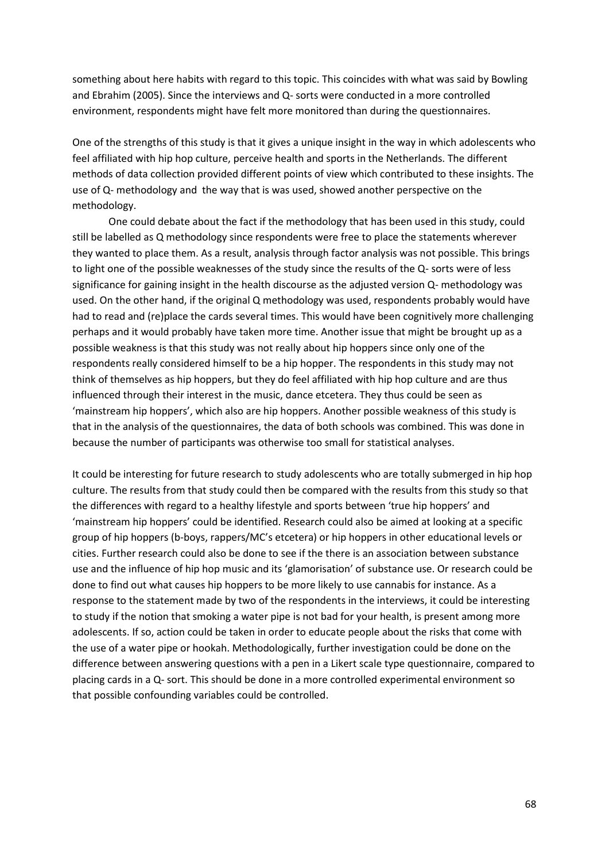something about here habits with regard to this topic. This coincides with what was said by Bowling and Ebrahim (2005). Since the interviews and Q- sorts were conducted in a more controlled environment, respondents might have felt more monitored than during the questionnaires.

One of the strengths of this study is that it gives a unique insight in the way in which adolescents who feel affiliated with hip hop culture, perceive health and sports in the Netherlands. The different methods of data collection provided different points of view which contributed to these insights. The use of Q- methodology and the way that is was used, showed another perspective on the methodology.

One could debate about the fact if the methodology that has been used in this study, could still be labelled as Q methodology since respondents were free to place the statements wherever they wanted to place them. As a result, analysis through factor analysis was not possible. This brings to light one of the possible weaknesses of the study since the results of the Q- sorts were of less significance for gaining insight in the health discourse as the adjusted version Q- methodology was used. On the other hand, if the original Q methodology was used, respondents probably would have had to read and (re)place the cards several times. This would have been cognitively more challenging perhaps and it would probably have taken more time. Another issue that might be brought up as a possible weakness is that this study was not really about hip hoppers since only one of the respondents really considered himself to be a hip hopper. The respondents in this study may not think of themselves as hip hoppers, but they do feel affiliated with hip hop culture and are thus influenced through their interest in the music, dance etcetera. They thus could be seen as 'mainstream hip hoppers', which also are hip hoppers. Another possible weakness of this study is that in the analysis of the questionnaires, the data of both schools was combined. This was done in because the number of participants was otherwise too small for statistical analyses.

It could be interesting for future research to study adolescents who are totally submerged in hip hop culture. The results from that study could then be compared with the results from this study so that the differences with regard to a healthy lifestyle and sports between 'true hip hoppers' and 'mainstream hip hoppers' could be identified. Research could also be aimed at looking at a specific group of hip hoppers (b-boys, rappers/MC's etcetera) or hip hoppers in other educational levels or cities. Further research could also be done to see if the there is an association between substance use and the influence of hip hop music and its 'glamorisation' of substance use. Or research could be done to find out what causes hip hoppers to be more likely to use cannabis for instance. As a response to the statement made by two of the respondents in the interviews, it could be interesting to study if the notion that smoking a water pipe is not bad for your health, is present among more adolescents. If so, action could be taken in order to educate people about the risks that come with the use of a water pipe or hookah. Methodologically, further investigation could be done on the difference between answering questions with a pen in a Likert scale type questionnaire, compared to placing cards in a Q- sort. This should be done in a more controlled experimental environment so that possible confounding variables could be controlled.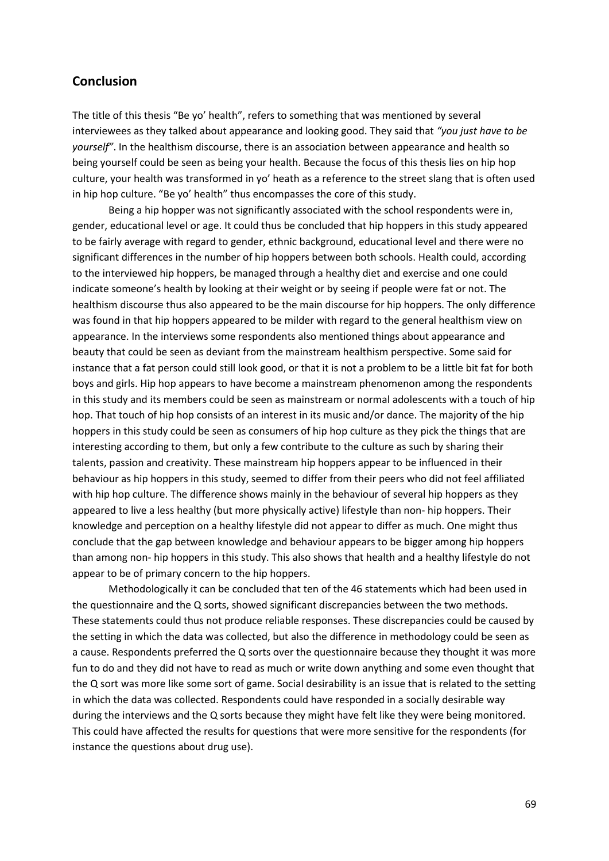## **Conclusion**

The title of this thesis "Be yo' health", refers to something that was mentioned by several interviewees as they talked about appearance and looking good. They said that *"you just have to be yourself"*. In the healthism discourse, there is an association between appearance and health so being yourself could be seen as being your health. Because the focus of this thesis lies on hip hop culture, your health was transformed in yo' heath as a reference to the street slang that is often used in hip hop culture. "Be yo' health" thus encompasses the core of this study.

Being a hip hopper was not significantly associated with the school respondents were in, gender, educational level or age. It could thus be concluded that hip hoppers in this study appeared to be fairly average with regard to gender, ethnic background, educational level and there were no significant differences in the number of hip hoppers between both schools. Health could, according to the interviewed hip hoppers, be managed through a healthy diet and exercise and one could indicate someone's health by looking at their weight or by seeing if people were fat or not. The healthism discourse thus also appeared to be the main discourse for hip hoppers. The only difference was found in that hip hoppers appeared to be milder with regard to the general healthism view on appearance. In the interviews some respondents also mentioned things about appearance and beauty that could be seen as deviant from the mainstream healthism perspective. Some said for instance that a fat person could still look good, or that it is not a problem to be a little bit fat for both boys and girls. Hip hop appears to have become a mainstream phenomenon among the respondents in this study and its members could be seen as mainstream or normal adolescents with a touch of hip hop. That touch of hip hop consists of an interest in its music and/or dance. The majority of the hip hoppers in this study could be seen as consumers of hip hop culture as they pick the things that are interesting according to them, but only a few contribute to the culture as such by sharing their talents, passion and creativity. These mainstream hip hoppers appear to be influenced in their behaviour as hip hoppers in this study, seemed to differ from their peers who did not feel affiliated with hip hop culture. The difference shows mainly in the behaviour of several hip hoppers as they appeared to live a less healthy (but more physically active) lifestyle than non- hip hoppers. Their knowledge and perception on a healthy lifestyle did not appear to differ as much. One might thus conclude that the gap between knowledge and behaviour appears to be bigger among hip hoppers than among non- hip hoppers in this study. This also shows that health and a healthy lifestyle do not appear to be of primary concern to the hip hoppers.

Methodologically it can be concluded that ten of the 46 statements which had been used in the questionnaire and the Q sorts, showed significant discrepancies between the two methods. These statements could thus not produce reliable responses. These discrepancies could be caused by the setting in which the data was collected, but also the difference in methodology could be seen as a cause. Respondents preferred the Q sorts over the questionnaire because they thought it was more fun to do and they did not have to read as much or write down anything and some even thought that the Q sort was more like some sort of game. Social desirability is an issue that is related to the setting in which the data was collected. Respondents could have responded in a socially desirable way during the interviews and the Q sorts because they might have felt like they were being monitored. This could have affected the results for questions that were more sensitive for the respondents (for instance the questions about drug use).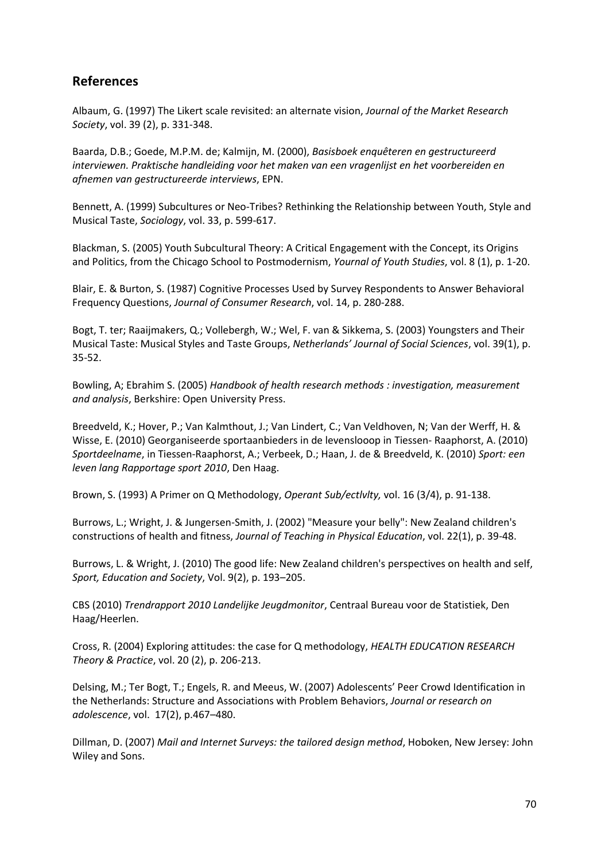# **References**

Albaum, G. (1997) The Likert scale revisited: an alternate vision, *Journal of the Market Research Society*, vol. 39 (2), p. 331-348.

Baarda, D.B.; Goede, M.P.M. de; Kalmijn, M. (2000), *Basisboek enquêteren en gestructureerd interviewen. Praktische handleiding voor het maken van een vragenlijst en het voorbereiden en afnemen van gestructureerde interviews*, EPN.

Bennett, A. (1999) Subcultures or Neo-Tribes? Rethinking the Relationship between Youth, Style and Musical Taste, *Sociology*, vol. 33, p. 599-617.

Blackman, S. (2005) Youth Subcultural Theory: A Critical Engagement with the Concept, its Origins and Politics, from the Chicago School to Postmodernism, *Yournal of Youth Studies*, vol. 8 (1), p. 1-20.

Blair, E. & Burton, S. (1987) Cognitive Processes Used by Survey Respondents to Answer Behavioral Frequency Questions, *Journal of Consumer Research*, vol. 14, p. 280-288.

Bogt, T. ter; Raaijmakers, Q.; Vollebergh, W.; Wel, F. van & Sikkema, S. (2003) Youngsters and Their Musical Taste: Musical Styles and Taste Groups, *Netherlands' Journal of Social Sciences*, vol. 39(1), p. 35-52.

Bowling, A; Ebrahim S. (2005) *Handbook of health research methods : investigation, measurement and analysis*, Berkshire: Open University Press.

Breedveld, K.; Hover, P.; Van Kalmthout, J.; Van Lindert, C.; Van Veldhoven, N; Van der Werff, H. & Wisse, E. (2010) Georganiseerde sportaanbieders in de levenslooop in Tiessen- Raaphorst, A. (2010) *Sportdeelname*, in Tiessen-Raaphorst, A.; Verbeek, D.; Haan, J. de & Breedveld, K. (2010) *Sport: een leven lang Rapportage sport 2010*, Den Haag.

Brown, S. (1993) A Primer on Q Methodology, *Operant Sub/ectlvlty,* vol. 16 (3/4), p. 91-138.

Burrows, L.; Wright, J. & Jungersen-Smith, J. (2002) "Measure your belly": New Zealand children's constructions of health and fitness, *Journal of Teaching in Physical Education*, vol. 22(1), p. 39-48.

Burrows, L. & Wright, J. (2010) The good life: New Zealand children's perspectives on health and self, *Sport, Education and Society*, Vol. 9(2), p. 193–205.

CBS (2010) *Trendrapport 2010 Landelijke Jeugdmonitor*, Centraal Bureau voor de Statistiek, Den Haag/Heerlen.

Cross, R. (2004) Exploring attitudes: the case for Q methodology, *HEALTH EDUCATION RESEARCH Theory & Practice*, vol. 20 (2), p. 206-213.

Delsing, M.; Ter Bogt, T.; Engels, R. and Meeus, W. (2007) Adolescents' Peer Crowd Identification in the Netherlands: Structure and Associations with Problem Behaviors, *Journal or research on adolescence*, vol. 17(2), p.467–480.

Dillman, D. (2007) *Mail and Internet Surveys: the tailored design method*, Hoboken, New Jersey: John Wiley and Sons.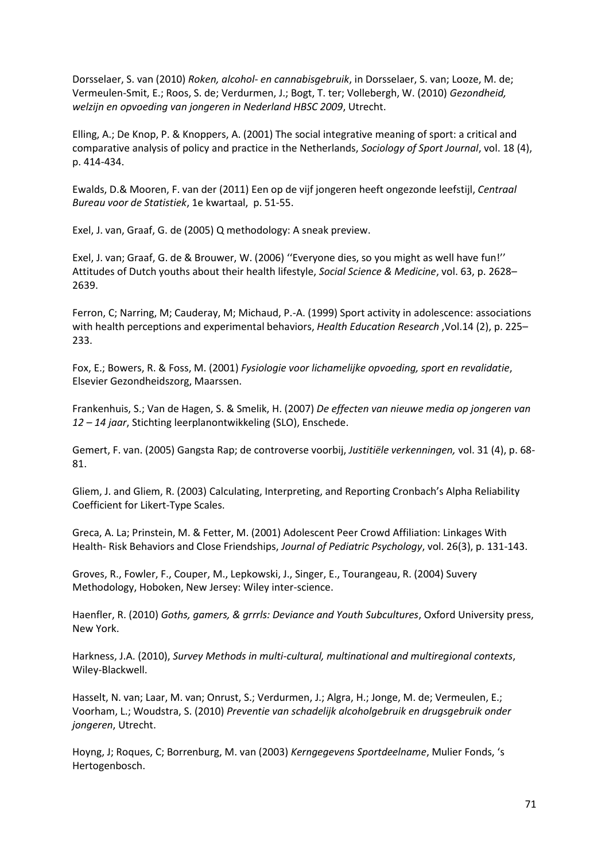Dorsselaer, S. van (2010) *Roken, alcohol- en cannabisgebruik*, in Dorsselaer, S. van; Looze, M. de; Vermeulen-Smit, E.; Roos, S. de; Verdurmen, J.; Bogt, T. ter; Vollebergh, W. (2010) *Gezondheid, welzijn en opvoeding van jongeren in Nederland HBSC 2009*, Utrecht.

Elling, A.; De Knop, P. & Knoppers, A. (2001) The social integrative meaning of sport: a critical and comparative analysis of policy and practice in the Netherlands, *Sociology of Sport Journal*, vol. 18 (4), p. 414-434.

Ewalds, D.& Mooren, F. van der (2011) Een op de vijf jongeren heeft ongezonde leefstijl, *Centraal Bureau voor de Statistiek*, 1e kwartaal, p. 51-55.

Exel, J. van, Graaf, G. de (2005) Q methodology: A sneak preview.

Exel, J. van; Graaf, G. de & Brouwer, W. (2006) ''Everyone dies, so you might as well have fun!'' Attitudes of Dutch youths about their health lifestyle, *Social Science & Medicine*, vol. 63, p. 2628– 2639.

Ferron, C; Narring, M; Cauderay, M; Michaud, P.-A. (1999) Sport activity in adolescence: associations with health perceptions and experimental behaviors, *Health Education Research* ,Vol.14 (2), p. 225– 233.

Fox, E.; Bowers, R. & Foss, M. (2001) *Fysiologie voor lichamelijke opvoeding, sport en revalidatie*, Elsevier Gezondheidszorg, Maarssen.

Frankenhuis, S.; Van de Hagen, S. & Smelik, H. (2007) *De effecten van nieuwe media op jongeren van 12 – 14 jaar*, Stichting leerplanontwikkeling (SLO), Enschede.

Gemert, F. van. (2005) Gangsta Rap; de controverse voorbij, *Justitiële verkenningen,* vol. 31 (4), p. 68- 81.

Gliem, J. and Gliem, R. (2003) Calculating, Interpreting, and Reporting Cronbach's Alpha Reliability Coefficient for Likert-Type Scales.

Greca, A. La; Prinstein, M. & Fetter, M. (2001) Adolescent Peer Crowd Affiliation: Linkages With Health- Risk Behaviors and Close Friendships, *Journal of Pediatric Psychology*, vol. 26(3), p. 131-143.

Groves, R., Fowler, F., Couper, M., Lepkowski, J., Singer, E., Tourangeau, R. (2004) Suvery Methodology, Hoboken, New Jersey: Wiley inter-science.

Haenfler, R. (2010) *Goths, gamers, & grrrls: Deviance and Youth Subcultures*, Oxford University press, New York.

Harkness, J.A. (2010), *Survey Methods in multi-cultural, multinational and multiregional contexts*, Wiley-Blackwell.

Hasselt, N. van; Laar, M. van; Onrust, S.; Verdurmen, J.; Algra, H.; Jonge, M. de; Vermeulen, E.; Voorham, L.; Woudstra, S. (2010) *Preventie van schadelijk alcoholgebruik en drugsgebruik onder jongeren*, Utrecht.

Hoyng, J; Roques, C; Borrenburg, M. van (2003) *Kerngegevens Sportdeelname*, Mulier Fonds, 's Hertogenbosch.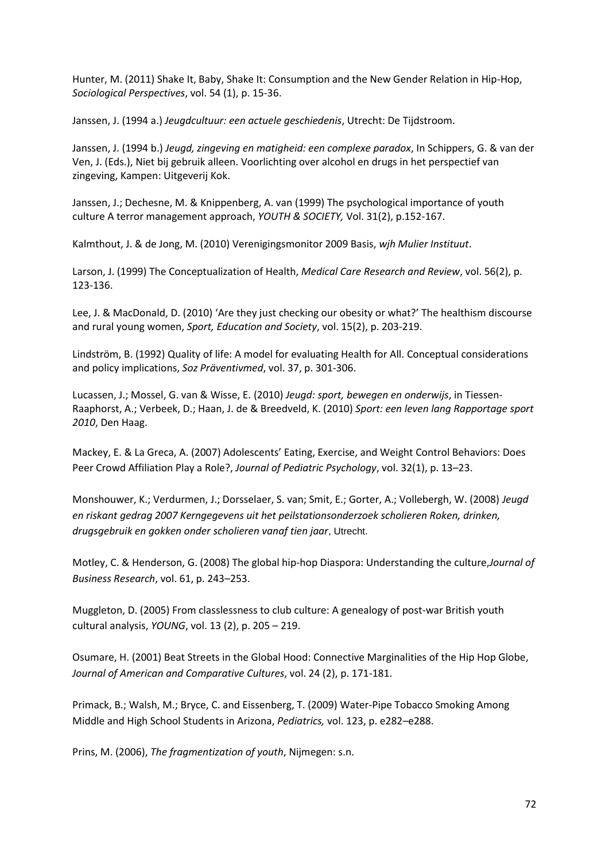Hunter, M. (2011) Shake It, Baby, Shake It: Consumption and the New Gender Relation in Hip-Hop, *Sociological Perspectives*, vol. 54 (1), p. 15-36.

Janssen, J. (1994 a.) *Jeugdcultuur: een actuele geschiedenis*, Utrecht: De Tijdstroom.

Janssen, J. (1994 b.) *Jeugd, zingeving en matigheid: een complexe paradox*, In Schippers, G. & van der Ven, J. (Eds.), Niet bij gebruik alleen. Voorlichting over alcohol en drugs in het perspectief van zingeving, Kampen: Uitgeverij Kok.

Janssen, J.; Dechesne, M. & Knippenberg, A. van (1999) The psychological importance of youth culture A terror management approach, *YOUTH & SOCIETY,* Vol. 31(2), p.152-167.

Kalmthout, J. & de Jong, M. (2010) Verenigingsmonitor 2009 Basis, *wjh Mulier Instituut*.

Larson, J. (1999) The Conceptualization of Health, *Medical Care Research and Review*, vol. 56(2), p. 123-136.

Lee, J. & MacDonald, D. (2010) 'Are they just checking our obesity or what?' The healthism discourse and rural young women, *Sport, Education and Society*, vol. 15(2), p. 203-219.

Lindström, B. (1992) Quality of life: A model for evaluating Health for All. Conceptual considerations and policy implications, *Soz Präventivmed*, vol. 37, p. 301-306.

Lucassen, J.; Mossel, G. van & Wisse, E. (2010) *Jeugd: sport, bewegen en onderwijs*, in Tiessen-Raaphorst, A.; Verbeek, D.; Haan, J. de & Breedveld, K. (2010) *Sport: een leven lang Rapportage sport 2010*, Den Haag.

Mackey, E. & La Greca, A. (2007) Adolescents' Eating, Exercise, and Weight Control Behaviors: Does Peer Crowd Affiliation Play a Role?, *Journal of Pediatric Psychology*, vol. 32(1), p. 13–23.

Monshouwer, K.; Verdurmen, J.; Dorsselaer, S. van; Smit, E.; Gorter, A.; Vollebergh, W. (2008) *Jeugd en riskant gedrag 2007 Kerngegevens uit het peilstationsonderzoek scholieren Roken, drinken, drugsgebruik en gokken onder scholieren vanaf tien jaar*, Utrecht.

Motley, C. & Henderson, G. (2008) The global hip-hop Diaspora: Understanding the culture,*Journal of Business Research*, vol. 61, p. 243–253.

Muggleton, D. (2005) From classlessness to club culture: A genealogy of post-war British youth cultural analysis, *YOUNG*, vol. 13 (2), p. 205 – 219.

Osumare, H. (2001) Beat Streets in the Global Hood: Connective Marginalities of the Hip Hop Globe, *Journal of American and Comparative Cultures*, vol. 24 (2), p. 171-181.

Primack, B.; Walsh, M.; Bryce, C. and Eissenberg, T. (2009) Water-Pipe Tobacco Smoking Among Middle and High School Students in Arizona, *Pediatrics,* vol. 123, p. e282–e288.

Prins, M. (2006), *The fragmentization of youth*, Nijmegen: s.n.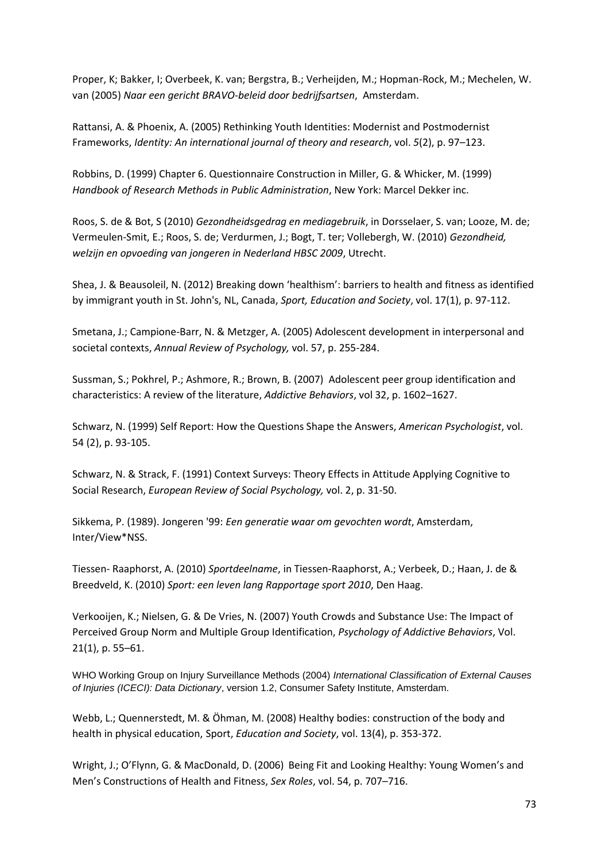Proper, K; Bakker, I; Overbeek, K. van; Bergstra, B.; Verheijden, M.; Hopman-Rock, M.; Mechelen, W. van (2005) *Naar een gericht BRAVO-beleid door bedrijfsartsen*, Amsterdam.

Rattansi, A. & Phoenix, A. (2005) Rethinking Youth Identities: Modernist and Postmodernist Frameworks, *Identity: An international journal of theory and research*, vol. *5*(2), p. 97–123.

Robbins, D. (1999) Chapter 6. Questionnaire Construction in Miller, G. & Whicker, M. (1999) *Handbook of Research Methods in Public Administration*, New York: Marcel Dekker inc.

Roos, S. de & Bot, S (2010) *Gezondheidsgedrag en mediagebruik*, in Dorsselaer, S. van; Looze, M. de; Vermeulen-Smit, E.; Roos, S. de; Verdurmen, J.; Bogt, T. ter; Vollebergh, W. (2010) *Gezondheid, welzijn en opvoeding van jongeren in Nederland HBSC 2009*, Utrecht.

Shea, J. & Beausoleil, N. (2012) Breaking down 'healthism': barriers to health and fitness as identified by immigrant youth in St. John's, NL, Canada, *Sport, Education and Society*, vol. 17(1), p. 97-112.

Smetana, J.; Campione-Barr, N. & Metzger, A. (2005) Adolescent development in interpersonal and societal contexts, *Annual Review of Psychology,* vol. 57, p. 255-284.

Sussman, S.; Pokhrel, P.; Ashmore, R.; Brown, B. (2007) Adolescent peer group identification and characteristics: A review of the literature, *Addictive Behaviors*, vol 32, p. 1602–1627.

Schwarz, N. (1999) Self Report: How the Questions Shape the Answers, *American Psychologist*, vol. 54 (2), p. 93-105.

Schwarz, N. & Strack, F. (1991) Context Surveys: Theory Effects in Attitude Applying Cognitive to Social Research, *European Review of Social Psychology,* vol. 2, p. 31-50.

Sikkema, P. (1989). Jongeren '99: *Een generatie waar om gevochten wordt*, Amsterdam, Inter/View\*NSS.

Tiessen- Raaphorst, A. (2010) *Sportdeelname*, in Tiessen-Raaphorst, A.; Verbeek, D.; Haan, J. de & Breedveld, K. (2010) *Sport: een leven lang Rapportage sport 2010*, Den Haag.

Verkooijen, K.; Nielsen, G. & De Vries, N. (2007) Youth Crowds and Substance Use: The Impact of Perceived Group Norm and Multiple Group Identification, *Psychology of Addictive Behaviors*, Vol. 21(1), p. 55–61.

WHO Working Group on Injury Surveillance Methods (2004) *International Classification of External Causes of Injuries (ICECI): Data Dictionary*, version 1.2, Consumer Safety Institute, Amsterdam.

Webb, L.; Quennerstedt, M. & Öhman, M. (2008) Healthy bodies: construction of the body and health in physical education, Sport, *Education and Society*, vol. 13(4), p. 353-372.

Wright, J.; O'Flynn, G. & MacDonald, D. (2006) Being Fit and Looking Healthy: Young Women's and Men's Constructions of Health and Fitness, *Sex Roles*, vol. 54, p. 707–716.